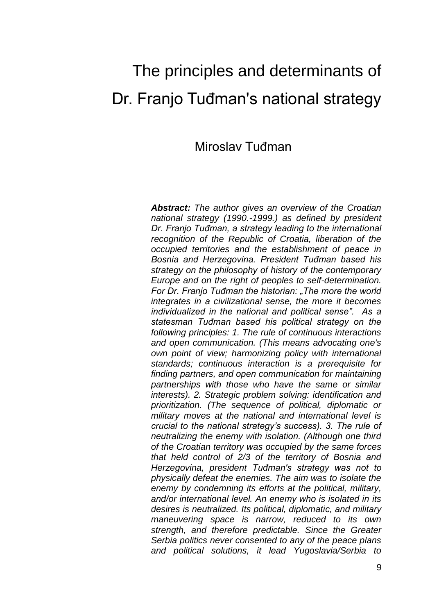# The principles and determinants of Dr. Franjo Tuđman's national strategy

## Miroslav Tuđman

*Abstract: The author gives an overview of the Croatian national strategy (1990.-1999.) as defined by president Dr. Franjo Tuđman, a strategy leading to the international recognition of the Republic of Croatia, liberation of the occupied territories and the establishment of peace in Bosnia and Herzegovina. President Tuđman based his strategy on the philosophy of history of the contemporary Europe and on the right of peoples to self-determination. For Dr. Franjo Tuđman the historian: "The more the world integrates in a civilizational sense, the more it becomes individualized in the national and political sense". As a statesman Tuđman based his political strategy on the following principles: 1. The rule of continuous interactions and open communication. (This means advocating one's own point of view; harmonizing policy with international standards; continuous interaction is a prerequisite for finding partners, and open communication for maintaining partnerships with those who have the same or similar interests). 2. Strategic problem solving: identification and prioritization. (The sequence of political, diplomatic or military moves at the national and international level is crucial to the national strategy's success). 3. The rule of neutralizing the enemy with isolation. (Although one third of the Croatian territory was occupied by the same forces that held control of 2/3 of the territory of Bosnia and Herzegovina, president Tuđman's strategy was not to physically defeat the enemies. The aim was to isolate the enemy by condemning its efforts at the political, military, and/or international level. An enemy who is isolated in its desires is neutralized. Its political, diplomatic, and military maneuvering space is narrow, reduced to its own strength, and therefore predictable. Since the Greater Serbia politics never consented to any of the peace plans and political solutions, it lead Yugoslavia/Serbia to*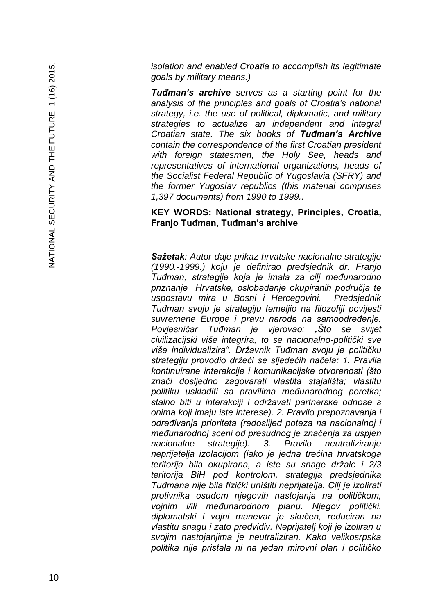*isolation and enabled Croatia to accomplish its legitimate goals by military means.)*

*Tuđman's archive serves as a starting point for the analysis of the principles and goals of Croatia's national strategy, i.e. the use of political, diplomatic, and military strategies to actualize an independent and integral Croatian state. The six books of Tuđman's Archive contain the correspondence of the first Croatian president with foreign statesmen, the Holy See, heads and representatives of international organizations, heads of the Socialist Federal Republic of Yugoslavia (SFRY) and the former Yugoslav republics (this material comprises 1,397 documents) from 1990 to 1999..*

#### **KEY WORDS: National strategy, Principles, Croatia, Franjo Tuđman, Tuđman's archive**

*Sažetak: Autor daje prikaz hrvatske nacionalne strategije (1990. -1999.) koju je definirao predsjednik dr. Franjo Tuđman, strategije koja je imala za cilj međunarodno priznanje Hrvatske, oslobađanje okupiranih područja te uspostavu mira u Bosni i Hercegovini. Predsjednik Tuđman svoju je strategiju temeljio na filozofiji povijesti suvremene Europe i pravu naroda na samoodređenje. Povjesničar Tuđman je vjerovao: "Što se svijet civilizacijski više integrira, to se nacionalno -politički sve više individualizira". Državnik Tuđman svoju je političku strategiju provodio držeći se sljedećih načela: 1. Pravila kontinuirane interakcije i komunikacijske otvorenosti (što znači dosljedno zagovarati vlastita stajališta; vlastitu politiku uskladiti sa pravilima međunarodnog poretka; stalno biti u interakciji i održavati partnerske odnose s onima koji imaju iste interese). 2. Pravilo prepoznavanja i određivanja prioriteta (redoslijed poteza na nacionalnoj i međunarodnoj sceni od presudnog je značenja za uspjeh nacionalne strategije). 3. Pravilo neutraliziranje neprijatelja izolacijom (iako je jedna trećina hrvatskoga teritorija bila okupirana, a iste su snage držale i 2/3 teritorija BiH pod kontrolom, strategija predsjednika Tuđmana nije bila fizički uništiti neprijatelja. Cilj je izolirati protivnika osudom njegovih nastojanja na političkom, vojnim i/ili međunarodnom planu. Njegov politički, diplomatski i vojni manevar je skučen, reduciran na vlastitu snagu i zato predvidiv. Neprijatelj koji je izoliran u svojim nastojanjima je neutraliziran. Kako velikosrpska politika nije pristala ni na jedan mirovni plan i političko*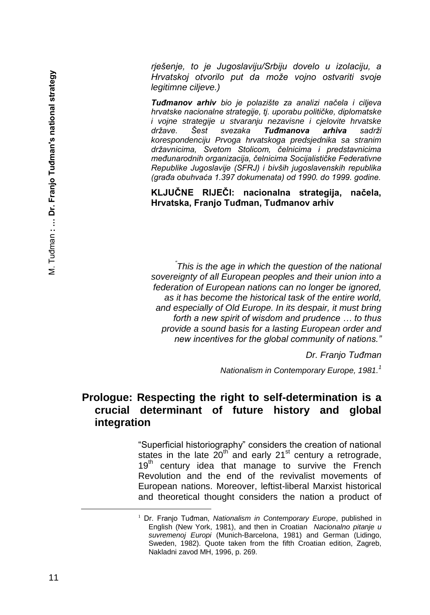*rješenje, to je Jugoslaviju/Srbiju dovelo u izolaciju, a Hrvatskoj otvorilo put da može vojno ostvariti svoje legitimne ciljeve.)* 

*Tuđmanov arhiv bio je polazište za analizi načela i ciljeva hrvatske nacionalne strategije, tj. uporabu političke, diplomatske i vojne strategije u stvaranju nezavisne i cjelovite hrvatske države. Šest svezaka Tuđmanova arhiva sadrži korespondenciju Prvoga hrvatskoga predsjednika sa stranim državnicima, Svetom Stolicom, čelnicima i predstavnicima međunarodnih organizacija, čelnicima Socijalističke Federativne Republike Jugoslavije (SFRJ) i bivših jugoslavenskih republika (građa obuhvaća 1.397 dokumenata) od 1990. do 1999. godine.*

**KLJUČNE RIJEČI: nacionalna strategija, načela, Hrvatska, Franjo Tuđman, Tuđmanov arhiv**

*" This is the age in which the question of the national sovereignty of all European peoples and their union into a federation of European nations can no longer be ignored, as it has become the historical task of the entire world, and especially of Old Europe. In its despair, it must bring forth a new spirit of wisdom and prudence … to thus provide a sound basis for a lasting European order and new incentives for the global community of nations."*

*Dr. Franjo Tuđman*

*Nationalism in Contemporary Europe, 1981.<sup>1</sup>*

#### **Prologue: Respecting the right to self-determination is a crucial determinant of future history and global integration**

"Superficial historiography" considers the creation of national states in the late  $20<sup>th</sup>$  and early 21 $<sup>st</sup>$  century a retrograde,</sup>  $19<sup>th</sup>$  century idea that manage to survive the French Revolution and the end of the revivalist movements of European nations. Moreover, leftist-liberal Marxist historical and theoretical thought considers the nation a product of

È,

<sup>1</sup> Dr. Franjo Tuđman, *Nationalism in Contemporary Europe*, published in English (New York, 1981), and then in Croatian *Nacionalno pitanje u suvremenoj Europi* (Munich-Barcelona, 1981) and German (Lidingo, Sweden, 1982). Quote taken from the fifth Croatian edition, Zagreb, Nakladni zavod MH, 1996, p. 269.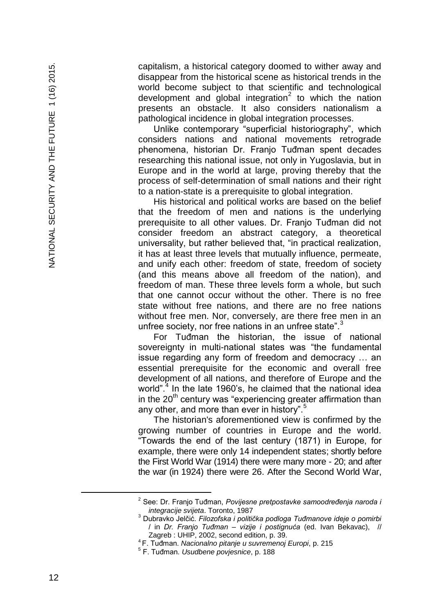capitalism, a historical category doomed to wither away and disappear from the historical scene as historical trends in the world become subject to that scientific and technological development and global integration<sup>2</sup> to which the nation presents an obstacle. It also considers nationalism a pathological incidence in global integration processes.

Unlike contemporary "superficial historiography", which considers nations and national movements retrograde phenomena, historian Dr. Franjo Tuđman spent decades researching this national issue, not only in Yugoslavia, but in Europe and in the world at large, proving thereby that the process of self -determination of small nations and their right to a nation -state is a prerequisite to global integration.

His historical and political works are based on the belief that the freedom of men and nations is the underlying prerequisite to all other values. Dr. Franjo Tuđman did not consider freedom an abstract category, a theoretical universality, but rather believed that, "in practical realization, it has at least three levels that mutually influence, permeate, and unify each other: freedom of state, freedom of society (and this means above all freedom of the nation), and freedom of man. These three levels form a whole, but such that one cannot occur without the other. There is no free state without free nations, and there are no free nations without free men. Nor, conversely, are there free men in an unfree society, nor free nations in an unfree state".<sup>3</sup>

For Tuđman the historian, the issue of national sovereignty in multi -national states was "the fundamental issue regarding any form of freedom and democracy … an essential prerequisite for the economic and overall free development of all nations, and therefore of Europe and the world".<sup>4</sup> In the late 1960's, he claimed that the national idea in the  $20<sup>th</sup>$  century was "experiencing greater affirmation than any other, and more than ever in history".<sup>5</sup>

The historian's aforementioned view is confirmed by the growing number of countries in Europe and the world. "Towards the end of the last century (1871) in Europe, for example, there were only 14 independent states; shortly before the First World War (1914) there were many more - 20; and after the war (in 1924) there were 26. After the Second World War,

È,

<sup>2</sup> See: Dr. Franjo Tuđman, *Povijesne pretpostavke samoodređenja naroda i integracije svijeta*. Toronto, 1987

<sup>3</sup> Dubravko Jelčić. *Filozofska i politička podloga Tuđmanove ideje o pomirbi* / in *Dr. Franjo Tuđman – vizije i postignuća* (ed. Ivan Bekavac), // Zagreb : UHIP, 2002, second edition, p. 39.

<sup>4</sup> F. Tuđman. *Nacionalno pitanje u suvremenoj Europi*, p. 215

<sup>5</sup> F. Tuđman. *Usudbene povjesnice*, p. 188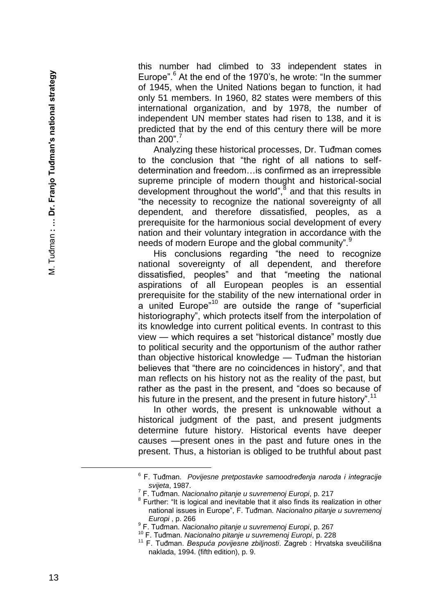this number had climbed to 33 independent states in Europe". 6 At the end of the 1970's, he wrote: "In the summer of 1945, when the United Nations began to function, it had only 51 members. In 1960, 82 states were members of this international organization, and by 1978, the number of independent UN member states had risen to 138, and it is predicted that by the end of this century there will be more than 200". $7$ 

Analyzing these historical processes, Dr. Tuđman comes to the conclusion that "the right of all nations to self determination and freedom…is confirmed as an irrepressible supreme principle of modern thought and historical -social development throughout the world",<sup>8</sup> and that this results in "the necessity to recognize the national sovereignty of all dependent, and therefore dissatisfied, peoples, as a prerequisite for the harmonious social development of every nation and their voluntary integration in accordance with the needs of modern Europe and the global community".<sup>9</sup>

His conclusions regarding "the need to recognize national sovereignty of all dependent, and therefore dissatisfied, peoples" and that "meeting the national aspirations of all European peoples is an essential prerequisite for the stability of the new international order in a united Europe<sup>"10</sup> are outside the range of "superficial historiography", which protects itself from the interpolation of its knowledge into current political events. In contrast to this view — which requires a set "historical distance" mostly due to political security and the opportunism of the author rather than objective historical knowledge — Tuđman the historian believes that "there are no coincidences in history", and that man reflects on his history not as the reality of the past, but rather as the past in the present, and "does so because of his future in the present, and the present in future history".<sup>1</sup>

In other words, the present is unknowable without a historical judgment of the past, and present judgments determine future history. Historical events have deeper causes —present ones in the past and future ones in the present. Thus, a historian is obliged to be truthful about past

<sup>6</sup> F. Tuđman. *Povijesne pretpostavke samoodređenja naroda i integracije svijeta*, 1987.

<sup>7</sup> F. Tuđman. *Nacionalno pitanje u suvremenoj Europi*, p. 217

<sup>&</sup>lt;sup>8</sup> Further: "It is logical and inevitable that it also finds its realization in other national issues in Europe", F. Tuđman. *Nacionalno pitanje u suvremenoj Europi* , p. 266

<sup>9</sup> F. Tuđman. *Nacionalno pitanje u suvremenoj Europi*, p. 267

<sup>10</sup> F. Tuđman. *Nacionalno pitanje u suvremenoj Europi*, p. 228

<sup>11</sup> F. Tuđman. *Bespuća povijesne zbiljnosti*. Zagreb : Hrvatska sveučilišna naklada, 1994. (fifth edition), p. 9.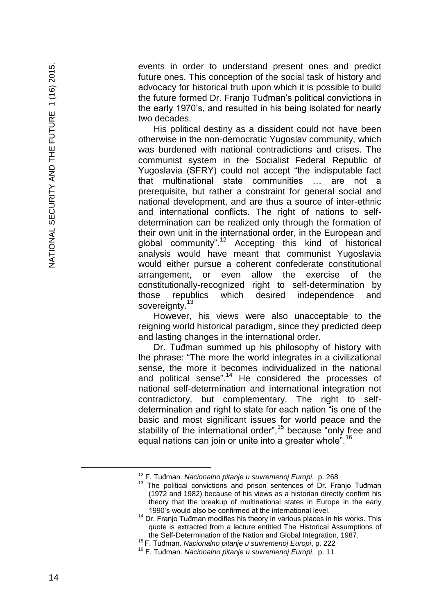events in order to understand present ones and predict future ones. This conception of the social task of history and advocacy for historical truth upon which it is possible to build the future formed Dr. Franjo Tuđman's political convictions in the early 1970's, and resulted in his being isolated for nearly two decades.

His political destiny as a dissident could not have been otherwise in the non -democratic Yugoslav community, which was burdened with national contradictions and crises. The communist system in the Socialist Federal Republic of Yugoslavia (SFRY) could not accept "the indisputable fact that multinational state communities … are not a prerequisite, but rather a constraint for general social and national development, and are thus a source of inter -ethnic and international conflicts. The right of nations to self determination can be realized only through the formation of their own unit in the international order, in the European and global community".<sup>12</sup> Accepting this kind of historical analysis would have meant that communist Yugoslavia would either pursue a coherent confederate constitutional arrangement, or even allow the exercise of the constitutionally -recognized right to self -determination by those republics which desired independence and sovereignty.<sup>13</sup>

However, his views were also unacceptable to the reigning world historical paradigm, since they predicted deep and lasting changes in the international order.

Dr. Tuđman summed up his philosophy of history with the phrase: "The more the world integrates in a civilizational sense, the more it becomes individualized in the national and political sense".<sup>14</sup> He considered the processes of national self -determination and international integration not contradictory, but complementary. The right to self determination and right to state for each nation "is one of the basic and most significant issues for world peace and the stability of the international order",<sup>15</sup> because "only free and equal nations can join or unite into a greater whole".<sup>16</sup>

<sup>12</sup> F. Tuđman. *Nacionalno pitanje u suvremenoj Europi*, p. 268

<sup>&</sup>lt;sup>13</sup> The political convictions and prison sentences of Dr. Franjo Tuđman (1972 and 1982) because of his views as a historian directly confirm his theory that the breakup of multinational states in Europe in the early 1990's would also be confirmed at the international level.

<sup>&</sup>lt;sup>14</sup> Dr. Franio Tuđman modifies his theory in various places in his works. This quote is extracted from a lecture entitled The Historical Assumptions of the Self -Determination of the Nation and Global Integration, 1987.

<sup>15</sup> F. Tuđman. *Nacionalno pitanje u suvremenoj Europi*, p. 222

<sup>16</sup> F. Tuđman. *Nacionalno pitanje u suvremenoj Europi*, p. 11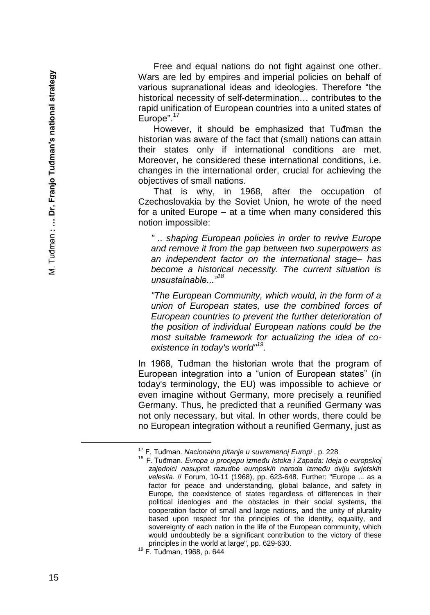Free and equal nations do not fight against one other. Wars are led by empires and imperial policies on behalf of various supranational ideas and ideologies. Therefore "the historical necessity of self-determination... contributes to the rapid unification of European countries into a united states of Europe".<sup>17</sup>

However, it should be emphasized that Tuđman the historian was aware of the fact that (small) nations can attain their states only if international conditions are met. Moreover, he considered these international conditions, i.e. changes in the international order, crucial for achieving the objectives of small nations.

That is why, in 1968, after the occupation of Czechoslovakia by the Soviet Union, he wrote of the need for a united Europe – at a time when many considered this notion impossible:

*" .. shaping European policies in order to revive Europe and remove it from the gap between two superpowers as an independent factor on the international stage– has become a historical necessity. The current situation is unsustainable..."<sup>18</sup>*

*"The European Community, which would, in the form of a union of European states, use the combined forces of European countries to prevent the further deterioration of the position of individual European nations could be the most suitable framework for actualizing the idea of co existence in today's world"<sup>19</sup> .*

In 1968, Tuđman the historian wrote that the program of European integration into a "union of European states" (in today's terminology, the EU) was impossible to achieve or even imagine without Germany, more precisely a reunified Germany. Thus, he predicted that a reunified Germany was not only necessary, but vital. In other words, there could be no European integration without a reunified Germany, just as

<sup>17</sup> F. Tuđman. *Nacionalno pitanje u suvremenoj Europi* , p. 228

<sup>18</sup> F. Tuđman. *Evropa u procjepu između Istoka i Zapada: Ideja o europskoj zajednici nasuprot razudbe europskih naroda između dviju svjetskih velesila.* // Forum, 10-11 (1968), pp. 623-648. Further: "Europe ... as a factor for peace and understanding, global balance , and safety in Europe, the coexistence of states regardless of differences in their political ideologies and the obstacles in their social systems, the cooperation factor of small and large nations , and the unity of plurality based upon respect for the principles of the identity, equality , and sovereignty of each nation in the life of the European community, which would undoubtedly be a significant contribution to the victory of these principles in the world at large", pp. 629-630.

<sup>19</sup> F. Tuđman, 1968, p. 644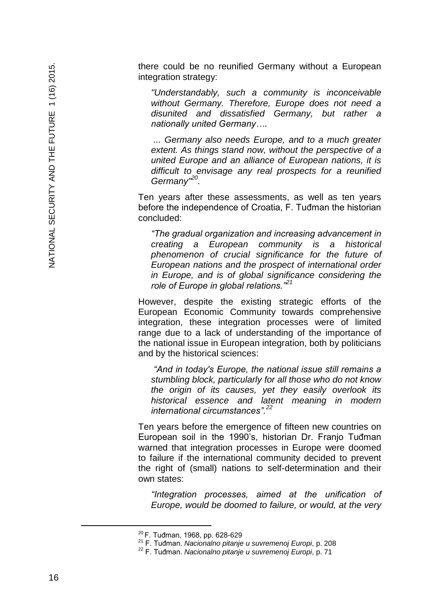there could be no reunified Germany without a European integration strategy:

*"Understandably, such a community is inconceivable without Germany. Therefore, Europe does not need a disunited and dissatisfied Germany, but rather a nationally united Germany….*

*... Germany also needs Europe, and to a much greater extent. As things stand now, without the perspective of a united Europe and an alliance of European nations, it is difficult to envisage any real prospects for a reunified Germany"<sup>20</sup> .*

Ten years after these assessments, as well as ten years before the independence of Croatia, F. Tuđman the historian concluded:

*"The gradual organization and increasing advancement in creating a European community is a historical phenomenon of crucial significance for the future of European nations and the prospect of international order in Europe, and is of global significance considering the role of Europe in global relations."<sup>21</sup>*

However, despite the existing strategic efforts of the European Economic Community towards comprehensive integration, these integration processes were of limited range due to a lack of understanding of the importance of the national issue in European integration, both by politicians and by the historical sciences:

*"And in today's Europe, the national issue still remains a stumbling block, particularly for all those who do not know the origin of its causes, yet they easily overlook its historical essence and latent meaning in modern international circumstances".<sup>22</sup>*

Ten years before the emergence of fifteen new countries on European soil in the 1990's, historian Dr. Franjo Tuđman warned that integration processes in Europe were doomed to failure if the international community decided to prevent the right of (small) nations to self -determination and their own states:

*"Integration processes, aimed at the unification of Europe, would be doomed to failure, or would, at the very* 

<sup>&</sup>lt;sup>20</sup> F. Tuđman, 1968, pp. 628-629

<sup>21</sup> F. Tuđman. *Nacionalno pitanje u suvremenoj Europi*, p. 208

<sup>22</sup> F. Tuđman. *Nacionalno pitanje u suvremenoj Europi*, p. 71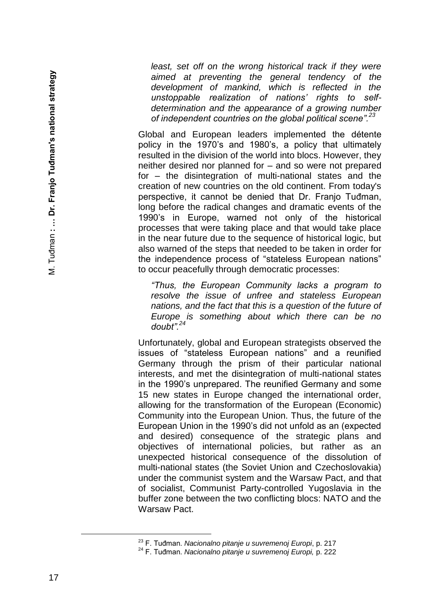*least, set off on the wrong historical track if they were aimed at preventing the general tendency of the development of mankind, which is reflected in the unstoppable realization of nations' rights to selfdetermination and the appearance of a growing number of independent countries on the global political scene".<sup>23</sup>*

Global and European leaders implemented the détente policy in the 1970's and 1980's, a policy that ultimately resulted in the division of the world into blocs. However, they neither desired nor planned for – and so were not prepared for – the disintegration of multi -national states and the creation of new countries on the old continent. From today's perspective, it cannot be denied that Dr. Franjo Tuđman, long before the radical changes and dramatic events of the 1990's in Europe, warned not only of the historical processes that were taking place and that would take place in the near future due to the sequence of historical logic, but also warned of the steps that needed to be taken in order for the independence process of "stateless European nations" to occur peacefully through democratic processes:

*"Thus, the European Community lacks a program to resolve the issue of unfree and stateless European nations, and the fact that this is a question of the future of Europe is something about which there can be no doubt".<sup>24</sup>*

Unfortunately, global and European strategists observed the issues of "stateless European nations" and a reunified Germany through the prism of their particular national interests, and met the disintegration of multi -national states in the 1990's unprepared. The reunified Germany and some 15 new states in Europe changed the international order, allowing for the transformation of the European (Economic) Community into the European Union. Thus, the future of the European Union in the 1990's did not unfold as an (expected and desired) consequence of the strategic plans and objectives of international policies, but rather as an unexpected historical consequence of the dissolution of multi -national states (the Soviet Union and Czechoslovakia) under the communist system and the Warsaw Pact, and that of socialist, Communist Party -controlled Yugoslavia in the buffer zone between the two conflicting blocs: NATO and the Warsaw Pact.

<sup>23</sup> F. Tuđman. *Nacionalno pitanje u suvremenoj Europi*, p. 217

<sup>24</sup> F. Tuđman. *Nacionalno pitanje u suvremenoj Europi,* p. 222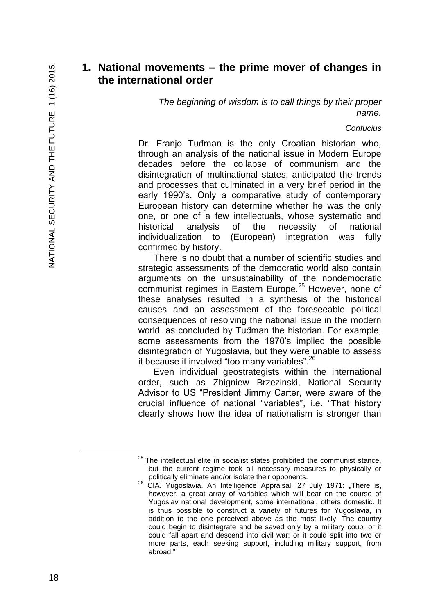## **1. National movements – the prime mover of changes in the international order**

*The beginning of wisdom is to call things by their proper name.*

#### *Confucius*

Dr. Franjo Tuđman is the only Croatian historian who, through an analysis of the national issue in Modern Europe decades before the collapse of communism and the disintegration of multinational states, anticipated the trends and processes that culminated in a very brief period in the early 1990's. Only a comparative study of contemporary European history can determine whether he was the only one, or one of a few intellectuals, whose systematic and historical analysis of the necessity of national individualization to (European) integration was fully confirmed by history.

There is no doubt that a number of scientific studies and strategic assessments of the democratic world also contain arguments on the unsustainability of the nondemocratic communist regimes in Eastern Europe.<sup>25</sup> However, none of these analyses resulted in a synthesis of the historical causes and an assessment of the foreseeable political consequences of resolving the national issue in the modern world, as concluded by Tuđman the historian. For example, some assessments from the 1970's implied the possible disintegration of Yugoslavia, but they were unable to assess it because it involved "too many variables".<sup>26</sup>

Even individual geostrategists within the international order, such as Zbigniew Brzezinski, National Security Advisor to US "President Jimmy Carter, were aware of the crucial influence of national "variables", i.e. "That history clearly shows how the idea of nationalism is stronger than

È,

 $25$  The intellectual elite in socialist states prohibited the communist stance, but the current regime took all necessary measures to physically or politically eliminate and/or isolate their opponents.

<sup>&</sup>lt;sup>26</sup> CIA. Yugoslavia. An Intelligence Appraisal, 27 July 1971: "There is, however, a great array of variables which will bear on the course of Yugoslav national development, some international, others domestic. It is thus possible to construct a variety of futures for Yugoslavia, in addition to the one perceived above as the most likely. The country could begin to disintegrate and be saved only by a military coup; or it could fall apart and descend into civil war; or it could split into two or more parts, each seeking support, including military support, from abroad."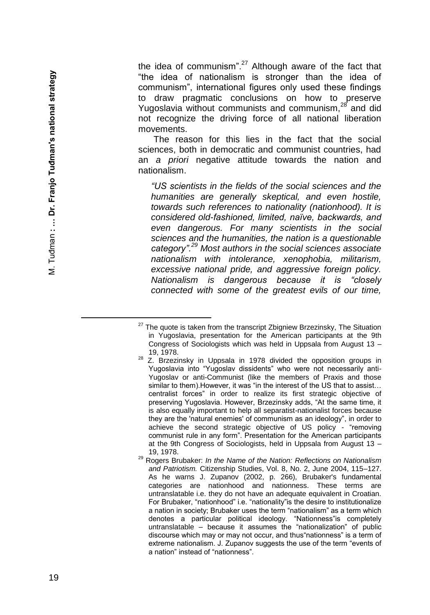the idea of communism". $27$  Although aware of the fact that "the idea of nationalism is stronger than the idea of communism", international figures only used these findings to draw pragmatic conclusions on how to preserve Yugoslavia without communists and communism,<sup>28</sup> and did not recognize the driving force of all national liberation movements.

The reason for this lies in the fact that the social sciences, both in democratic and communist countries, had an *a priori* negative attitude towards the nation and nationalism.

*"US scientists in the fields of the social sciences and the humanities are generally skeptical, and even hostile, towards such references to nationality (nationhood). It is considered old -fashioned, limited, naïve, backwards, and even dangerous. For many scientists in the social sciences and the humanities, the nation is a questionable category".<sup>29</sup> Most authors in the social sciences associate nationalism with intolerance, xenophobia, militarism, excessive national pride, and aggressive foreign policy. Nationalism is dangerous because it is "closely connected with some of the greatest evils of our time,* 

È,

 $27$  The quote is taken from the transcript Zbigniew Brzezinsky, The Situation in Yugoslavia, presentation for the American participants at the 9th Congress of Sociologists which was held in Uppsala from August 13 – 19, 1978.

 $28$  Z. Brzezinsky in Uppsala in 1978 divided the opposition groups in Yugoslavia into "Yugoslav dissidents" who were not necessarily anti - Yugoslav or anti -Communist (like the members of Praxis and those similar to them). However, it was "in the interest of the US that to assist... centralist forces" in order to realize its first strategic objective of preserving Yugoslavia. However, Brzezinsky adds, "At the same time, it is also equally important to help all separatist -nationalist forces because they are the 'natural enemies' of communism as an ideology", in order to achieve the second strategic objective of US policy - "removing communist rule in any form". Presentation for the American participants at the 9th Congress of Sociologists, held in Uppsala from August 13 – 19, 1978.

<sup>29</sup> Rogers Brubaker: *In the Name of the Nation: Reflections on Nationalism and Patriotism.* Citizenship Studies, Vol. 8, No. 2, June 2004, 115 –127. As he warns J. Zupanov (2002, p. 266), Brubaker's fundamental categories are nationhood and nationness. These terms are untranslatable i.e. they do not have an adequate equivalent in Croatian. For Brubaker, "nationhood" i.e. "nationality"is the desire to institutionalize a nation in society; Brubaker uses the term "nationalism" as a term which denotes a particular political ideology. "Nationness"is completely untranslatable – because it assumes the "nationalization" of public discourse which may or may not occur, and thus"nationness" is a term of extreme nationalism. J. Zupanov suggests the use of the term "events of a nation" instead of "nationness".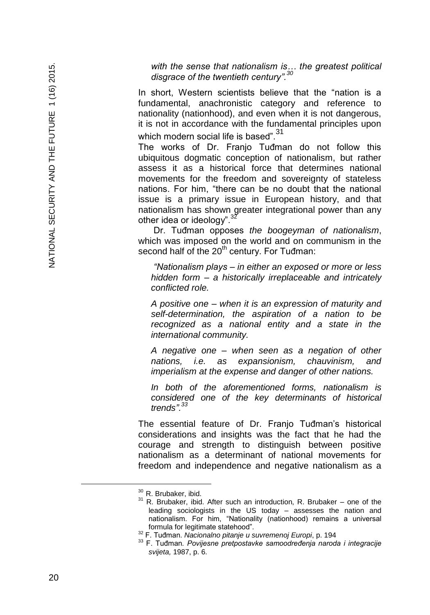*with the sense that nationalism is… the greatest political disgrace of the twentieth century".<sup>30</sup>*

In short, Western scientists believe that the "nation is a fundamental, anachronistic category and reference to nationality (nationhood), and even when it is not dangerous, it is not in accordance with the fundamental principles upon which modern social life is based".<sup>31</sup>

The works of Dr. Franjo Tuđman do not follow this ubiquitous dogmatic conception of nationalism, but rather assess it as a historical force that determines national movements for the freedom and sovereignty of stateless nations. For him, "there can be no doubt that the national issue is a primary issue in European history, and that nationalism has shown greater integrational power than any other idea or ideology".

Dr. Tuđman opposes *the boogeyman of nationalism*, which was imposed on the world and on communism in the second half of the 20<sup>th</sup> century. For Tuđman:

*"Nationalism plays – in either an exposed or more or less hidden form – a historically irreplaceable and intricately conflicted role.*

*A positive one – when it is an expression of maturity and self-determination, the aspiration of a nation to be recognized as a national entity and a state in the international community.*

*A negative one – when seen as a negation of other nations, i.e. as expansionism, chauvinism, and imperialism at the expense and danger of other nations.*

*In both of the aforementioned forms, nationalism is considered one of the key determinants of historical trends".<sup>33</sup>*

The essential feature of Dr. Franjo Tuđman's historical considerations and insights was the fact that he had the courage and strength to distinguish between positive nationalism as a determinant of national movements for freedom and independence and negative nationalism as a

<sup>30</sup> R. Brubaker, ibid.

 $31$  R. Brubaker, ibid. After such an introduction, R. Brubaker – one of the leading sociologists in the US today – assesses the nation and nationalism. For him, "Nationality (nationhood) remains a universal formula for legitimate statehood".

<sup>32</sup> F. Tuđman. *Nacionalno pitanje u suvremenoj Europi*, p. 194

<sup>33</sup> F. Tuđman*. Povijesne pretpostavke samoodređenja naroda i integracije svijeta,* 1987, p. 6.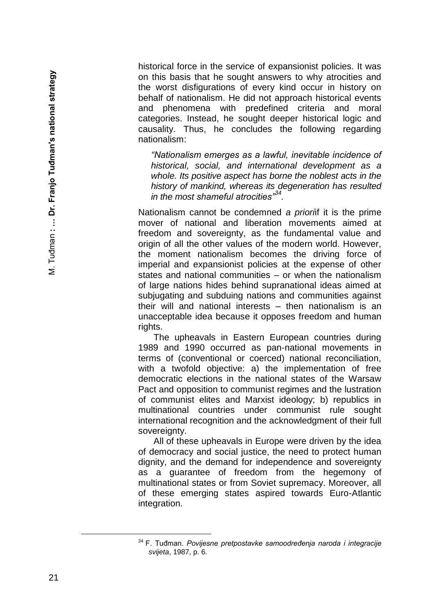historical force in the service of expansionist policies. It was on this basis that he sought answers to why atrocities and the worst disfigurations of every kind occur in history on behalf of nationalism. He did not approach historical events and phenomena with predefined criteria and moral categories. Instead, he sought deeper historical logic and causality. Thus, he concludes the following regarding nationalism:

*"Nationalism emerges as a lawful, inevitable incidence of historical, social, and international development as a whole. Its positive aspect has borne the noblest acts in the history of mankind, whereas its degeneration has resulted in the most shameful atrocities"<sup>34</sup> .*

Nationalism cannot be condemned *a priori*if it is the prime mover of national and liberation movements aimed at freedom and sovereignty, as the fundamental value and origin of all the other values of the modern world. However, the moment nationalism becomes the driving force of imperial and expansionist policies at the expense of other states and national communities – or when the nationalism of large nations hides behind supranational ideas aimed at subjugating and subduing nations and communities against their will and national interests – then nationalism is an unacceptable idea because it opposes freedom and human rights.

The upheavals in Eastern European countries during 1989 and 1990 occurred as pan -national movements in terms of (conventional or coerced) national reconciliation, with a twofold objective: a) the implementation of free democratic elections in the national states of the Warsaw Pact and opposition to communist regimes and the lustration of communist elites and Marxist ideology; b) republics in multinational countries under communist rule sought international recognition and the acknowledgment of their full sovereignty.

All of these upheavals in Europe were driven by the idea of democracy and social justice, the need to protect human dignity, and the demand for independence and sovereignty as a guarantee of freedom from the hegemony of multinational states or from Soviet supremacy. Moreover, all of these emerging states aspired towards Euro -Atlantic integration.

<sup>34</sup> F. Tuđman. *Povijesne pretpostavke samoodređenja naroda i integracije svijeta*, 1987, p. 6.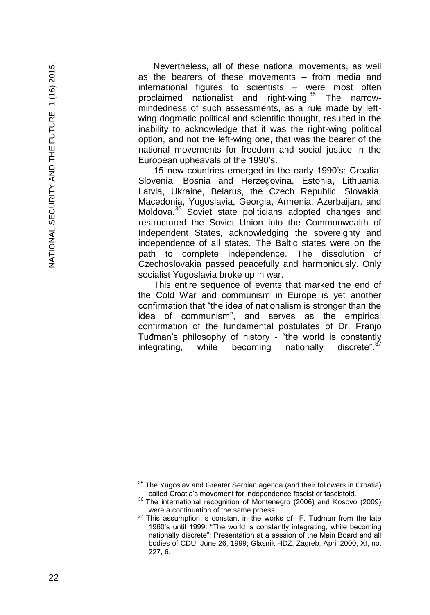Nevertheless, all of these national movements, as well as the bearers of these movements – from media and international figures to scientists – were most often proclaimed nationalist and right-wing.<sup>35</sup> The narrowmindedness of such assessments, as a rule made by leftwing dogmatic political and scientific thought, resulted in the inability to acknowledge that it was the right-wing political option, and not the left-wing one, that was the bearer of the national movements for freedom and social justice in the European upheavals of the 1990's.

15 new countries emerged in the early 1990's: Croatia, Slovenia, Bosnia and Herzegovina, Estonia, Lithuania, Latvia, Ukraine, Belarus, the Czech Republic, Slovakia, Macedonia, Yugoslavia, Georgia, Armenia, Azerbaijan, and Moldova.<sup>36</sup> Soviet state politicians adopted changes and restructured the Soviet Union into the Commonwealth of Independent States, acknowledging the sovereignty and independence of all states. The Baltic states were on the path to complete independence. The dissolution of Czechoslovakia passed peacefully and harmoniously. Only socialist Yugoslavia broke up in war.

This entire sequence of events that marked the end of the Cold War and communism in Europe is yet another confirmation that "the idea of nationalism is stronger than the idea of communism", and serves as the empirical confirmation of the fundamental postulates of Dr. Franjo Tuđman's philosophy of history - "the world is constantly integrating, while becoming nationally discrete". $37$ 

 $35$  The Yugoslav and Greater Serbian agenda (and their followers in Croatia) called Croatia's movement for independence fascist or fascistoid.

<sup>36</sup> The international recognition of Montenegro (2006) and Kosovo (2009) were a continuation of the same proess.

 $37$  This assumption is constant in the works of F. Tuđman from the late 1960's until 1999: "The world is constantly integrating, while becoming nationally discrete"; Presentation at a session of the Main Board and all bodies of CDU, June 26, 1999; Glasnik HDZ, Zagreb, April 2000, XI, no. 227, 6.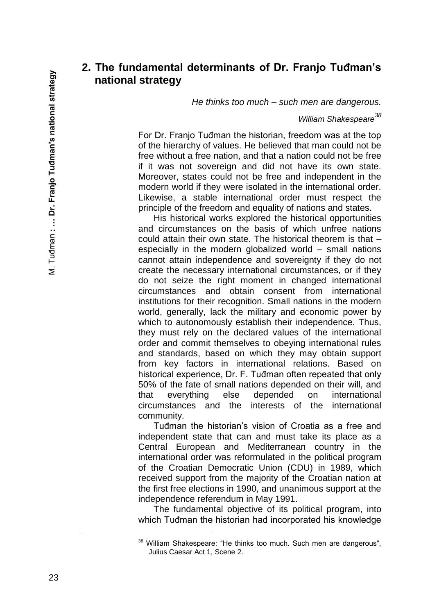## **2. The fundamental determinants of Dr. Franjo Tuđman's national strategy**

*He thinks too much – such men are dangerous.*

*William Shakespeare<sup>38</sup>*

For Dr. Franjo Tuđman the historian, freedom was at the top of the hierarchy of values. He believed that man could not be free without a free nation, and that a nation could not be free if it was not sovereign and did not have its own state. Moreover, states could not be free and independent in the modern world if they were isolated in the international order. Likewise, a stable international order must respect the principle of the freedom and equality of nations and states.

His historical works explored the historical opportunities and circumstances on the basis of which unfree nations could attain their own state. The historical theorem is that – especially in the modern globalized world – small nations cannot attain independence and sovereignty if they do not create the necessary international circumstances, or if they do not seize the right moment in changed international circumstances and obtain consent from international institutions for their recognition. Small nations in the modern world, generally, lack the military and economic power by which to autonomously establish their independence. Thus, they must rely on the declared values of the international order and commit themselves to obeying international rules and standards, based on which they may obtain support from key factors in international relations. Based on historical experience, Dr. F. Tuđman often repeated that only 50% of the fate of small nations depended on their will, and that everything else depended on international circumstances and the interests of the international community.

Tuđman the historian's vision of Croatia as a free and independent state that can and must take its place as a Central European and Mediterranean country in the international order was reformulated in the political program of the Croatian Democratic Union (CDU) in 1989, which received support from the majority of the Croatian nation at the first free elections in 1990, and unanimous support at the independence referendum in May 1991.

The fundamental objective of its political program, into which Tuđman the historian had incorporated his knowledge

<sup>&</sup>lt;sup>38</sup> William Shakespeare: "He thinks too much. Such men are dangerous", Julius Caesar Act 1, Scene 2.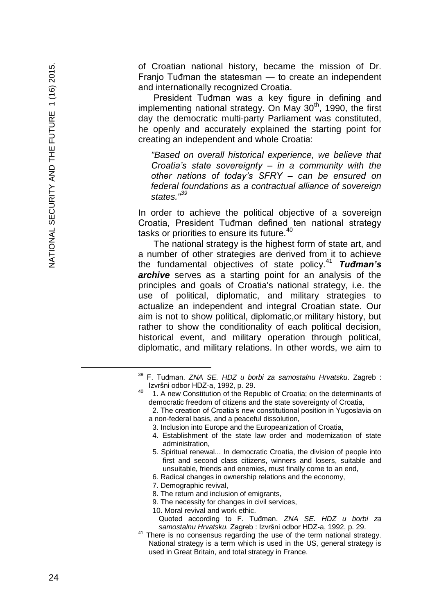of Croatian national history, became the mission of Dr. Franjo Tuđman the statesman — to create an independent and internationally recognized Croatia.

President Tuđman was a key figure in defining and implementing national strategy. On May  $30<sup>th</sup>$ , 1990, the first day the democratic multi -party Parliament was constituted, he openly and accurately explained the starting point for creating an independent and whole Croatia :

*"Based on overall historical experience, we believe that Croatia's state sovereignty – in a community with the other nations of today's SFRY – can be ensured on federal foundations as a contractual alliance of sovereign states."<sup>39</sup>*

In order to achieve the political objective of a sovereign Croatia, President Tuđman defined ten national strategy tasks or priorities to ensure its future.<sup>40</sup>

The national strategy is the highest form of state art, and a number of other strategies are derived from it to achieve the fundamental objectives of state policy.<sup>41</sup> *Tuđman's archive* serves as a starting point for an analysis of the principles and goals of Croatia's national strategy, i.e. the use of political, diplomatic, and military strategies to actualize an independent and integral Croatian state. Our aim is not to show political, diplomatic,or military history, but rather to show the conditionality of each political decision, historical event, and military operation through political, diplomatic, and military relations. In other words, we aim to

- 4. Establishment of the state law order and modernization of state administration,
- 5. Spiritual renewal... In democratic Croatia, the division of people into first and second class citizens, winners and losers, suitable and unsuitable, friends and enemies, must finally come to an end,
- 6. Radical changes in ownership relations and the economy,
- 7. Demographic revival,
- 8. The return and inclusion of emigrants,
- 9. The necessity for changes in civil services,
- 10. Moral revival and work ethic.

È,

<sup>39</sup> F. Tuđman. *ZNA SE. HDZ u borbi za samostalnu Hrvatsku*. Zagreb : Izvršni odbor HDZ -a, 1992, p. 29. 40

 <sup>1.</sup> A new Constitution of the Republic of Croatia; on the determinants of democratic freedom of citizens and the state sovereignty of Croatia,

 <sup>2.</sup> The creation of Croatia's new constitutional position in Yugoslavia on a non -federal basis, and a peaceful dissolution,

<sup>3.</sup> Inclusion into Europe and the Europeanization of Croatia,

Quoted according to F. Tuđman. *ZNA SE. HDZ u borbi za samostalnu Hrvatsku.* Zagreb : Izvršni odbor HDZ -a, 1992, p. 29.

<sup>&</sup>lt;sup>41</sup> There is no consensus regarding the use of the term national strategy. National strategy is a term which is used in the US, general strategy is used in Great Britain, and total strategy in France.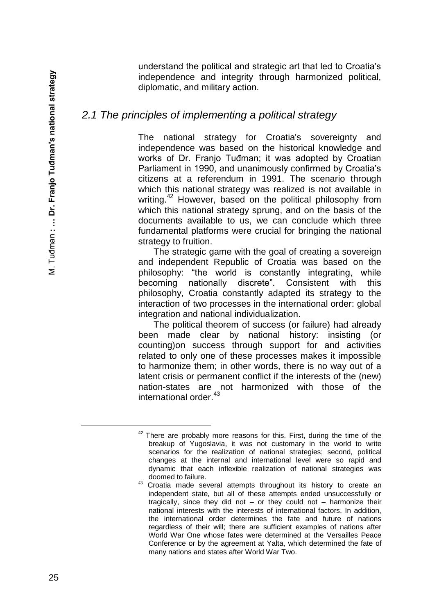understand the political and strategic art that led to Croatia's independence and integrity through harmonized political, diplomatic, and military action.

## *2.1 The principles of implementing a political strategy*

The national strategy for Croatia's sovereignty and independence was based on the historical knowledge and works of Dr. Franjo Tuđman; it was adopted by Croatian Parliament in 1990, and unanimously confirmed by Croatia's citizens at a referendum in 1991. The scenario through which this national strategy was realized is not available in writing.<sup>42</sup> However, based on the political philosophy from which this national strategy sprung, and on the basis of the documents available to us, we can conclude which three fundamental platforms were crucial for bringing the national strategy to fruition.

The strategic game with the goal of creating a sovereign and independent Republic of Croatia was based on the philosophy: "the world is constantly integrating, while becoming nationally discrete". Consistent with this philosophy, Croatia constantly adapted its strategy to the interaction of two processes in the international order: global integration and national individualization.

The political theorem of success (or failure) had already been made clear by national history: insisting (or counting)on success through support for and activities related to only one of these processes makes it impossible to harmonize them; in other words, there is no way out of a latent crisis or permanent conflict if the interests of the (new) nation-states are not harmonized with those of the international order.<sup>43</sup>

 $42$  There are probably more reasons for this. First, during the time of the breakup of Yugoslavia, it was not customary in the world to write scenarios for the realization of national strategies; second, political changes at the internal and international level were so rapid and dynamic that each inflexible realization of national strategies was doomed to failure.

<sup>43</sup> Croatia made several attempts throughout its history to create an independent state, but all of these attempts ended unsuccessfully or tragically, since they did not – or they could not – harmonize their national interests with the interests of international factors. In addition, the international order determines the fate and future of nations regardless of their will; there are sufficient examples of nations after World War One whose fates were determined at the Versailles Peace Conference or by the agreement at Yalta, which determined the fate of many nations and states after World War Two.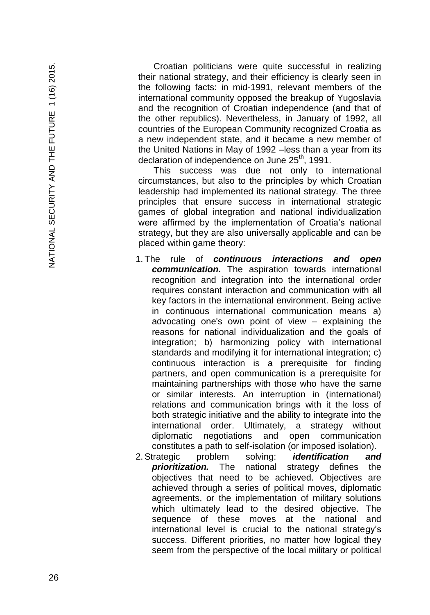Croatian politicians were quite successful in realizing their national strategy, and their efficiency is clearly seen in the following facts: in mid -1991, relevant members of the international community opposed the breakup of Yugoslavia and the recognition of Croatian independence (and that of the other republics). Nevertheless, in January of 1992, all countries of the European Community recognized Croatia as a new independent state, and it became a new member of the United Nations in May of 1992 –less than a year from its declaration of independence on June 25<sup>th</sup>, 1991.

This success was due not only to international circumstances, but also to the principles by which Croatian leadership had implemented its national strategy. The three principles that ensure success in international strategic games of global integration and national individualization were affirmed by the implementation of Croatia's national strategy, but they are also universally applicable and can be placed within game theory:

- 1. The rule of *continuous interactions and open communication.* The aspiration towards international recognition and integration into the international order requires constant interaction and communication with all key factors in the international environment. Being active in continuous international communication means a) advocating one's own point of view – explaining the reasons for national individualization and the goals of integration; b) harmonizing policy with international standards and modifying it for international integration; c) continuous interaction is a prerequisite for finding partners, and open communication is a prerequisite for maintaining partnerships with those who have the same or similar interests. An interruption in (international) relations and communication brings with it the loss of both strategic initiative and the ability to integrate into the international order. Ultimately, a strategy without diplomatic negotiations and open communication constitutes a path to self -isolation (or imposed isolation).
- 2.Strategic problem solving: *identification and prioritization.* The national strategy defines the objectives that need to be achieved. Objectives are achieved through a series of political moves, diplomatic agreements, or the implementation of military solutions which ultimately lead to the desired objective. The sequence of these moves at the national and international level is crucial to the national strategy's success. Different priorities, no matter how logical they seem from the perspective of the local military or political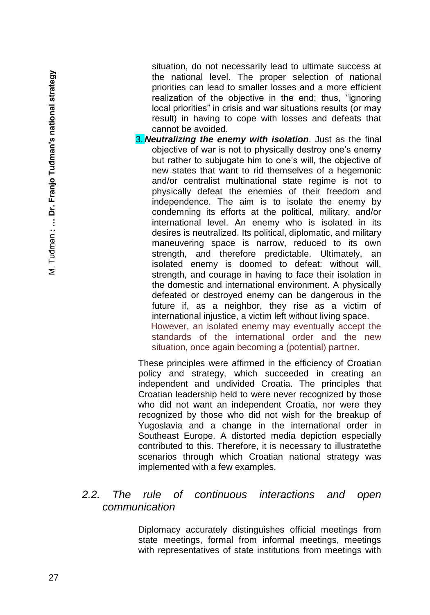situation, do not necessarily lead to ultimate success at the national level. The proper selection of national priorities can lead to smaller losses and a more efficient realization of the objective in the end; thus, "ignoring local priorities" in crisis and war situations results (or may result) in having to cope with losses and defeats that cannot be avoided.

3. *Neutralizing the enemy with isolation*. Just as the final objective of war is not to physically destroy one's enemy but rather to subjugate him to one's will, the objective of new states that want to rid themselves of a hegemonic and/or centralist multinational state regime is not to physically defeat the enemies of their freedom and independence. The aim is to isolate the enemy by condemning its efforts at the political, military, and/or international level. An enemy who is isolated in its desires is neutralized. Its political, diplomatic, and military maneuvering space is narrow, reduced to its own strength, and therefore predictable. Ultimately, an isolated enemy is doomed to defeat: without will, strength, and courage in having to face their isolation in the domestic and international environment. A physically defeated or destroyed enemy can be dangerous in the future if, as a neighbor, they rise as a victim of international injustice, a victim left without living space. However, an isolated enemy may eventually accept the standards of the international order and the new situation, once again becoming a (potential) partner.

These principles were affirmed in the efficiency of Croatian policy and strategy, which succeeded in creating an independent and undivided Croatia. The principles that Croatian leadership held to were never recognized by those who did not want an independent Croatia, nor were they recognized by those who did not wish for the breakup of Yugoslavia and a change in the international order in Southeast Europe. A distorted media depiction especially contributed to this. Therefore, it is necessary to illustratethe scenarios through which Croatian national strategy was implemented with a few examples.

### *2.2. The rule of continuous interactions and open communication*

Diplomacy accurately distinguishes official meetings from state meetings, formal from informal meetings, meetings with representatives of state institutions from meetings with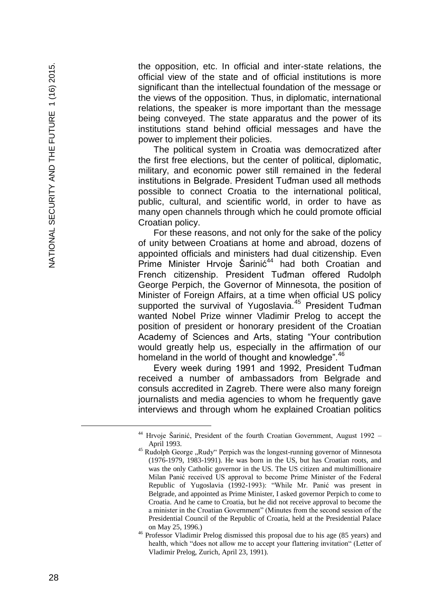the opposition, etc. In official and inter -state relations, the official view of the state and of official institutions is more significant than the intellectual foundation of the message or the views of the opposition. Thus, in diplomatic, international relations, the speaker is more important than the message being conveyed. The state apparatus and the power of its institutions stand behind official messages and have the power to implement their policies.

The political system in Croatia was democratized after the first free elections, but the center of political, diplomatic, military, and economic power still remained in the federal institutions in Belgrade. President Tuđman used all methods possible to connect Croatia to the international political, public, cultural, and scientific world, in order to have as many open channels through which he could promote official Croatian policy.

For these reasons, and not only for the sake of the policy of unity between Croatians at home and abroad, dozens of appointed officials and ministers had dual citizenship. Even  $Prime$  Minister Hrvoje Šarinić<sup>44</sup> had both Croatian and French citizenship. President Tuđman offered Rudolph George Perpich, the Governor of Minnesota, the position of Minister of Foreign Affairs, at a time when official US policy supported the survival of Yugoslavia.<sup>45</sup> President Tudman wanted Nobel Prize winner Vladimir Prelog to accept the position of president or honorary president of the Croatian Academy of Sciences and Arts, stating "Your contribution would greatly help us, especially in the affirmation of our homeland in the world of thought and knowledge".<sup>46</sup>

Every week during 1991 and 1992, President Tuđman received a number of ambassadors from Belgrade and consuls accredited in Zagreb. There were also many foreign journalists and media agencies to whom he frequently gave interviews and through whom he explained Croatian politics

<sup>&</sup>lt;sup>44</sup> Hrvoje Šarinić, President of the fourth Croatian Government, August 1992 -April 1993.

<sup>&</sup>lt;sup>45</sup> Rudolph George "Rudy" Perpich was the longest-running governor of Minnesota (1976 -1979, 1983 -1991). He was born in the US, but has Croatian roots, and was the only Catholic governor in the US. The US citizen and multimillionaire Milan Panić received US approval to become Prime Minister of the Federal Republic of Yugoslavia (1992 -1993): "While Mr. Panić was present in Belgrade, and appointed as Prime Minister, I asked governor Perpich to come to Croatia. And he came to Croatia, but he did not receive approval to become the a minister in the Croatian Government" (Minutes from the second session of the Presidential Council of the Republic of Croatia, held at the Presidential Palace on May 25, 1996.)

Professor Vladimir Prelog dismissed this proposal due to his age (85 years) and health, which "does not allow me to accept your flattering invitation" (Letter of Vladimir Prelog, Zurich, April 23, 1991).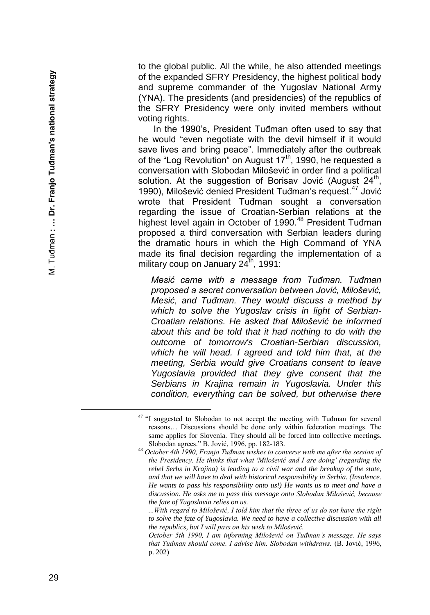to the global public. All the while, he also attended meetings of the expanded SFRY Presidency, the highest political body and supreme commander of the Yugoslav National Army (YNA). The presidents (and presidencies) of the republics of the SFRY Presidency were only invited members without voting rights.

In the 1990's, President Tuđman often used to say that he would "even negotiate with the devil himself if it would save lives and bring peace". Immediately after the outbreak of the "Log Revolution" on August 17<sup>th</sup>, 1990, he requested a conversation with Slobodan Milošević in order find a political solution. At the suggestion of Borisav Jović (August 24<sup>th</sup>, 1990), Milošević denied President Tuđman's request.<sup>47</sup> Jović wrote that President Tuđman sought a conversation regarding the issue of Croatian -Serbian relations at the highest level again in October of 1990.<sup>48</sup> President Tuđman proposed a third conversation with Serbian leaders during the dramatic hours in which the High Command of YNA made its final decision regarding the implementation of a military coup on January  $24<sup>th</sup>$ , 1991:

*Mesić came with a message from Tuđman. Tuđman proposed a secret conversation between Jović, Milošević, Mesić, and Tuđman. They would discuss a method by which to solve the Yugoslav crisis in light of Serbian - Croatian relations. He asked that Milošević be informed about this and be told that it had nothing to do with the outcome of tomorrow's Croatian -Serbian discussion, which he will head. I agreed and told him that, at the meeting, Serbia would give Croatians consent to leave Yugoslavia provided that they give consent that the Serbians in Krajina remain in Yugoslavia. Under this condition, everything can be solved, but otherwise there* 

*...With regard to Milošević, I told him that the three of us do not have the right to solve the fate of Yugoslavia. We need to have a collective discussion with all the republics, but I will pass on his wish to Milošević.*

*October 5th 1990, I am informing Milošević on Tuđman's message. He says that Tuđman should come. I advise him. Slobodan withdraws.* (B. Jović, 1996, p. 202)

<sup>&</sup>lt;sup>47</sup> "I suggested to Slobodan to not accept the meeting with Tuđman for several reasons… Discussions should be done only within federation meetings. The same applies for Slovenia. They should all be forced into collective meetings. Slobodan agrees." B. Jović, 1996, pp. 182 -183.

<sup>48</sup> *October 4th 1990, Franjo Tuđman wishes to converse with me after the session of the Presidency. He thinks that what 'Milošević and I are doing' (regarding the rebel Serbs in Krajina) is leading to a civil war and the breakup of the state, and that we will have to deal with historical responsibility in Serbia. (Insolence. He wants to pass his responsibility onto us!) He wants us to meet and have a discussion. He asks me to pass this message onto Slobodan Milošević, because the fate of Yugoslavia relies on us.*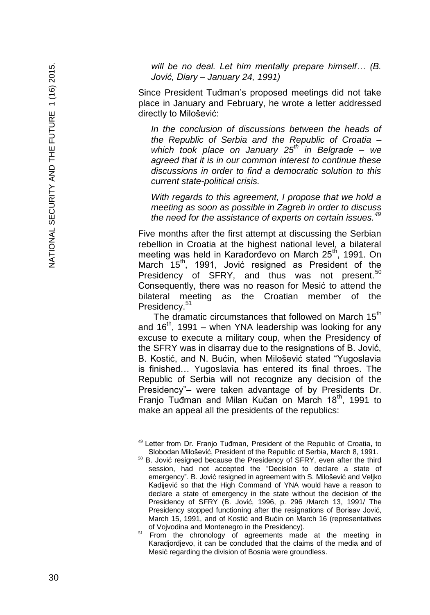*will be no deal. Let him mentally prepare himself… (B. Jović, Diary – January 24, 1991)*

Since President Tuđman's proposed meetings did not take place in January and February, he wrote a letter addressed directly to Milošević:

*In the conclusion of discussions between the heads of the Republic of Serbia and the Republic of Croatia – which took place on January 25th in Belgrade – we agreed that it is in our common interest to continue these discussions in order to find a democratic solution to this current state -political crisis.*

*With regards to this agreement, I propose that we hold a meeting as soon as possible in Zagreb in order to discuss the need for the assistance of experts on certain issues.<sup>49</sup>*

Five months after the first attempt at discussing the Serbian rebellion in Croatia at the highest national level, a bilateral meeting was held in Karađorđevo on March 25<sup>th</sup>, 1991. On March 15<sup>th</sup>, 1991, Jović resigned as President of the Presidency of SFRY, and thus was not present.<sup>50</sup> Consequently, there was no reason for Mesić to attend the bilateral meeting as the Croatian member of the Presidency.<sup>51</sup>

The dramatic circumstances that followed on March 15<sup>th</sup> and 16<sup>th</sup>, 1991 – when YNA leadership was looking for any excuse to execute a military coup, when the Presidency of the SFRY was in disarray due to the resignations of B. Jović, B. Kostić, and N. Bućin, when Milošević stated "Yugoslavia is finished… Yugoslavia has entered its final throes. The Republic of Serbia will not recognize any decision of the Presidency" – were taken advantage of by Presidents Dr. Franjo Tuđman and Milan Kučan on March 18<sup>th</sup>, 1991 to make an appeal all the presidents of the republics:

<sup>&</sup>lt;sup>49</sup> Letter from Dr. Franjo Tuđman, President of the Republic of Croatia, to Slobodan Milošević, President of the Republic of Serbia, March 8, 1991.

 $50$  B. Jović resigned because the Presidency of SFRY, even after the third session, had not accepted the "Decision to declare a state of emergency ". B. Jović resigned in agreement with S. Milošević and Veljko Kadijević so that the High Command of YNA would have a reason to declare a state of emergency in the state without the decisio n of the Presidency of SFRY (B. Jović, 1996, p. 296 /March 13, 1991/ The Presidency stopped functioning after the resignations of Borisav Jović, March 15, 1991 , and of Kosti ć and Bu ćin on March 16 (representatives of Vojvodina and Montenegro in the Presidency).

<sup>&</sup>lt;sup>51</sup> From the chronology of agreements made at the meeting in Karadjordjevo, it can be concluded that the claims of the media and of Mesi ć regarding the division of Bosnia were groundless .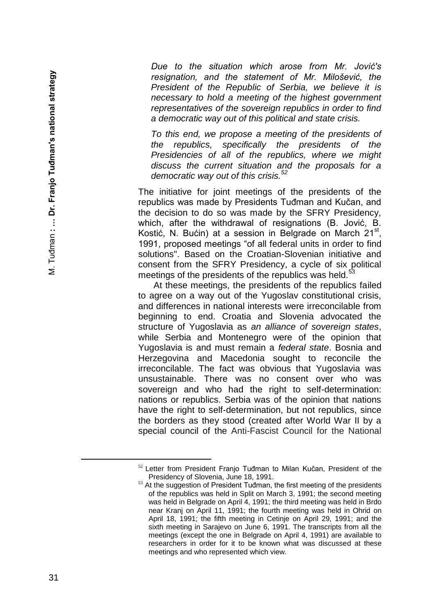*Due to the situation which arose from Mr. Jović's resignation, and the statement of Mr. Milošević, the President of the Republic of Serbia, we believe it is necessary to hold a meeting of the highest government representatives of the sovereign republics in order to find a democratic way out of this political and state crisis.*

*To this end, we propose a meeting of the presidents of the republics, specifically the presidents of the Presidencies of all of the republics, where we might discuss the current situation and the proposals for a democratic way out of this crisis.<sup>52</sup>*

The initiative for joint meetings of the presidents of the republics was made by Presidents Tuđman and Kučan, and the decision to do so was made by the SFRY Presidency, which, after the withdrawal of resignations (B. Jović, B. Kostić, N. Bućin) at a session in Belgrade on March 21st, 1991, proposed meetings "of all federal units in order to find solutions". Based on the Croatian -Slovenian initiative and consent from the SFRY Presidency, a cycle of six political meetings of the presidents of the republics was held.<sup>5</sup>

At these meetings, the presidents of the republics failed to agree on a way out of the Yugoslav constitutional crisis, and differences in national interests were irreconcilable from beginning to end. Croatia and Slovenia advocated the structure of Yugoslavia as *an alliance of sovereign states*, while Serbia and Montenegro were of the opinion that Yugoslavia is and must remain a *federal state*. Bosnia and Herzegovina and Macedonia sought to reconcile the irreconcilable. The fact was obvious that Yugoslavia was unsustainable. There was no consent over who was sovereign and who had the right to self -determination: nations or republics. Serbia was of the opinion that nations have the right to self -determination, but not republics, since the borders as they stood (created after World War II by a special council of the Anti -Fascist Council for the National

<sup>&</sup>lt;sup>52</sup> Letter from President Franjo Tuđman to Milan Kučan, President of the Presidency of Slovenia, June 18, 1991.

<sup>53</sup> At the suggestion of President Tuđman, the first meeting of the presidents of the republics was held in Split on March 3, 1991; the second meeting was held in Belgrade on April 4, 1991; the third meeting was held in Brdo near Kranj on April 11, 1991; the fourth meeting was held in Ohrid on April 18, 1991; the fifth meeting in Cetinje on April 29, 1991; and the sixth meeting in Sarajevo on June 6, 1991. The transcripts from all the meetings (except the one in Belgrade on April 4, 1991) are available to researchers in order for it to be known what was discussed at these meetings and who represented which view.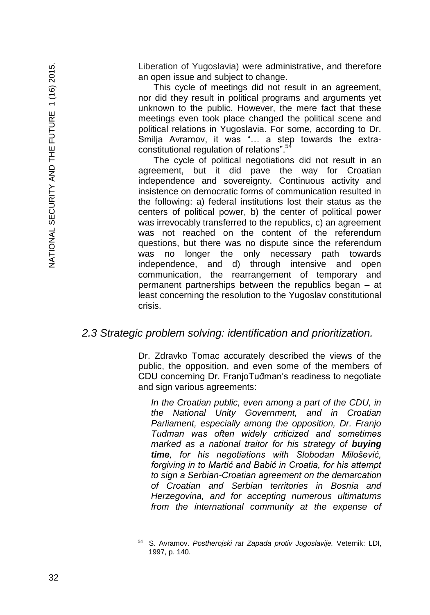Liberation of Yugoslavia) were administrative, and therefore an open issue and subject to change.

This cycle of meetings did not result in an agreement, nor did they result in political programs and arguments yet unknown to the public. However, the mere fact that these meetings even took place changed the political scene and political relations in Yugoslavia. For some, according to Dr. Smilja Avramov, it was "… a step towards the extraconstitutional regulation of relations".<sup>5</sup>

The cycle of political negotiations did not result in an agreement, but it did pave the way for Croatian independence and sovereignty. Continuous activity and insistence on democratic forms of communication resulted in the following: a) federal institutions lost their status as the centers of political power, b) the center of political power was irrevocably transferred to the republics, c) an agreement was not reached on the content of the referendum questions, but there was no dispute since the referendum was no longer the only necessary path towards independence, and d) through intensive and open communication, the rearrangement of temporary and permanent partnerships between the republics began – at least concerning the resolution to the Yugoslav constitutional crisis.

#### *2.3 Strategic problem solving: identification and prioritization.*

Dr. Zdravko Tomac accurately described the views of the public, the opposition, and even some of the members of CDU concerning Dr. FranjoTuđman's readiness to negotiate and sign various agreements:

*In the Croatian public, even among a part of the CDU, in the National Unity Government, and in Croatian Parliament, especially among the opposition, Dr. Franjo Tuđman was often widely criticized and sometimes marked as a national traitor for his strategy of buying time, for his negotiations with Slobodan Milošević, forgiving in to Martić and Babić in Croatia, for his attempt to sign a Serbian-Croatian agreement on the demarcation of Croatian and Serbian territories in Bosnia and Herzegovina, and for accepting numerous ultimatums from the international community at the expense of* 

<sup>54</sup> S. Avramov. *Postherojski rat Zapada protiv Jugoslavije.* Veternik: LDI, 1997, p. 140.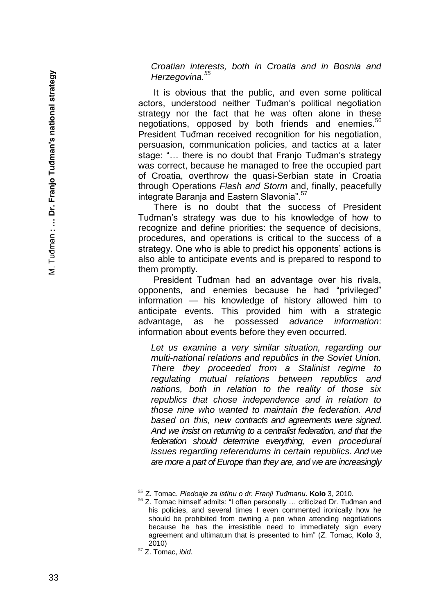*Croatian interests, both in Croatia and in Bosnia and Herzegovina.<sup>55</sup>*

It is obvious that the public, and even some political actors, understood neither Tuđman's political negotiation strategy nor the fact that he was often alone in these negotiations, opposed by both friends and enemies.<sup>56</sup> President Tuđman received recognition for his negotiation, persuasion, communication policies, and tactics at a later stage: "… there is no doubt that Franjo Tuđman's strategy was correct, because he managed to free the occupied part of Croatia, overthrow the quasi -Serbian state in Croatia through Operations *Flash and Storm* and, finally, peacefully integrate Baranja and Eastern Slavonia".<sup>57</sup>

There is no doubt that the success of President Tuđman's strategy was due to his knowledge of how to recognize and define priorities: the sequence of decisions, procedures, and operations is critical to the success of a strategy. One who is able to predict his opponents' actions is also able to anticipate events and is prepared to respond to them promptly.

President Tuđman had an advantage over his rivals, opponents, and enemies because he had "privileged" information — his knowledge of history allowed him to anticipate events. This provided him with a strategic advantage, as he possessed *advance information*: information about events before they even occurred.

*Let us examine a very similar situation, regarding our multi -national relations and republics in the Soviet Union. There they proceeded from a Stalinist regime to regulating mutual relations between republics and nations, both in relation to the reality of those six republics that chose independence and in relation to those nine who wanted to maintain the federation. And based on this, new contracts and agreements were signed. And we insist on returning to a centralist federation, and that the federation should determine everything, even procedural issues regarding referendums in certain republics. And we are more a part of Europe than they are, and we are increasingly* 

È,

<sup>55</sup> Z. Tomac. *Pledoaje za istinu o dr. Franji Tuđmanu*. **Kolo** 3, 2010.

<sup>56</sup> Z. Tomac himself admits: "I often personally … criticized Dr. Tuđman and his policies, and several times I even commented ironically how he should be prohibited from owning a pen when attending negotiations because he has the irresistible need to immediately sign every agreement and ultimatum that is presented to him" (Z. Tomac, **Kolo** 3, 2010)

<sup>57</sup> Z. Tomac, *ibid*.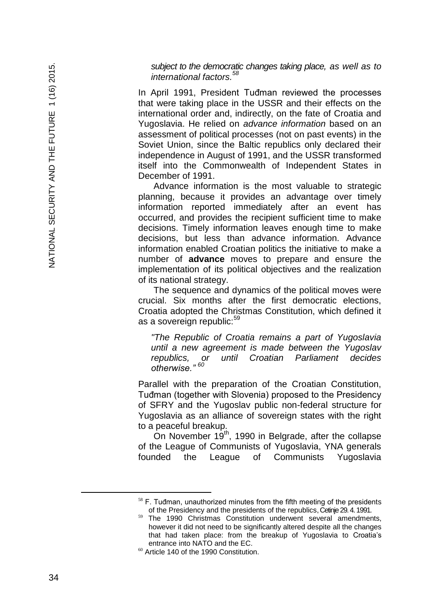*subject to the democratic changes taking place, as well as to international factors.<sup>58</sup>*

In April 1991, President Tuđman reviewed the processes that were taking place in the USSR and their effects on the international order and, indirectly, on the fate of Croatia and Yugoslavia. He relied on *advance information* based on an assessment of political processes (not on past events) in the Soviet Union, since the Baltic republics only declared their independence in August of 1991, and the USSR transformed itself into the Commonwealth of Independent States in December of 1991.

Advance information is the most valuable to strategic planning, because it provides an advantage over timely information reported immediately after an event has occurred, and provides the recipient sufficient time to make decisions. Timely information leaves enough time to make decisions, but less than advance information. Advance information enabled Croatian politics the initiative to make a number of **advance** moves to prepare and ensure the implementation of its political objectives and the realization of its national strategy.

The sequence and dynamics of the political moves were crucial. Six months after the first democratic elections, Croatia adopted the Christmas Constitution, which defined it as a sovereign republic:<sup>59</sup>

*"The Republic of Croatia remains a part of Yugoslavia until a new agreement is made between the Yugoslav republics, or until Croatian Parliament decides otherwise." <sup>60</sup>*

Parallel with the preparation of the Croatian Constitution, Tuđman (together with Slovenia) proposed to the Presidency of SFRY and the Yugoslav public non -federal structure for Yugoslavia as an alliance of sovereign states with the right to a peaceful breakup.

On November  $19<sup>th</sup>$ , 1990 in Belgrade, after the collapse of the League of Communists of Yugoslavia, YNA generals founded the League of Communists Yugoslavia

 $58$  F. Tuđman, unauthorized minutes from the fifth meeting of the presidents of the Presidency and the presidents of the republics, Cetinje 29. 4. 1991.

The 1990 Christmas Constitution underwent several amendments, however it did not need to be significantly altered despite all the changes that had taken place: from the breakup of Yugoslavia to Croatia's entrance into NATO and the E C .

<sup>60</sup> Article 140 of the 1990 Constitution.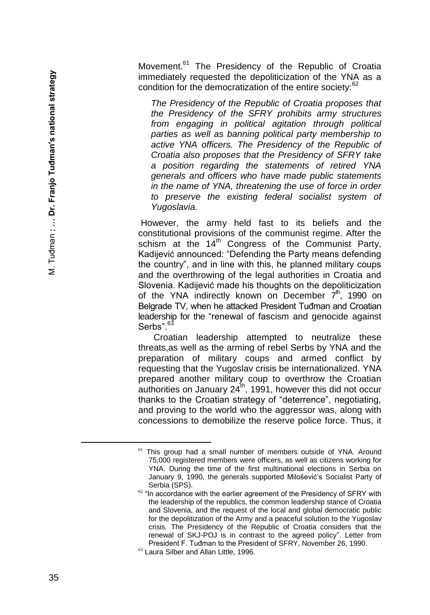Movement.<sup>61</sup> The Presidency of the Republic of Croatia immediately requested the depoliticization of the YNA as a condition for the democratization of the entire society:<sup>62</sup>

*The Presidency of the Republic of Croatia proposes that the Presidency of the SFRY prohibits army structures from engaging in political agitation through political parties as well as banning political party membership to active YNA officers. The Presidency of the Republic of Croatia also proposes that the Presidency of SFRY take a position regarding the statements of retired YNA generals and officers who have made public statements in the name of YNA, threatening the use of force in order to preserve the existing federal socialist system of Yugoslavia.*

However, the army held fast to its beliefs and the constitutional provisions of the communist regime. After the schism at the  $14<sup>th</sup>$  Congress of the Communist Party, Kadijević announced: "Defending the Party means defending the country", and in line with this, he planned military coups and the overthrowing of the legal authorities in Croatia and Slovenia. Kadijević made his thoughts on the depoliticization of the YNA indirectly known on December  $7<sup>th</sup>$ , 1990 on Belgrade TV, when he attacked President Tuđman and Croatian leadership for the "renewal of fascism and genocide against Serbs"<sup>63</sup>

Croatian leadership attempted to neutralize these threats,as well as the arming of rebel Serbs by YNA and the preparation of military coups and armed conflict by requesting that the Yugoslav crisis be internationalized. YNA prepared another military coup to overthrow the Croatian authorities on January  $24<sup>th</sup>$ , 1991, however this did not occur thanks to the Croatian strategy of "deterrence", negotiating, and proving to the world who the aggressor was, along with concessions to demobilize the reserve police force. Thus, it

<sup>&</sup>lt;sup>61</sup> This group had a small number of members outside of YNA. Around 75 ,000 registered members were officers, as well as citizens working for YNA. During the time of the first multinational elections in Serbia on January 9, 1990, the generals supported Milošević's Socialist Party of Serbia (SPS) .

 $62$  "In accordance with the earlier agreement of the Presidency of SFRY with the leadership of the republics, the common leadership stance of Croatia and Slovenia, and the request of the local and global democratic public for the depolitization of the Army and a peaceful solution to the Yugoslav crisis. The Presidency of the Republic of Croatia considers that the renewal of SKJ -POJ is in contrast to the agreed policy". Letter from President F. Tuđman to the President of SFRY, November 26, 1990.

<sup>63</sup> Laura Silber and Allan Little, 1996.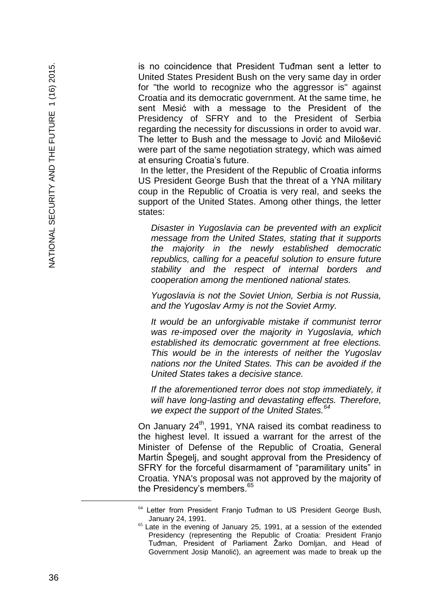is no coincidence that President Tuđman sent a letter to United States President Bush on the very same day in order for "the world to recognize who the aggressor is" against Croatia and its democratic government. At the same time, he sent Mesić with a message to the President of the Presidency of SFRY and to the President of Serbia regarding the necessity for discussions in order to avoid war. The letter to Bush and the message to Jović and Milošević were part of the same negotiation strategy, which was aimed at ensuring Croatia's future.

In the letter, the President of the Republic of Croatia informs US President George Bush that the threat of a YNA military coup in the Republic of Croatia is very real, and seeks the support of the United States. Among other things, the letter states:

*Disaster in Yugoslavia can be prevented with an explicit message from the United States, stating that it supports the majority in the newly established democratic republics, calling for a peaceful solution to ensure future stability and the respect of internal borders and cooperation among the mentioned national states.*

*Yugoslavia is not the Soviet Union, Serbia is not Russia, and the Yugoslav Army is not the Soviet Army.*

*It would be an unforgivable mistake if communist terror was re -imposed over the majority in Yugoslavia, which established its democratic government at free elections. This would be in the interests of neither the Yugoslav nations nor the United States. This can be avoided if the United States takes a decisive stance.*

*If the aforementioned terror does not stop immediately, it will have long -lasting and devastating effects. Therefore, we expect the support of the United States.<sup>64</sup>*

On January 24<sup>th</sup>, 1991, YNA raised its combat readiness to the highest level. It issued a warrant for the arrest of the Minister of Defense of the Republic of Croatia, General Martin Špegelj, and sought approval from the Presidency of SFRY for the forceful disarmament of "paramilitary units" in Croatia. YNA's proposal was not approved by the majority of the Presidency's members.<sup>65</sup>

<sup>&</sup>lt;sup>64</sup> Letter from President Franjo Tuđman to US President George Bush, January 24, 1991.

 $65$  Late in the evening of January 25, 1991, at a session of the extended Presidency (representing the Republic of Croatia: President Franjo Tuđman, President of Parliament Žarko Domljan , and Head of Government Josip Manoli ć), an agreement was made to break up the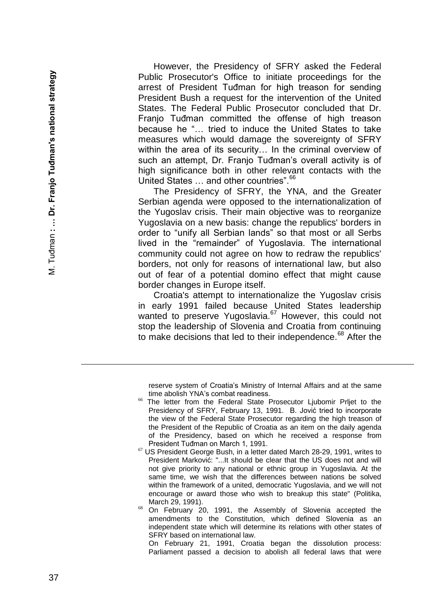However, the Presidency of SFRY asked the Federal Public Prosecutor's Office to initiate proceedings for the arrest of President Tuđman for high treason for sending President Bush a request for the intervention of the United States. The Federal Public Prosecutor concluded that Dr. Franjo Tuđman committed the offense of high treason because he "… tried to induce the United States to take measures which would damage the sovereignty of SFRY within the area of its security… In the criminal overview of such an attempt, Dr. Franjo Tuđman's overall activity is of high significance both in other relevant contacts with the United States ... and other countries".<sup>66</sup>

The Presidency of SFRY, the YNA, and the Greater Serbian agenda were opposed to the internationalization of the Yugoslav crisis. Their main objective was to reorganize Yugoslavia on a new basis: change the republics' borders in order to "unify all Serbian lands" so that most or all Serbs lived in the "remainder" of Yugoslavia. The international community could not agree on how to redraw the republics' borders, not only for reasons of international law, but also out of fear of a potential domino effect that might cause border changes in Europe itself.

Croatia's attempt to internationalize the Yugoslav crisis in early 1991 failed because United States leadership wanted to preserve Yugoslavia.<sup>67</sup> However, this could not stop the leadership of Slovenia and Croatia from continuing to make decisions that led to their independence.<sup>68</sup> After the

reserve system of Croatia's Ministry of Internal Affairs and at the same time abolish YNA's combat readiness.

- The letter from the Federal State Prosecutor Liubomir Prliet to the Presidency of SFRY, February 13, 1991. B. Jović tried to incorporate the view of the Federal State Prosecutor regarding the high treason of the President of the Republic of Croatia as an item on the daily agenda of the Presidency, based on which he received a response from President Tuđman on March 1, 1991.
- $67$  US President George Bush, in a letter dated March 28-29, 1991, writes to President Markovi ć: "...It should be clear that the US does not and will not give priority to any national or ethnic group in Yugoslavia. At the same time, we wish that the differences between nations be solved within the framework of a united, democratic Yugoslavia , and we will not encourage or award those who wish to breakup this state" (Politika, March 29, 1991) .
- $68$  On February 20, 1991, the Assembly of Slovenia accepted the amendments to the Constitution, which define d Slovenia as an independent state which will determine its relations with other states of SFRY based on international law .

 On February 21, 1991, Croatia began the dissolution process: Parliament passed a decision to abolish all federal laws that were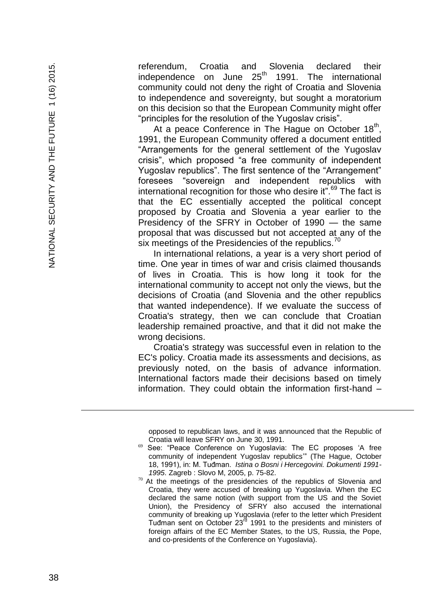referendum, Croatia and Slovenia declared their independence on June 25<sup>th</sup> 1991. The international community could not deny the right of Croatia and Slovenia to independence and sovereignty, but sought a moratorium on this decision so that the European Community might offer "principles for the resolution of the Yugoslav crisis".

At a peace Conference in The Hague on October  $18<sup>th</sup>$ , 1991, the European Community offered a document entitled "Arrangements for the general settlement of the Yugoslav crisis", which proposed "a free community of independent Yugoslav republics". The first sentence of the "Arrangement" foresees "sovereign and independent republics with international recognition for those who desire it".<sup>69</sup> The fact is that the EC essentially accepted the political concept proposed by Croatia and Slovenia a year earlier to the Presidency of the SFRY in October of 1990 — the same proposal that was discussed but not accepted at any of the six meetings of the Presidencies of the republics.<sup>70</sup>

In international relations, a year is a very short period of time. One year in times of war and crisis claimed thousands of lives in Croatia. This is how long it took for the international community to accept not only the views, but the decisions of Croatia (and Slovenia and the other republics that wanted independence). If we evaluate the success of Croatia's strategy, then we can conclude that Croatian leadership remained proactive, and that it did not make the wrong decisions.

Croatia's strategy was successful even in relation to the EC's policy. Croatia made its assessments and decisions, as previously noted, on the basis of advance information. International factors made their decisions based on timely information. They could obtain the information first -hand –

opposed to republican laws , and it was announced that the Republic of Croatia will leave SFRY on June 30, 1991.

i<br>L

<sup>&</sup>lt;sup>69</sup> See: "Peace Conference on Yugoslavia: The EC proposes 'A free community of independent Yugoslav republics'" (The Hague, October 18, 1991), in: M. Tuđman. *Istina o Bosni i Hercegovini. Dokumenti 1991 - 1995*. Zagreb : Slovo M, 2005, p. 75 -82.

 $70$  At the meetings of the presidencies of the republics of Slovenia and Croatia, they were accused of breaking up Yugoslavia. When the EC declared the same notion (with support from the US and the Soviet Union) , the Presidency of SFRY also accused the international community of breaking up Yugoslavia (refer to the letter which President Tuđman sent on October  $23<sup>rd</sup>$  1991 to the presidents and ministers of foreign affairs of the EC Member States, to the U S, Russia, the Pope, and co -presidents of the Conference on Yugoslavia).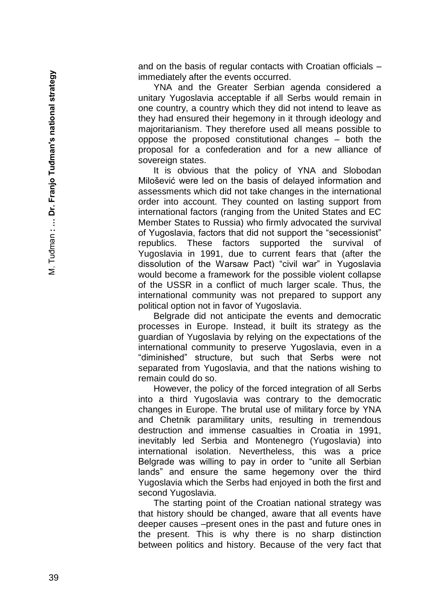and on the basis of regular contacts with Croatian officials – immediately after the events occurred.

YNA and the Greater Serbian agenda considered a unitary Yugoslavia acceptable if all Serbs would remain in one country, a country which they did not intend to leave as they had ensured their hegemony in it through ideology and majoritarianism. They therefore used all means possible to oppose the proposed constitutional changes – both the proposal for a confederation and for a new alliance of sovereign states.

It is obvious that the policy of YNA and Slobodan Milošević were led on the basis of delayed information and assessments which did not take changes in the international order into account. They counted on lasting support from international factors (ranging from the United States and EC Member States to Russia) who firmly advocated the survival of Yugoslavia, factors that did not support the "secessionist" republics. These factors supported the survival of Yugoslavia in 1991, due to current fears that (after the dissolution of the Warsaw Pact) "civil war" in Yugoslavia would become a framework for the possible violent collapse of the USSR in a conflict of much larger scale. Thus, the international community was not prepared to support any political option not in favor of Yugoslavia.

Belgrade did not anticipate the events and democratic processes in Europe. Instead, it built its strategy as the guardian of Yugoslavia by relying on the expectations of the international community to preserve Yugoslavia, even in a "diminished" structure, but such that Serbs were not separated from Yugoslavia, and that the nations wishing to remain could do so.

However, the policy of the forced integration of all Serbs into a third Yugoslavia was contrary to the democratic changes in Europe. The brutal use of military force by YNA and Chetnik paramilitary units, resulting in tremendous destruction and immense casualties in Croatia in 1991, inevitably led Serbia and Montenegro (Yugoslavia) into international isolation. Nevertheless, this was a price Belgrade was willing to pay in order to "unite all Serbian lands" and ensure the same hegemony over the third Yugoslavia which the Serbs had enjoyed in both the first and second Yugoslavia.

The starting point of the Croatian national strategy was that history should be changed, aware that all events have deeper causes –present ones in the past and future ones in the present. This is why there is no sharp distinction between politics and history. Because of the very fact that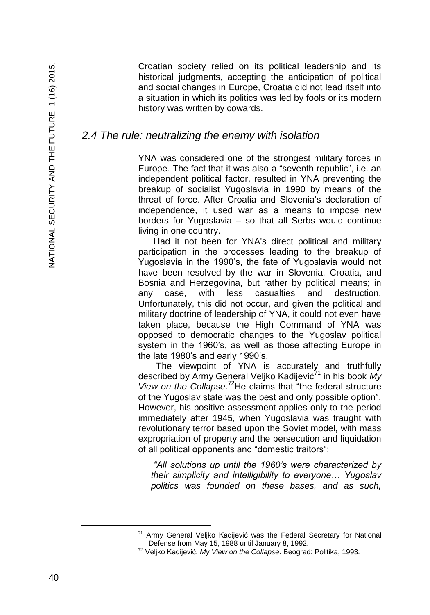Croatian society relied on its political leadership and its historical judgments, accepting the anticipation of political and social changes in Europe, Croatia did not lead itself into a situation in which its politics was led by fools or its modern history was written by cowards.

#### *2.4 The rule: neutralizing the enemy with isolation*

YNA was considered one of the strongest military forces in Europe. The fact that it was also a "seventh republic", i.e. an independent political factor, resulted in YNA preventing the breakup of socialist Yugoslavia in 1990 by means of the threat of force. After Croatia and Slovenia's declaration of independence, it used war as a means to impose new borders for Yugoslavia – so that all Serbs would continue living in one country.

Had it not been for YNA's direct political and military participation in the processes leading to the breakup of Yugoslavia in the 1990's, the fate of Yugoslavia would not have been resolved by the war in Slovenia, Croatia, and Bosnia and Herzegovina, but rather by political means; in any case, with less casualties and destruction. Unfortunately, this did not occur, and given the political and military doctrine of leadership of YNA, it could not even have taken place, because the High Command of YNA was opposed to democratic changes to the Yugoslav political system in the 1960's, as well as those affecting Europe in the late 1980's and early 1990's.

The viewpoint of YNA is accurately and truthfully described by Army General Veljko Kadijević<sup>71</sup> in his book My View on the Collapse.<sup>72</sup>He claims that "the federal structure of the Yugoslav state was the best and only possible option". However, his positive assessment applies only to the period immediately after 1945, when Yugoslavia was fraught with revolutionary terror based upon the Soviet model, with mass expropriation of property and the persecution and liquidation of all political opponents and "domestic traitors":

*"All solutions up until the 1960's were characterized by their simplicity and intelligibility to everyone… Yugoslav politics was founded on these bases, and as such,* 

 $71$  Army General Veljko Kadijević was the Federal Secretary for National Defense from May 15, 1988 until January 8, 1992.

<sup>72</sup> Veljko Kadijević. *My View on the Collapse*. Beograd: Politika, 1993.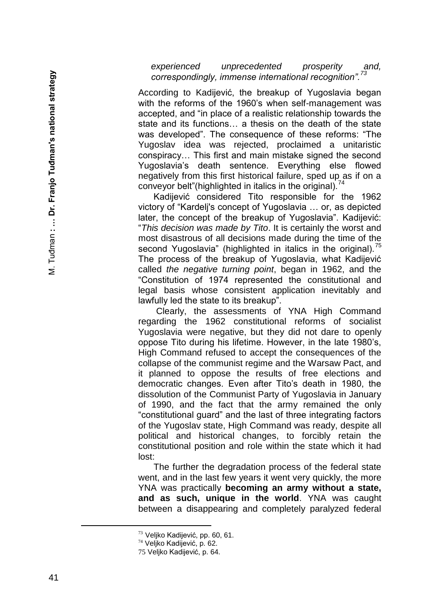*experienced unprecedented prosperity and, correspondingly, immense international recognition".<sup>73</sup>*

According to Kadijević, the breakup of Yugoslavia began with the reforms of the 1960's when self -management was accepted, and "in place of a realistic relationship towards the state and its functions… a thesis on the death of the state was developed". The consequence of these reforms: "The Yugoslav idea was rejected, proclaimed a unitaristic conspiracy… This first and main mistake signed the second Yugoslavia's death sentence. Everything else flowed negatively from this first historical failure, sped up as if on a conveyor belt"(highlighted in italics in the original).<sup>74</sup>

Kadijević considered Tito responsible for the 1962 victory of "Kardelj's concept of Yugoslavia … or, as depicted later, the concept of the breakup of Yugoslavia". Kadijević: "*This decision was made by Tito*. It is certainly the worst and most disastrous of all decisions made during the time of the second Yugoslavia" (highlighted in italics in the original).<sup>75</sup> The process of the breakup of Yugoslavia, what Kadijević called *the negative turning point*, began in 1962, and the "Constitution of 1974 represented the constitutional and legal basis whose consistent application inevitably and lawfully led the state to its breakup".

Clearly, the assessments of YNA High Command regarding the 1962 constitutional reforms of socialist Yugoslavia were negative, but they did not dare to openly oppose Tito during his lifetime. However, in the late 1980's, High Command refused to accept the consequences of the collapse of the communist regime and the Warsaw Pact, and it planned to oppose the results of free elections and democratic changes. Even after Tito's death in 1980, the dissolution of the Communist Party of Yugoslavia in January of 1990, and the fact that the army remained the only "constitutional guard" and the last of three integrating factors of the Yugoslav state, High Command was ready, despite all political and historical changes, to forcibly retain the constitutional position and role within the state which it had lost:

The further the degradation process of the federal state went, and in the last few years it went very quickly, the more YNA was practically **becoming an army without a state, and as such, unique in the world**. YNA was caught between a disappearing and completely paralyzed federal

<sup>73</sup> Veljko Kadijević, pp. 60, 61.

<sup>74</sup> Veljko Kadijević, p . 62.

<sup>75</sup> Veljko Kadijević, p. 64.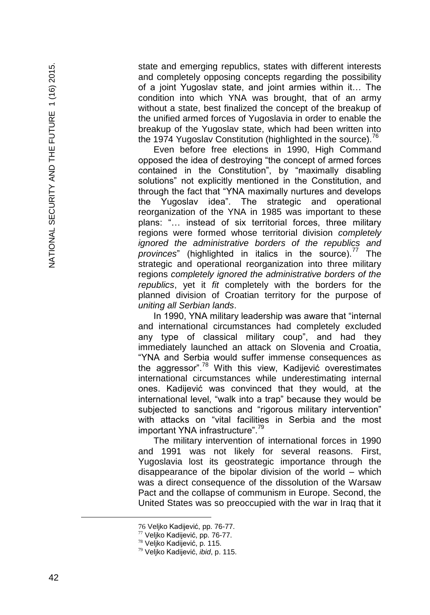state and emerging republics, states with different interests and completely opposing concepts regarding the possibility of a joint Yugoslav state, and joint armies within it… The condition into which YNA was brought, that of an army without a state, best finalized the concept of the breakup of the unified armed forces of Yugoslavia in order to enable the breakup of the Yugoslav state, which had been written into the 1974 Yugoslav Constitution (highlighted in the source).<sup>76</sup>

Even before free elections in 1990, High Command opposed the idea of destroying "the concept of armed forces contained in the Constitution", by "maximally disabling solutions" not explicitly mentioned in the Constitution, and through the fact that "YNA maximally nurtures and develops the Yugoslav idea". The strategic and operational reorganization of the YNA in 1985 was important to these plans: "… instead of six territorial forces, three military regions were formed whose territorial division *completely ignored the administrative borders of the republics and provinces*" (highlighted in italics in the source).<sup>77</sup> The strategic and operational reorganization into three military regions *completely ignored the administrative borders of the republics*, yet it *fit* completely with the borders for the planned division of Croatian territory for the purpose of *uniting all Serbian lands*.

In 1990, YNA military leadership was aware that "internal and international circumstances had completely excluded any type of classical military coup", and had they immediately launched an attack on Slovenia and Croatia, "YNA and Serbia would suffer immense consequences as the aggressor"<sup>78</sup> With this view, Kadijević overestimates international circumstances while underestimating internal ones. Kadijević was convinced that they would, at the international level, "walk into a trap" because they would be subjected to sanctions and "rigorous military intervention" with attacks on "vital facilities in Serbia and the most important YNA infrastructure".<sup>79</sup>

The military intervention of international forces in 1990 and 1991 was not likely for several reasons. First, Yugoslavia lost its geostrategic importance through the disappearance of the bipolar division of the world – which was a direct consequence of the dissolution of the Warsaw Pact and the collapse of communism in Europe. Second, the United States was so preoccupied with the war in Iraq that it

<sup>76</sup> Veljko Kadijević , pp. 76 -77.

<sup>77</sup> Veljko Kadijević, pp. 76-77.

<sup>78</sup> Veljko Kadijević, p. 115.

<sup>79</sup> Veljko Kadijević, *ibid*, p. 115.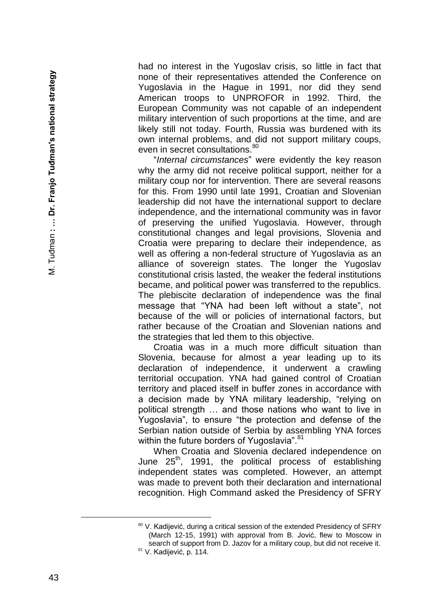had no interest in the Yugoslav crisis, so little in fact that none of their representatives attended the Conference on Yugoslavia in the Hague in 1991, nor did they send American troops to UNPROFOR in 1992. Third, the European Community was not capable of an independent military intervention of such proportions at the time, and are likely still not today. Fourth, Russia was burdened with its own internal problems, and did not support military coups, even in secret consultations.<sup>80</sup>

"*Internal circumstances*" were evidently the key reason why the army did not receive political support, neither for a military coup nor for intervention. There are several reasons for this. From 1990 until late 1991, Croatian and Slovenian leadership did not have the international support to declare independence, and the international community was in favor of preserving the unified Yugoslavia. However, through constitutional changes and legal provisions, Slovenia and Croatia were preparing to declare their independence, as well as offering a non -federal structure of Yugoslavia as an alliance of sovereign states. The longer the Yugoslav constitutional crisis lasted, the weaker the federal institutions became, and political power was transferred to the republics. The plebiscite declaration of independence was the final message that "YNA had been left without a state", not because of the will or policies of international factors, but rather because of the Croatian and Slovenian nations and the strategies that led them to this objective.

Croatia was in a much more difficult situation than Slovenia, because for almost a year leading up to its declaration of independence, it underwent a crawling territorial occupation. YNA had gained control of Croatian territory and placed itself in buffer zones in accordance with a decision made by YNA military leadership, "relying on political strength … and those nations who want to live in Yugoslavia", to ensure "the protection and defense of the Serbian nation outside of Serbia by assembling YNA forces within the future borders of Yugoslavia".<sup>81</sup>

When Croatia and Slovenia declared independence on June  $25<sup>th</sup>$ , 1991, the political process of establishing independent states was completed. However, an attempt was made to prevent both their declaration and international recognition. High Command asked the Presidency of SFRY

<sup>&</sup>lt;sup>80</sup> V. Kadijević, during a critical session of the extended Presidency of SFRY (March 12 -15, 1991) with approval from B. Jović, flew to Moscow in search of support from D. Jazov for a military coup, but did not receive it.

<sup>81</sup> V. Kadijević, p. 114.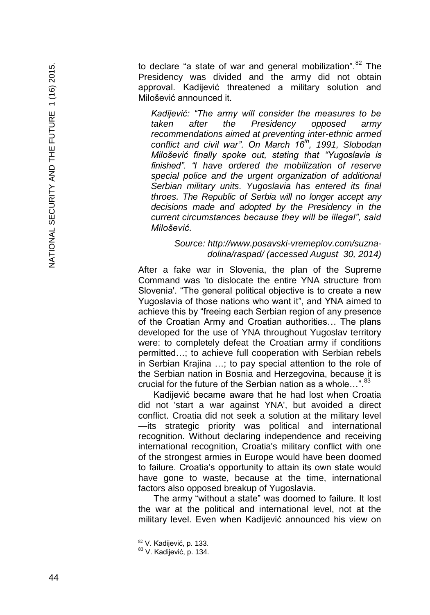to declare "a state of war and general mobilization". $82$  The Presidency was divided and the army did not obtain approval. Kadijević threatened a military solution and Milošević announced it.

*Kadijević: "The army will consider the measures to be taken after the Presidency opposed army recommendations aimed at preventing inter-ethnic armed conflict and civil war". On March 16th, 1991, Slobodan Milošević finally spoke out, stating that "Yugoslavia is finished". "I have ordered the mobilization of reserve special police and the urgent organization of additional Serbian military units. Yugoslavia has entered its final throes. The Republic of Serbia will no longer accept any decisions made and adopted by the Presidency in the current circumstances because they will be illegal", said Milošević.*

#### Source: http://www.posavski-vremeplov.com/suzna*dolina/raspad/ (accessed August 30, 2014)*

After a fake war in Slovenia, the plan of the Supreme Command was 'to dislocate the entire YNA structure from Slovenia'. "The general political objective is to create a new Yugoslavia of those nations who want it", and YNA aimed to achieve this by "freeing each Serbian region of any presence of the Croatian Army and Croatian authorities… The plans developed for the use of YNA throughout Yugoslav territory were: to completely defeat the Croatian army if conditions permitted…; to achieve full cooperation with Serbian rebels in Serbian Krajina …; to pay special attention to the role of the Serbian nation in Bosnia and Herzegovina, because it is crucial for the future of the Serbian nation as a whole...".<sup>8</sup>

Kadijević became aware that he had lost when Croatia did not 'start a war against YNA', but avoided a direct conflict. Croatia did not seek a solution at the military level —its strategic priority was political and international recognition. Without declaring independence and receiving international recognition, Croatia's military conflict with one of the strongest armies in Europe would have been doomed to failure. Croatia's opportunity to attain its own state would have gone to waste, because at the time, international factors also opposed breakup of Yugoslavia.

The army "without a state" was doomed to failure. It lost the war at the political and international level, not at the military level. Even when Kadijević announced his view on

<sup>82</sup> V. Kadijević, p. 133.

<sup>83</sup> V. Kadijević, p. 134.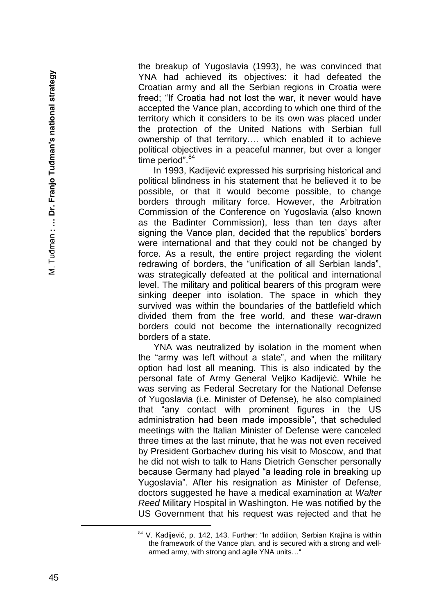the breakup of Yugoslavia (1993), he was convinced that YNA had achieved its objectives: it had defeated the Croatian army and all the Serbian regions in Croatia were freed; "If Croatia had not lost the war, it never would have accepted the Vance plan, according to which one third of the territory which it considers to be its own was placed under the protection of the United Nations with Serbian full ownership of that territory…. which enabled it to achieve political objectives in a peaceful manner, but over a longer time period".<sup>84</sup>

In 1993, Kadijević expressed his surprising historical and political blindness in his statement that he believed it to be possible, or that it would become possible, to change borders through military force. However, the Arbitration Commission of the Conference on Yugoslavia (also known as the Badinter Commission), less than ten days after signing the Vance plan, decided that the republics' borders were international and that they could not be changed by force. As a result, the entire project regarding the violent redrawing of borders, the "unification of all Serbian lands", was strategically defeated at the political and international level. The military and political bearers of this program were sinking deeper into isolation. The space in which they survived was within the boundaries of the battlefield which divided them from the free world, and these war -drawn borders could not become the internationally recognized borders of a state.

YNA was neutralized by isolation in the moment when the "army was left without a state", and when the military option had lost all meaning. This is also indicated by the personal fate of Army General Veljko Kadijević. While he was serving as Federal Secretary for the National Defense of Yugoslavia (i.e. Minister of Defense), he also complained that "any contact with prominent figures in the US administration had been made impossible", that scheduled meetings with the Italian Minister of Defense were canceled three times at the last minute, that he was not even received by President Gorbachev during his visit to Moscow, and that he did not wish to talk to Hans Dietrich Genscher personally because Germany had played "a leading role in breaking up Yugoslavia". After his resignation as Minister of Defense, doctors suggested he have a medical examination at *Walter Reed* Military Hospital in Washington. He was notified by the US Government that his request was rejected and that he

<sup>&</sup>lt;sup>84</sup> V. Kadijević, p. 142, 143. Further: "In addition, Serbian Krajina is within the framework of the Vance plan, and is secured with a strong and well armed army, with strong and agile YNA units…"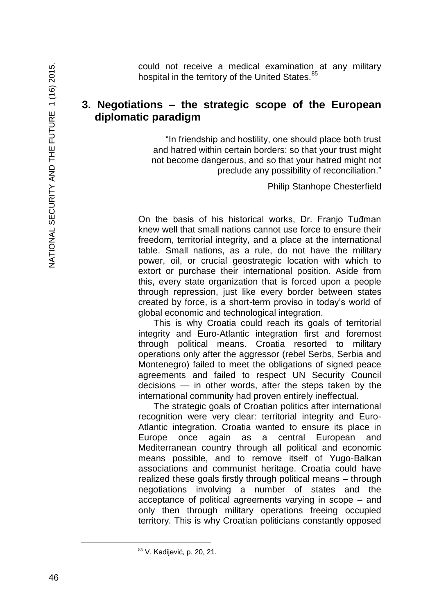could not receive a medical examination at any military hospital in the territory of the United States.<sup>85</sup>

### **3. Negotiations – the strategic scope of the European diplomatic paradigm**

"In friendship and hostility, one should place both trust and hatred within certain borders: so that your trust might not become dangerous, and so that your hatred might not preclude any possibility of reconciliation."

Philip Stanhope Chesterfield

On the basis of his historical works, Dr. Franjo Tuđman knew well that small nations cannot use force to ensure their freedom, territorial integrity, and a place at the international table. Small nations, as a rule, do not have the military power, oil, or crucial geostrategic location with which to extort or purchase their international position. Aside from this, every state organization that is forced upon a people through repression, just like every border between states created by force, is a short-term proviso in today's world of global economic and technological integration.

This is why Croatia could reach its goals of territorial integrity and Euro-Atlantic integration first and foremost through political means. Croatia resorted to military operations only after the aggressor (rebel Serbs, Serbia and Montenegro) failed to meet the obligations of signed peace agreements and failed to respect UN Security Council decisions — in other words, after the steps taken by the international community had proven entirely ineffectual.

The strategic goals of Croatian politics after international recognition were very clear: territorial integrity and Euro-Atlantic integration. Croatia wanted to ensure its place in Europe once again as a central European and Mediterranean country through all political and economic means possible, and to remove itself of Yugo-Balkan associations and communist heritage. Croatia could have realized these goals firstly through political means – through negotiations involving a number of states and the acceptance of political agreements varying in scope – and only then through military operations freeing occupied territory. This is why Croatian politicians constantly opposed

<sup>85</sup> V. Kadijević, p. 20, 21.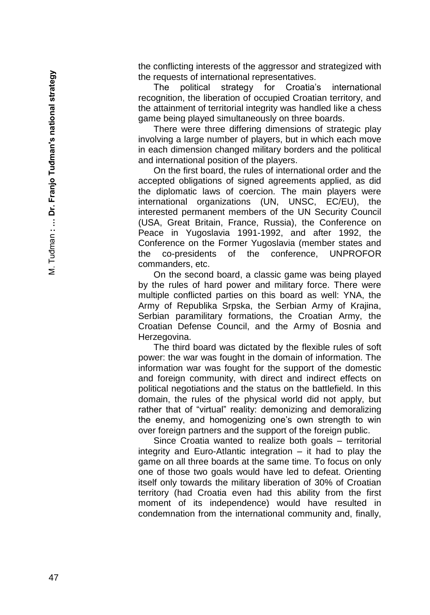the conflicting interests of the aggressor and strategized with the requests of international representatives.

The political strategy for Croatia's international recognition, the liberation of occupied Croatian territory, and the attainment of territorial integrity was handled like a chess game being played simultaneously on three boards.

There were three differing dimensions of strategic play involving a large number of players, but in which each move in each dimension changed military borders and the political and international position of the players.

On the first board, the rules of international order and the accepted obligations of signed agreements applied, as did the diplomatic laws of coercion. The main players were international organizations (UN, UNSC, EC/EU), the interested permanent members of the UN Security Council (USA, Great Britain, France, Russia), the Conference on Peace in Yugoslavia 1991-1992, and after 1992, the Conference on the Former Yugoslavia (member states and the co-presidents of the conference. UNPROFOR commanders, etc.

On the second board, a classic game was being played by the rules of hard power and military force. There were multiple conflicted parties on this board as well: YNA, the Army of Republika Srpska, the Serbian Army of Krajina, Serbian paramilitary formations, the Croatian Army, the Croatian Defense Council, and the Army of Bosnia and Herzegovina.

The third board was dictated by the flexible rules of soft power: the war was fought in the domain of information. The information war was fought for the support of the domestic and foreign community, with direct and indirect effects on political negotiations and the status on the battlefield. In this domain, the rules of the physical world did not apply, but rather that of "virtual" reality: demonizing and demoralizing the enemy, and homogenizing one's own strength to win over foreign partners and the support of the foreign public.

Since Croatia wanted to realize both goals – territorial integrity and Euro -Atlantic integration – it had to play the game on all three boards at the same time. To focus on only one of those two goals would have led to defeat. Orienting itself only towards the military liberation of 30% of Croatian territory (had Croatia even had this ability from the first moment of its independence) would have resulted in condemnation from the international community and, finally,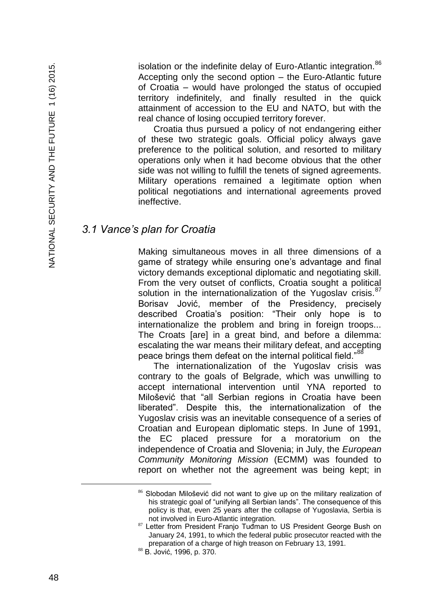isolation or the indefinite delay of Euro-Atlantic integration.<sup>86</sup> Accepting only the second option – the Euro-Atlantic future of Croatia – would have prolonged the status of occupied territory indefinitely, and finally resulted in the quick attainment of accession to the EU and NATO, but with the real chance of losing occupied territory forever.

Croatia thus pursued a policy of not endangering either of these two strategic goals. Official policy always gave preference to the political solution, and resorted to military operations only when it had become obvious that the other side was not willing to fulfill the tenets of signed agreements. Military operations remained a legitimate option when political negotiations and international agreements proved ineffective.

### *3.1 Vance's plan for Croatia*

Making simultaneous moves in all three dimensions of a game of strategy while ensuring one's advantage and final victory demands exceptional diplomatic and negotiating skill. From the very outset of conflicts, Croatia sought a political solution in the internationalization of the Yugoslav crisis. $87$ Borisav Jović, member of the Presidency, precisely described Croatia's position: "Their only hope is to internationalize the problem and bring in foreign troops... The Croats [are] in a great bind, and before a dilemma: escalating the war means their military defeat, and accepting peace brings them defeat on the internal political field."<sup>88</sup>

The internationalization of the Yugoslav crisis was contrary to the goals of Belgrade, which was unwilling to accept international intervention until YNA reported to Milošević that "all Serbian regions in Croatia have been liberated". Despite this, the internationalization of the Yugoslav crisis was an inevitable consequence of a series of Croatian and European diplomatic steps. In June of 1991, the EC placed pressure for a moratorium on the independence of Croatia and Slovenia; in July, the *European Community Monitoring Mission* (ECMM) was founded to report on whether not the agreement was being kept; in

È,

<sup>86</sup> Slobodan Milošević did not want to give up on the military realization of his strategic goal of "unifying all Serbian lands". The consequence of this policy is that, even 25 years after the collapse of Yugoslavia, Serbia is not involved in Euro-Atlantic integration.

<sup>87</sup> Letter from President Franjo Tuđman to US President George Bush on January 24, 1991, to which the federal public prosecutor reacted with the preparation of a charge of high treason on February 13, 1991.

<sup>88</sup> B. Jović, 1996, p. 370.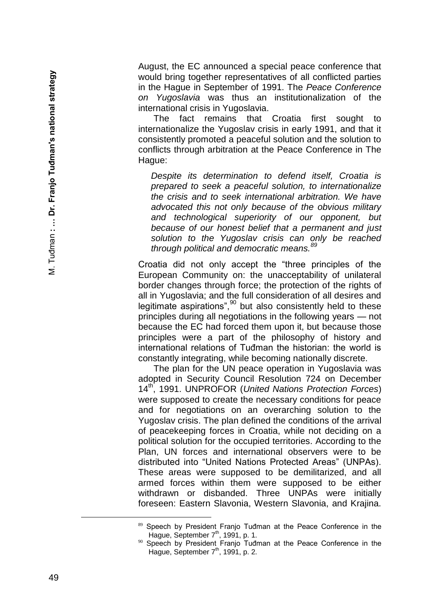August, the EC announced a special peace conference that would bring together representatives of all conflicted parties in the Hague in September of 1991. The *Peace Conference on Yugoslavia* was thus an institutionalization of the international crisis in Yugoslavia.

The fact remains that Croatia first sought to internationalize the Yugoslav crisis in early 1991, and that it consistently promoted a peaceful solution and the solution to conflicts through arbitration at the Peace Conference in The Hague:

*Despite its determination to defend itself, Croatia is prepared to seek a peaceful solution, to internationalize the crisis and to seek international arbitration. We have advocated this not only because of the obvious military and technological superiority of our opponent, but because of our honest belief that a permanent and just solution to the Yugoslav crisis can only be reached through political and democratic means.<sup>89</sup>*

Croatia did not only accept the "three principles of the European Community on: the unacceptability of unilateral border changes through force; the protection of the rights of all in Yugoslavia; and the full consideration of all desires and legitimate aspirations", $90$  but also consistently held to these principles during all negotiations in the following years — not because the EC had forced them upon it, but because those principles were a part of the philosophy of history and international relations of Tuđman the historian: the world is constantly integrating, while becoming nationally discrete.

The plan for the UN peace operation in Yugoslavia was adopted in Security Council Resolution 724 on December 14th, 1991. UNPROFOR (*United Nations Protection Forces*) were supposed to create the necessary conditions for peace and for negotiations on an overarching solution to the Yugoslav crisis. The plan defined the conditions of the arrival of peacekeeping forces in Croatia, while not deciding on a political solution for the occupied territories. According to the Plan, UN forces and international observers were to be distributed into "United Nations Protected Areas" (UNPAs). These areas were supposed to be demilitarized, and all armed forces within them were supposed to be either withdrawn or disbanded. Three UNPAs were initially foreseen: Eastern Slavonia, Western Slavonia, and Krajina.

<sup>89</sup> Speech by President Franjo Tuđman at the Peace Conference in the Hague, September  $7<sup>th</sup>$ , 1991, p. 1.

Speech by President Franjo Tuđman at the Peace Conference in the Hague, September 7<sup>th</sup>, 1991, p. 2.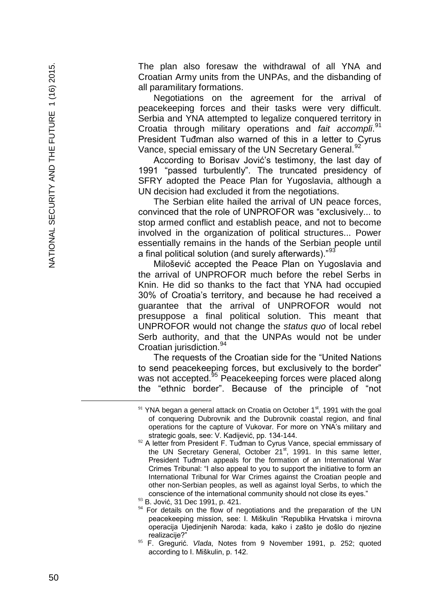The plan also foresaw the withdrawal of all YNA and Croatian Army units from the UNPAs, and the disbanding of all paramilitary formations.

Negotiations on the agreement for the arrival of peacekeeping forces and their tasks were very difficult. Serbia and YNA attempted to legalize conquered territory in Croatia through military operations and *fait accompli.*<sup>91</sup> President Tuđman also warned of this in a letter to Cyrus Vance, special emissary of the UN Secretary General.<sup>92</sup>

According to Borisav Jović's testimony, the last day of 1991 "passed turbulently". The truncated presidency of SFRY adopted the Peace Plan for Yugoslavia, although a UN decision had excluded it from the negotiations.

The Serbian elite hailed the arrival of UN peace forces, convinced that the role of UNPROFOR was "exclusively... to stop armed conflict and establish peace, and not to become involved in the organization of political structures... Power essentially remains in the hands of the Serbian people until a final political solution (and surely afterwards)."<sup>9</sup>

Milošević accepted the Peace Plan on Yugoslavia and the arrival of UNPROFOR much before the rebel Serbs in Knin. He did so thanks to the fact that YNA had occupied 30% of Croatia's territory, and because he had received a guarantee that the arrival of UNPROFOR would not presuppose a final political solution. This meant that UNPROFOR would not change the *status quo* of local rebel Serb authority, and that the UNPAs would not be under Croatian jurisdiction.<sup>94</sup>

The requests of the Croatian side for the "United Nations to send peacekeeping forces, but exclusively to the border" was not accepted.<sup>95</sup> Peacekeeping forces were placed along the "ethnic border". Because of the principle of "not

 $91$  YNA began a general attack on Croatia on October 1st, 1991 with the goal of conquering Dubrovnik and the Dubrovnik coastal region, and final operations for the capture of Vukovar. For more on YNA's military and strategic goals, see: V. Kadijević, pp. 134 -144.

 $92$  A letter from President F. Tuđman to Cyrus Vance, special emmissary of the UN Secretary General, October 21<sup>st</sup>, 1991. In this same letter, President Tuđman appeals for the formation of an International War Crimes Tribunal: "I also appeal to you to support the initiative to form an International Tribunal for War Crimes against the Croatian people and other non -Serbian peoples, as well as against loyal Serbs, to which the conscience of the international community should not close its eyes."

<sup>93</sup> B. Jović, 31 Dec 1991, p. 421.

For details on the flow of negotiations and the preparation of the UN peacekeeping mission, see: I. Miškulin "Republika Hrvatska i mirovna operacija Ujedinjenih Naroda: kada, kako i zašto je došlo do njezine realizacije?"

<sup>95</sup> F. Gregurić. *Vlada*, Notes from 9 November 1991, p. 252; quoted according to I. Miškulin, p. 142.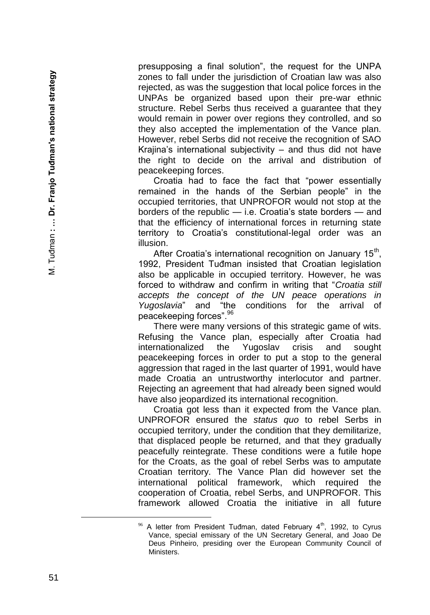presupposing a final solution", the request for the UNPA zones to fall under the jurisdiction of Croatian law was also rejected, as was the suggestion that local police forces in the UNPAs be organized based upon their pre -war ethnic structure. Rebel Serbs thus received a guarantee that they would remain in power over regions they controlled, and so they also accepted the implementation of the Vance plan. However, rebel Serbs did not receive the recognition of SAO Krajina's international subjectivity – and thus did not have the right to decide on the arrival and distribution of peacekeeping forces.

Croatia had to face the fact that "power essentially remained in the hands of the Serbian people" in the occupied territories, that UNPROFOR would not stop at the borders of the republic — i.e. Croatia's state borders — and that the efficiency of international forces in returning state territory to Croatia's constitutional -legal order was an illusion.

After Croatia's international recognition on January 15<sup>th</sup>, 1992, President Tuđman insisted that Croatian legislation also be applicable in occupied territory. However, he was forced to withdraw and confirm in writing that "*Croatia still accepts the concept of the UN peace operations in Yugoslavia*" and "the conditions for the arrival of peacekeeping forces". 96

There were many versions of this strategic game of wits. Refusing the Vance plan, especially after Croatia had internationalized the Yugoslav crisis and sought peacekeeping forces in order to put a stop to the general aggression that raged in the last quarter of 1991, would have made Croatia an untrustworthy interlocutor and partner. Rejecting an agreement that had already been signed would have also jeopardized its international recognition.

Croatia got less than it expected from the Vance plan. UNPROFOR ensured the *status quo* to rebel Serbs in occupied territory, under the condition that they demilitarize, that displaced people be returned, and that they gradually peacefully reintegrate. These conditions were a futile hope for the Croats, as the goal of rebel Serbs was to amputate Croatian territory. The Vance Plan did however set the international political framework, which required the cooperation of Croatia, rebel Serbs, and UNPROFOR. This framework allowed Croatia the initiative in all future

A letter from President Tuđman, dated February 4<sup>th</sup>, 1992, to Cyrus Vance, special emissary of the UN Secretary General, and Joao De Deus Pinheiro, presiding over the European Community Council of Ministers.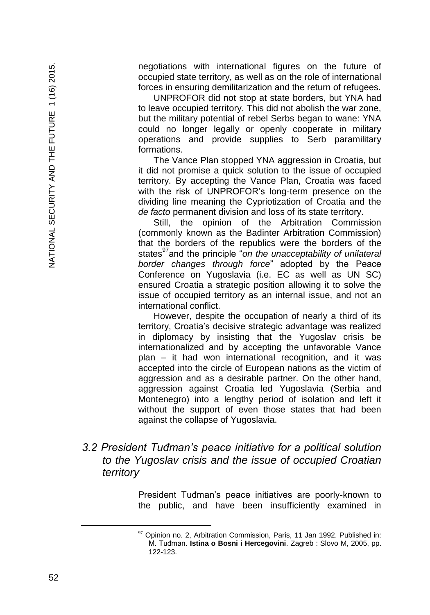negotiations with international figures on the future of occupied state territory, as well as on the role of international forces in ensuring demilitarization and the return of refugees.

UNPROFOR did not stop at state borders, but YNA had to leave occupied territory. This did not abolish the war zone, but the military potential of rebel Serbs began to wane: YNA could no longer legally or openly cooperate in military operations and provide supplies to Serb paramilitary formations.

The Vance Plan stopped YNA aggression in Croatia, but it did not promise a quick solution to the issue of occupied territory. By accepting the Vance Plan, Croatia was faced with the risk of UNPROFOR's long-term presence on the dividing line meaning the Cypriotization of Croatia and the *de facto* permanent division and loss of its state territory.

Still, the opinion of the Arbitration Commission (commonly known as the Badinter Arbitration Commission) that the borders of the republics were the borders of the states<sup>97</sup> and the principle "*on the unacceptability of unilateral border changes through force*" adopted by the Peace Conference on Yugoslavia (i.e. EC as well as UN SC) ensured Croatia a strategic position allowing it to solve the issue of occupied territory as an internal issue, and not an international conflict.

However, despite the occupation of nearly a third of its territory, Croatia's decisive strategic advantage was realized in diplomacy by insisting that the Yugoslav crisis be internationalized and by accepting the unfavorable Vance plan – it had won international recognition, and it was accepted into the circle of European nations as the victim of aggression and as a desirable partner. On the other hand, aggression against Croatia led Yugoslavia (Serbia and Montenegro) into a lengthy period of isolation and left it without the support of even those states that had been against the collapse of Yugoslavia.

### *3.2 President Tuđman's peace initiative for a political solution to the Yugoslav crisis and the issue of occupied Croatian territory*

President Tuđman's peace initiatives are poorly-known to the public, and have been insufficiently examined in

 $97$  Opinion no. 2, Arbitration Commission, Paris, 11 Jan 1992. Published in: M. Tuđman. **Istina o Bosni i Hercegovini**. Zagreb : Slovo M, 2005, pp. 122-123.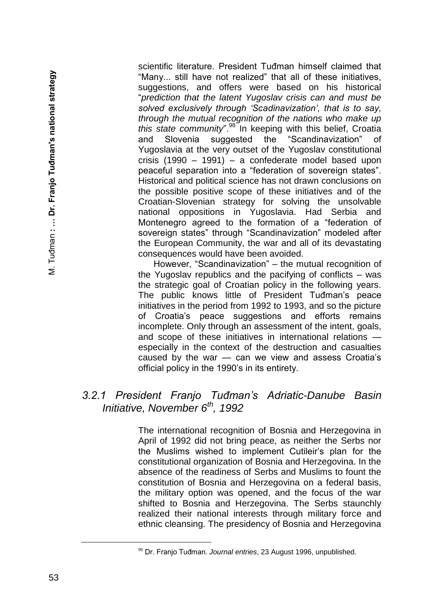scientific literature. President Tuđman himself claimed that "Many... still have not realized" that all of these initiatives, suggestions, and offers were based on his historical "*prediction that the latent Yugoslav crisis can and must be solved exclusively through 'Scadinavization', that is to say, through the mutual recognition of the nations who make up this state community*".<sup>98</sup> In keeping with this belief, Croatia and Slovenia suggested the "Scandinavization" of Yugoslavia at the very outset of the Yugoslav constitutional crisis (1990 – 1991) – a confederate model based upon peaceful separation into a "federation of sovereign states". Historical and political science has not drawn conclusions on the possible positive scope of these initiatives and of the Croatian-Slovenian strategy for solving the unsolvable national oppositions in Yugoslavia. Had Serbia and Montenegro agreed to the formation of a "federation of sovereign states" through "Scandinavization" modeled after the European Community, the war and all of its devastating consequences would have been avoided.

However, "Scandinavization" – the mutual recognition of the Yugoslav republics and the pacifying of conflicts – was the strategic goal of Croatian policy in the following years. The public knows little of President Tuđman's peace initiatives in the period from 1992 to 1993, and so the picture of Croatia's peace suggestions and efforts remains incomplete. Only through an assessment of the intent, goals, and scope of these initiatives in international relations especially in the context of the destruction and casualties caused by the war — can we view and assess Croatia's official policy in the 1990's in its entirety.

### *3.2.1 President Franjo Tuđman's Adriatic-Danube Basin Initiative, November 6th, 1992*

The international recognition of Bosnia and Herzegovina in April of 1992 did not bring peace, as neither the Serbs nor the Muslims wished to implement Cutileir's plan for the constitutional organization of Bosnia and Herzegovina. In the absence of the readiness of Serbs and Muslims to fount the constitution of Bosnia and Herzegovina on a federal basis, the military option was opened, and the focus of the war shifted to Bosnia and Herzegovina. The Serbs staunchly realized their national interests through military force and ethnic cleansing. The presidency of Bosnia and Herzegovina

<sup>98</sup> Dr. Franjo Tuđman. *Journal entries*, 23 August 1996, unpublished.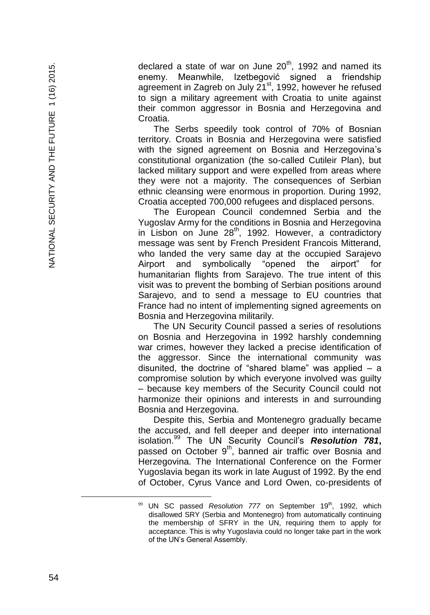declared a state of war on June  $20<sup>th</sup>$ , 1992 and named its enemy. Meanwhile, Izetbegović signed a friendship agreement in Zagreb on July 21<sup>st</sup>, 1992, however he refused to sign a military agreement with Croatia to unite against their common aggressor in Bosnia and Herzegovina and Croatia.

The Serbs speedily took control of 70% of Bosnian territory. Croats in Bosnia and Herzegovina were satisfied with the signed agreement on Bosnia and Herzegovina's constitutional organization (the so -called Cutileir Plan), but lacked military support and were expelled from areas where they were not a majority. The consequences of Serbian ethnic cleansing were enormous in proportion. During 1992, Croatia accepted 700,000 refugees and displaced persons.

The European Council condemned Serbia and the Yugoslav Army for the conditions in Bosnia and Herzegovina in Lisbon on June 28<sup>th</sup>, 1992. However, a contradictory message was sent by French President Francois Mitterand, who landed the very same day at the occupied Sarajevo Airport and symbolically "opened the airport" for humanitarian flights from Sarajevo. The true intent of this visit was to prevent the bombing of Serbian positions around Sarajevo, and to send a message to EU countries that France had no intent of implementing signed agreements on Bosnia and Herzegovina militarily.

The UN Security Council passed a series of resolutions on Bosnia and Herzegovina in 1992 harshly condemning war crimes, however they lacked a precise identification of the aggressor. Since the international community was disunited, the doctrine of "shared blame" was applied – a compromise solution by which everyone involved was guilty – because key members of the Security Council could not harmonize their opinions and interests in and surrounding Bosnia and Herzegovina.

Despite this, Serbia and Montenegro gradually became the accused, and fell deeper and deeper into international isolation.<sup>99</sup> The UN Security Council's *Resolution 781* **,** passed on October 9<sup>th</sup>, banned air traffic over Bosnia and Herzegovina. The International Conference on the Former Yugoslavia began its work in late August of 1992. By the end of October, Cyrus Vance and Lord Owen, co -presidents of

<sup>&</sup>lt;sup>99</sup> UN SC passed *Resolution 777* on September 19<sup>th</sup>, 1992, which disallowed SRY (Serbia and Montenegro) from automatically continuing the membership of SFRY in the UN, requiring them to apply for acceptance. This is why Yugoslavia could no longer take part in the work of the UN's General Assembly.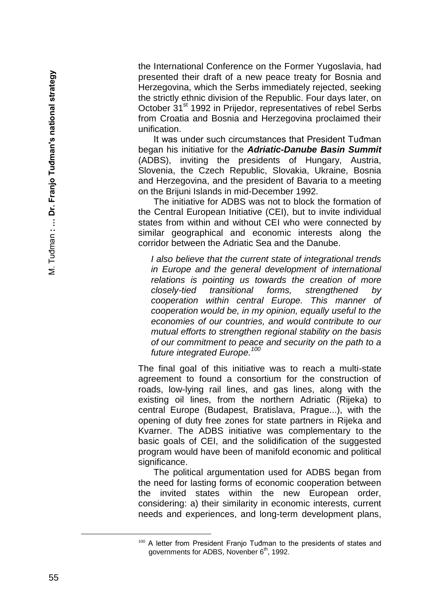the International Conference on the Former Yugoslavia, had presented their draft of a new peace treaty for Bosnia and Herzegovina, which the Serbs immediately rejected, seeking the strictly ethnic division of the Republic. Four days later, on October 31<sup>st</sup> 1992 in Prijedor, representatives of rebel Serbs from Croatia and Bosnia and Herzegovina proclaimed their unification.

It was under such circumstances that President Tuđman began his initiative for the *Adriatic -Danube Basin Summit*  (ADBS), inviting the presidents of Hungary, Austria, Slovenia, the Czech Republic, Slovakia, Ukraine, Bosnia and Herzegovina, and the president of Bavaria to a meeting on the Brijuni Islands in mid -December 1992.

The initiative for ADBS was not to block the formation of the Central European Initiative (CEI), but to invite individual states from within and without CEI who were connected by similar geographical and economic interests along the corridor between the Adriatic Sea and the Danube.

*I also believe that the current state of integrational trends in Europe and the general development of international relations is pointing us towards the creation of more closely -tied transitional forms, strengthened by cooperation within central Europe. This manner of cooperation would be, in my opinion, equally useful to the economies of our countries, and would contribute to our mutual efforts to strengthen regional stability on the basis of our commitment to peace and security on the path to a future integrated Europe.<sup>100</sup>*

The final goal of this initiative was to reach a multi -state agreement to found a consortium for the construction of roads, low -lying rail lines, and gas lines, along with the existing oil lines, from the northern Adriatic (Rijeka) to central Europe (Budapest, Bratislava, Prague...), with the opening of duty free zones for state partners in Rijeka and Kvarner. The ADBS initiative was complementary to the basic goals of CEI, and the solidification of the suggested program would have been of manifold economic and political significance.

The political argumentation used for ADBS began from the need for lasting forms of economic cooperation between the invited states within the new European order, considering: a) their similarity in economic interests, current needs and experiences, and long -term development plans,

<sup>100</sup> A letter from President Franjo Tuđman to the presidents of states and governments for ADBS, Novenber 6<sup>th</sup>, 1992.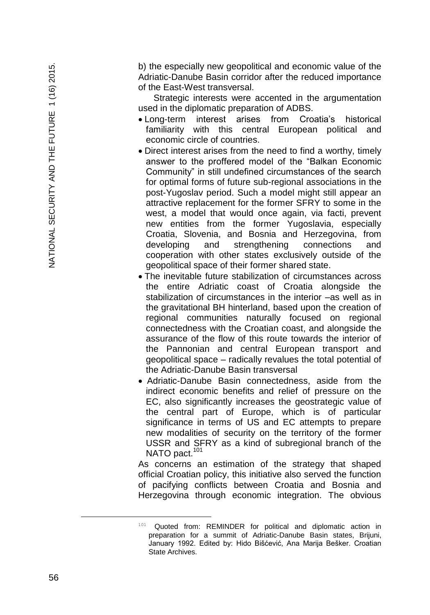b) the especially new geopolitical and economic value of the Adriatic -Danube Basin corridor after the reduced importance of the East -West transversal.

Strategic interests were accented in the argumentation used in the diplomatic preparation of ADBS.

- Long-term interest arises from Croatia's historical familiarity with this central European political and economic circle of countries.
- Direct interest arises from the need to find a worthy, timely answer to the proffered model of the "Balkan Economic Community" in still undefined circumstances of the search for optimal forms of future sub -regional associations in the post -Yugoslav period. Such a model might still appear an attractive replacement for the former SFRY to some in the west, a model that would once again, via facti, prevent new entities from the former Yugoslavia, especially Croatia, Slovenia, and Bosnia and Herzegovina, from developing and strengthening connections and cooperation with other states exclusively outside of the geopolitical space of their former shared state.
- The inevitable future stabilization of circumstances across the entire Adriatic coast of Croatia alongside the stabilization of circumstances in the interior –as well as in the gravitational BH hinterland, based upon the creation of regional communities naturally focused on regional connectedness with the Croatian coast, and alongside the assurance of the flow of this route towards the interior of the Pannonian and central European transport and geopolitical space – radically revalues the total potential of the Adriatic -Danube Basin transversal
- Adriatic -Danube Basin connectedness, aside from the indirect economic benefits and relief of pressure on the EC, also significantly increases the geostrategic value of the central part of Europe, which is of particular significance in terms of US and EC attempts to prepare new modalities of security on the territory of the former USSR and SFRY as a kind of subregional branch of the NATO pact.<sup>101</sup>

As concerns an estimation of the strategy that shaped official Croatian policy, this initiative also served the function of pacifying conflicts between Croatia and Bosnia and Herzegovina through economic integration. The obvious

<sup>&</sup>lt;sup>101</sup> Quoted from: REMINDER for political and diplomatic action in preparation for a summit of Adriatic -Danube Basin states, Brijuni, January 1992. Edited by: Hido Bišćević, Ana Marija Bešker. Croatian State Archives.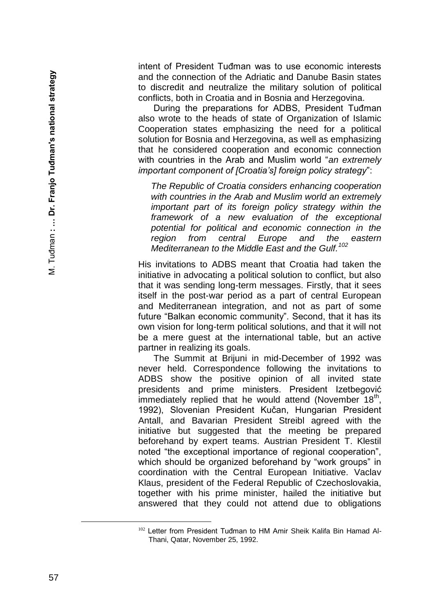intent of President Tuđman was to use economic interests and the connection of the Adriatic and Danube Basin states to discredit and neutralize the military solution of political conflicts, both in Croatia and in Bosnia and Herzegovina.

During the preparations for ADBS, President Tuđman also wrote to the heads of state of Organization of Islamic Cooperation states emphasizing the need for a political solution for Bosnia and Herzegovina, as well as emphasizing that he considered cooperation and economic connection with countries in the Arab and Muslim world "*an extremely important component of [Croatia's] foreign policy strategy*":

*The Republic of Croatia considers enhancing cooperation with countries in the Arab and Muslim world an extremely important part of its foreign policy strategy within the framework of a new evaluation of the exceptional potential for political and economic connection in the region from central Europe and the eastern Mediterranean to the Middle East and the Gulf.<sup>102</sup>*

His invitations to ADBS meant that Croatia had taken the initiative in advocating a political solution to conflict, but also that it was sending long-term messages. Firstly, that it sees itself in the post-war period as a part of central European and Mediterranean integration, and not as part of some future "Balkan economic community". Second, that it has its own vision for long -term political solutions, and that it will not be a mere guest at the international table, but an active partner in realizing its goals.

The Summit at Brijuni in mid -December of 1992 was never held. Correspondence following the invitations to ADBS show the positive opinion of all invited state presidents and prime ministers. President Izetbegović immediately replied that he would attend (November 18<sup>th</sup>, 1992), Slovenian President Kučan, Hungarian President Antall, and Bavarian President Streibl agreed with the initiative but suggested that the meeting be prepared beforehand by expert teams. Austrian President T. Klestil noted "the exceptional importance of regional cooperation", which should be organized beforehand by "work groups" in coordination with the Central European Initiative. Vaclav Klaus, president of the Federal Republic of Czechoslovakia, together with his prime minister, hailed the initiative but answered that they could not attend due to obligations

È,

<sup>&</sup>lt;sup>102</sup> Letter from President Tuđman to HM Amir Sheik Kalifa Bin Hamad Al-Thani, Qatar, November 25, 1992.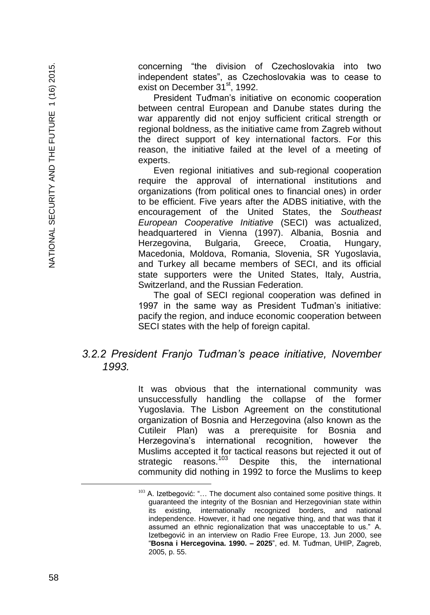concerning "the division of Czechoslovakia into two independent states", as Czechoslovakia was to cease to exist on December 31<sup>st</sup>, 1992.

President Tuđman's initiative on economic cooperation between central European and Danube states during the war apparently did not enjoy sufficient critical strength or regional boldness, as the initiative came from Zagreb without the direct support of key international factors. For this reason, the initiative failed at the level of a meeting of experts.

Even regional initiatives and sub-regional cooperation require the approval of international institutions and organizations (from political ones to financial ones) in order to be efficient. Five years after the ADBS initiative, with the encouragement of the United States, the *Southeast European Cooperative Initiative* (SECI) was actualized, headquartered in Vienna (1997). Albania, Bosnia and Herzegovina, Bulgaria, Greece, Croatia, Hungary, Macedonia, Moldova, Romania, Slovenia, SR Yugoslavia, and Turkey all became members of SECI, and its official state supporters were the United States, Italy, Austria, Switzerland, and the Russian Federation.

The goal of SECI regional cooperation was defined in 1997 in the same way as President Tuđman's initiative: pacify the region, and induce economic cooperation between SECI states with the help of foreign capital.

# *3.2.2 President Franjo Tuđman's peace initiative, November 1993.*

It was obvious that the international community was unsuccessfully handling the collapse of the former Yugoslavia. The Lisbon Agreement on the constitutional organization of Bosnia and Herzegovina (also known as the Cutileir Plan) was a prerequisite for Bosnia and Herzegovina's international recognition, however the Muslims accepted it for tactical reasons but rejected it out of strategic reasons.<sup>103</sup> Despite this, the international community did nothing in 1992 to force the Muslims to keep

 $103$  A. Izetbegović: "... The document also contained some positive things. It guaranteed the integrity of the Bosnian and Herzegovinian state within its existing, internationally recognized borders, and national independence. However, it had one negative thing, and that was that it assumed an ethnic regionalization that was unacceptable to us." A. Izetbegović in an interview on Radio Free Europe, 13. Jun 2000, see "**Bosna i Hercegovina. 1990. – 2025**", ed. M. Tuđman, UHIP, Zagreb, 2005, p. 55.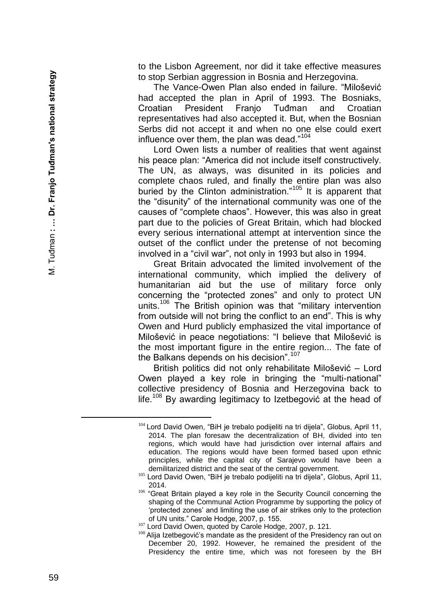to the Lisbon Agreement, nor did it take effective measures to stop Serbian aggression in Bosnia and Herzegovina.

The Vance -Owen Plan also ended in failure. "Milošević had accepted the plan in April of 1993. The Bosniaks, Croatian President Franjo Tuđman and Croatian representatives had also accepted it. But, when the Bosnian Serbs did not accept it and when no one else could exert influence over them, the plan was dead."<sup>104</sup>

Lord Owen lists a number of realities that went against his peace plan: "America did not include itself constructively. The UN, as always, was disunited in its policies and complete chaos ruled, and finally the entire plan was also buried by the Clinton administration.<sup>"105</sup> It is apparent that the "disunity" of the international community was one of the causes of "complete chaos". However, this was also in great part due to the policies of Great Britain, which had blocked every serious international attempt at intervention since the outset of the conflict under the pretense of not becoming involved in a "civil war", not only in 1993 but also in 1994.

Great Britain advocated the limited involvement of the international community, which implied the delivery of humanitarian aid but the use of military force only concerning the "protected zones" and only to protect UN units.<sup>106</sup> The British opinion was that "military intervention from outside will not bring the conflict to an end". This is why Owen and Hurd publicly emphasized the vital importance of Milošević in peace negotiations: "I believe that Milošević is the most important figure in the entire region... The fate of the Balkans depends on his decision".<sup>107</sup>

British politics did not only rehabilitate Milošević – Lord Owen played a key role in bringing the "multi -national" collective presidency of Bosnia and Herzegovina back to life.<sup>108</sup> By awarding legitimacy to Izetbegovic at the head of

<sup>104</sup> Lord David Owen, "BiH je trebalo podijeliti na tri dijela", Globus, April 11, 2014. The plan foresaw the decentralization of BH, divided into ten regions, which would have had jurisdiction over internal affairs and education. The regions would have been formed based upon ethnic principles, while the capital city of Sarajevo would have been a demilitarized district and the seat of the central government.

<sup>105</sup> Lord David Owen, "BiH je trebalo podijeliti na tri dijela", Globus, April 11, 2014.

<sup>&</sup>lt;sup>106</sup> "Great Britain played a key role in the Security Council concerning the shaping of the Communal Action Programme by supporting the policy of 'protected zones' and limiting the use of air strikes only to the protection of UN units." Carole Hodge, 2007, p. 155.

<sup>107</sup> Lord David Owen, quoted by Carole Hodge, 2007, p. 121.

<sup>&</sup>lt;sup>108</sup> Alija Izetbegović's mandate as the president of the Presidency ran out on December 20, 1992. However, he remained the president of the Presidency the entire time, which was not foreseen by the BH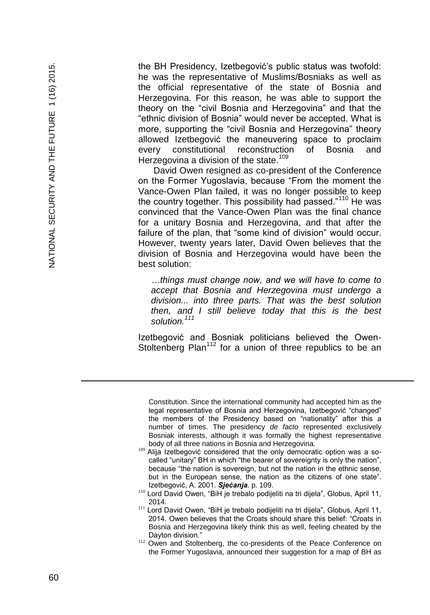the BH Presidency, Izetbegović's public status was twofold: he was the representative of Muslims/Bosniaks as well as the official representative of the state of Bosnia and Herzegovina. For this reason, he was able to support the theory on the "civil Bosnia and Herzegovina" and that the "ethnic division of Bosnia" would never be accepted. What is more, supporting the "civil Bosnia and Herzegovina" theory allowed Izetbegović the maneuvering space to proclaim every constitutional reconstruction of Bosnia and Herzegovina a division of the state.<sup>109</sup>

David Owen resigned as co -president of the Conference on the Former Yugoslavia, because "From the moment the Vance -Owen Plan failed, it was no longer possible to keep the country together. This possibility had passed."<sup>110</sup> He was convinced that the Vance -Owen Plan was the final chance for a unitary Bosnia and Herzegovina, and that after the failure of the plan, that "some kind of division" would occur. However, twenty years later, David Owen believes that the division of Bosnia and Herzegovina would have been the best solution:

*…things must change now, and we will have to come to accept that Bosnia and Herzegovina must undergo a division... into three parts. That was the best solution then, and I still believe today that this is the best solution.<sup>111</sup>*

Izetbegović and Bosniak politicians believed the Owen - Stoltenberg Plan<sup>112</sup> for a union of three republics to be an

Constitution. Since the international community had accepted him as the legal representative of Bosnia and Herzegovina, Izetbegović "changed" the members of the Presidency based on "nationality" after this a number of times. The presidency *de facto* represented exclusively Bosniak interests, although it was formally the highest representative body of all three nations in Bosnia and Herzegovina.

- <sup>109</sup> Alija Izetbegović considered that the only democratic option was a socalled "unitary" BH in which "the bearer of sovereignty is only the nation", because "the nation is sovereign, but not the nation in the ethnic sense, but in the European sense, the nation as the citizens of one state". Izetbegović, A. 2001. *Sjećanja*. p. 109.
- <sup>110</sup> Lord David Owen, "BiH je trebalo podijeliti na tri dijela", Globus, April 11, 2014.
- <sup>111</sup> Lord David Owen, "BiH je trebalo podijeliti na tri dijela", Globus, April 11, 2014. Owen believes that the Croats should share this belief: "Croats in Bosnia and Herzegovina likely think this as well, feeling cheated by the Dayton division."
- <sup>112</sup> Owen and Stoltenberg, the co-presidents of the Peace Conference on the Former Yugoslavia, announced their suggestion for a map of BH as

a<br>B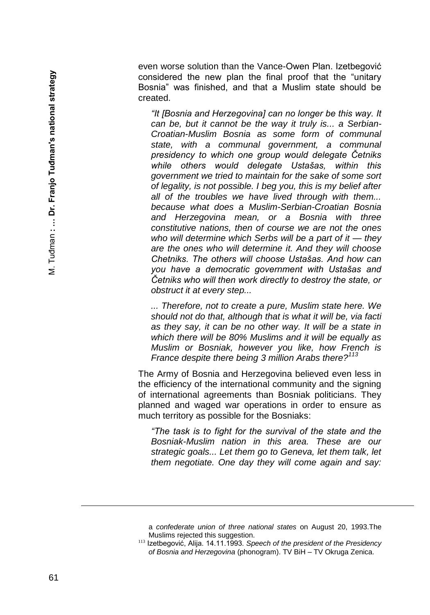even worse solution than the Vance -Owen Plan. Izetbegović considered the new plan the final proof that the "unitary Bosnia" was finished, and that a Muslim state should be created.

*"It [Bosnia and Herzegovina] can no longer be this way. It can be, but it cannot be the way it truly is... a Serbian - Croatian -Muslim Bosnia as some form of communal state, with a communal government, a communal presidency to which one group would delegate Četniks while others would delegate Ustašas, within this government we tried to maintain for the sake of some sort of legality, is not possible. I beg you, this is my belief after all of the troubles we have lived through with them... because what does a Muslim -Serbian -Croatian Bosnia and Herzegovina mean, or a Bosnia with three constitutive nations, then of course we are not the ones who will determine which Serbs will be a part of it — they are the ones who will determine it. And they will choose Chetniks. The others will choose Ustašas. And how can you have a democratic government with Ustašas and Četniks who will then work directly to destroy the state, or obstruct it at every step...*

*... Therefore, not to create a pure, Muslim state here. We should not do that, although that is what it will be, via facti as they say, it can be no other way. It will be a state in which there will be 80% Muslims and it will be equally as Muslim or Bosniak, however you like, how French is France despite there being 3 million Arabs there?<sup>113</sup>*

The Army of Bosnia and Herzegovina believed even less in the efficiency of the international community and the signing of international agreements than Bosniak politicians. They planned and waged war operations in order to ensure as much territory as possible for the Bosniaks :

*"The task is to fight for the survival of the state and the Bosniak-Muslim nation in this area. These are our strategic goals... Let them go to Geneva, let them talk, let them negotiate. One day they will come again and say:* 

a *confederate union of three national states* on August 20, 1993.The Muslims rejected this suggestion.

<sup>113</sup> Izetbegović, Alija. 14.11.1993. *Speech of the president of the Presidency of Bosnia and Herzegovina* (phonogram). TV BiH – TV Okruga Zenica.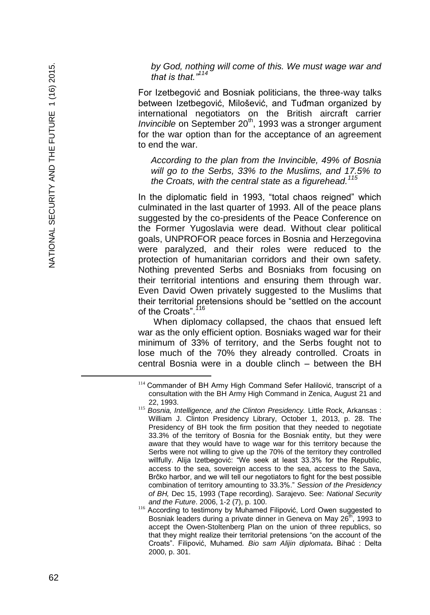*by God, nothing will come of this. We must wage war and that is that."<sup>114</sup>*

For Izetbegović and Bosniak politicians, the three -way talks between Izetbegović, Milošević, and Tuđman organized by international negotiators on the British aircraft carrier *Invincible* on September 20<sup>th</sup>, 1993 was a stronger argument for the war option than for the acceptance of an agreement to end the war.

*According to the plan from the Invincible, 49% of Bosnia will go to the Serbs, 33% to the Muslims, and 17.5% to the Croats, with the central state as a figurehead.<sup>115</sup>*

In the diplomatic field in 1993, "total chaos reigned" which culminated in the last quarter of 1993. All of the peace plans suggested by the co -presidents of the Peace Conference on the Former Yugoslavia were dead. Without clear political goals, UNPROFOR peace forces in Bosnia and Herzegovina were paralyzed, and their roles were reduced to the protection of humanitarian corridors and their own safety. Nothing prevented Serbs and Bosniaks from focusing on their territorial intentions and ensuring them through war. Even David Owen privately suggested to the Muslims that their territorial pretensions should be "settled on the account of the Croats".<sup>116</sup>

When diplomacy collapsed, the chaos that ensued left war as the only efficient option. Bosniaks waged war for their minimum of 33% of territory, and the Serbs fought not to lose much of the 70% they already controlled. Croats in central Bosnia were in a double clinch – between the BH

<sup>&</sup>lt;sup>114</sup> Commander of BH Army High Command Sefer Halilović, transcript of a consultation with the BH Army High Command in Zenica, August 21 and 22, 1993.

<sup>115</sup> *Bosnia, Intelligence, and the Clinton Presidency.* Little Rock, Arkansas : William J. Clinton Presidency Library, October 1, 2013, p. 28. The Presidency of BH took the firm position that they needed to negotiate 33.3% of the territory of Bosnia for the Bosniak entity, but they were aware that they would have to wage war for this territory because the Serbs were not willing to give up the 70% of the territory they controlled willfully. Alija Izetbegović: "We seek at least 33.3% for the Republic, access to the sea, sovereign access to the sea, access to the Sava, Brčko harbor, and we will tell our negotiators to fight for the best possible combination of territory amounting to 33.3%." *Session of the Presidency of BH,* Dec 15, 1993 (Tape recording). Sarajevo. See: *National Security and the Future*. 2006, 1 -2 (7), p. 100.

<sup>116</sup> According to testimony by Muhamed Filipović, Lord Owen suggested to Bosniak leaders during a private dinner in Geneva on May 26<sup>th</sup>, 1993 to accept the Owen -Stoltenberg Plan on the union of three republics, so that they might realize their territorial pretensions "on the account of the Croats". Filipović, Muhamed*. Bio sam Alijin diplomata* **.** Bihać : Delta 2000, p. 301.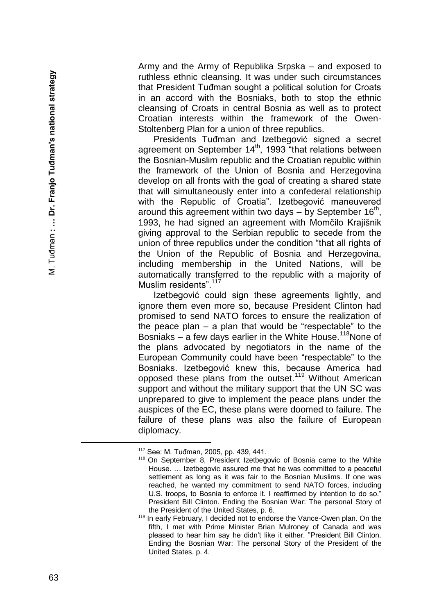Army and the Army of Republika Srpska – and exposed to ruthless ethnic cleansing. It was under such circumstances that President Tuđman sought a political solution for Croats in an accord with the Bosniaks, both to stop the ethnic cleansing of Croats in central Bosnia as well as to protect Croatian interests within the framework of the Owen - Stoltenberg Plan for a union of three republics.

Presidents Tuđman and Izetbegović signed a secret agreement on September 14<sup>th</sup>, 1993 "that relations between the Bosnian -Muslim republic and the Croatian republic within the framework of the Union of Bosnia and Herzegovina develop on all fronts with the goal of creating a shared state that will simultaneously enter into a confederal relationship with the Republic of Croatia". Izetbegović maneuvered around this agreement within two days  $-$  by September 16<sup>th</sup>, 1993, he had signed an agreement with Momčilo Krajišnik giving approval to the Serbian republic to secede from the union of three republics under the condition "that all rights of the Union of the Republic of Bosnia and Herzegovina, including membership in the United Nations, will be automatically transferred to the republic with a majority of Muslim residents".<sup>117</sup>

Izetbegović could sign these agreements lightly, and ignore them even more so, because President Clinton had promised to send NATO forces to ensure the realization of the peace plan – a plan that would be "respectable" to the Bosniaks - a few days earlier in the White House.<sup>118</sup>None of the plans advocated by negotiators in the name of the European Community could have been "respectable" to the Bosniaks. Izetbegović knew this, because America had opposed these plans from the outset.<sup>119</sup> Without American support and without the military support that the UN SC was unprepared to give to implement the peace plans under the auspices of the EC, these plans were doomed to failure. The failure of these plans was also the failure of European diplomacy.

<sup>117</sup> See: M. Tuđman, 2005, pp. 439, 441.

<sup>&</sup>lt;sup>118</sup> On September 8, President Izetbegovic of Bosnia came to the White House. … Izetbegovic assured me that he was committed to a peaceful settlement as long as it was fair to the Bosnian Muslims. If one was reached, he wanted my commitment to send NATO forces, including U.S. troops, to Bosnia to enforce it. I reaffirmed by intention to do so." President Bill Clinton. Ending the Bosnian War: The personal Story of the President of the United States, p. 6.

<sup>&</sup>lt;sup>119</sup> In early February, I decided not to endorse the Vance-Owen plan. On the fifth, I met with Prime Minister Brian Mulroney of Canada and was pleased to hear him say he didn't like it either. "President Bill Clinton. Ending the Bosnian War: The personal Story of the President of the United States, p. 4.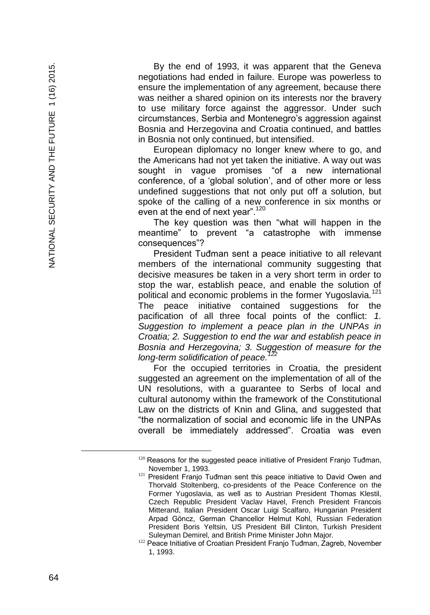By the end of 1993, it was apparent that the Geneva negotiations had ended in failure. Europe was powerless to ensure the implementation of any agreement, because there was neither a shared opinion on its interests nor the bravery to use military force against the aggressor. Under such circumstances, Serbia and Montenegro's aggression against Bosnia and Herzegovina and Croatia continued, and battles in Bosnia not only continued, but intensified.

European diplomacy no longer knew where to go, and the Americans had not yet taken the initiative. A way out was sought in vague promises "of a new international conference, of a 'global solution', and of other more or less undefined suggestions that not only put off a solution, but spoke of the calling of a new conference in six months or even at the end of next year".<sup>120</sup>

The key question was then "what will happen in the meantime" to prevent "a catastrophe with immense consequences"?

President Tuđman sent a peace initiative to all relevant members of the international community suggesting that decisive measures be taken in a very short term in order to stop the war, establish peace, and enable the solution of political and economic problems in the former Yugoslavia.<sup>121</sup> The peace initiative contained suggestions for the pacification of all three focal points of the conflict: *1. Suggestion to implement a peace plan in the UNPAs in Croatia; 2. Suggestion to end the war and establish peace in Bosnia and Herzegovina; 3. Suggestion of measure for the long -term solidification of peace.<sup>122</sup>*

For the occupied territories in Croatia, the president suggested an agreement on the implementation of all of the UN resolutions, with a guarantee to Serbs of local and cultural autonomy within the framework of the Constitutional Law on the districts of Knin and Glina, and suggested that "the normalization of social and economic life in the UNPAs overall be immediately addressed". Croatia was even

È,

 $120$  Reasons for the suggested peace initiative of President Franjo Tuđman, November 1, 1993.

<sup>&</sup>lt;sup>121</sup> President Franjo Tuđman sent this peace initiative to David Owen and Thorvald Stoltenberg, co -presidents of the Peace Conference on the Former Yugoslavia, as well as to Austrian President Thomas Klestil, Czech Republic President Vaclav Havel, French President Francois Mitterand, Italian President Oscar Luigi Scalfaro, Hungarian President Arpad Göncz, German Chancellor Helmut Kohl, Russian Federation President Boris Yeltsin, US President Bill Clinton, Turkish President Suleyman Demirel, and British Prime Minister John Major.

<sup>&</sup>lt;sup>122</sup> Peace Initiative of Croatian President Franjo Tuđman, Zagreb, November 1, 1993.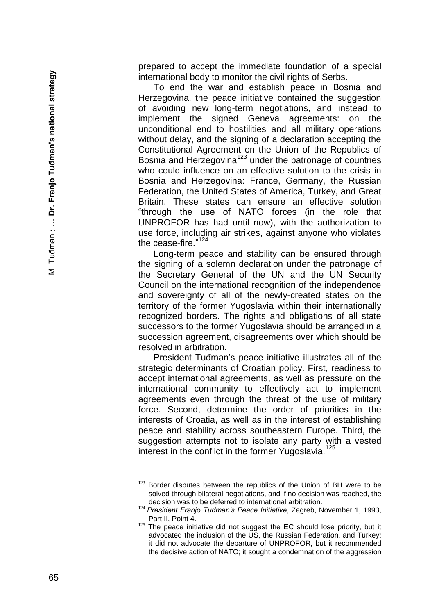prepared to accept the immediate foundation of a special international body to monitor the civil rights of Serbs.

To end the war and establish peace in Bosnia and Herzegovina, the peace initiative contained the suggestion of avoiding new long -term negotiations, and instead to implement the signed Geneva agreements: on the unconditional end to hostilities and all military operations without delay, and the signing of a declaration accepting the Constitutional Agreement on the Union of the Republics of Bosnia and Herzegovina<sup>123</sup> under the patronage of countries who could influence on an effective solution to the crisis in Bosnia and Herzegovina: France, Germany, the Russian Federation, the United States of America, Turkey, and Great Britain. These states can ensure an effective solution "through the use of NATO forces (in the role that UNPROFOR has had until now), with the authorization to use force, including air strikes, against anyone who violates the cease-fire."<sup>124</sup>

Long -term peace and stability can be ensured through the signing of a solemn declaration under the patronage of the Secretary General of the UN and the UN Security Council on the international recognition of the independence and sovereignty of all of the newly -created states on the territory of the former Yugoslavia within their internationally recognized borders. The rights and obligations of all state successors to the former Yugoslavia should be arranged in a succession agreement, disagreements over which should be resolved in arbitration.

President Tuđman's peace initiative illustrates all of the strategic determinants of Croatian policy. First, readiness to accept international agreements, as well as pressure on the international community to effectively act to implement agreements even through the threat of the use of military force. Second, determine the order of priorities in the interests of Croatia, as well as in the interest of establishing peace and stability across southeastern Europe. Third, the suggestion attempts not to isolate any party with a vested interest in the conflict in the former Yugoslavia.<sup>125</sup>

<sup>&</sup>lt;sup>123</sup> Border disputes between the republics of the Union of BH were to be solved through bilateral negotiations, and if no decision was reached, the decision was to be deferred to international arbitration.

<sup>124</sup> *President Franjo Tuđman's Peace Initiative*, Zagreb, November 1, 1993, Part II, Point 4.

<sup>&</sup>lt;sup>125</sup> The peace initiative did not suggest the EC should lose priority, but it advocated the inclusion of the US, the Russian Federation, and Turkey; it did not advocate the departure of UNPROFOR, but it recommended the decisive action of NATO; it sought a condemnation of the aggression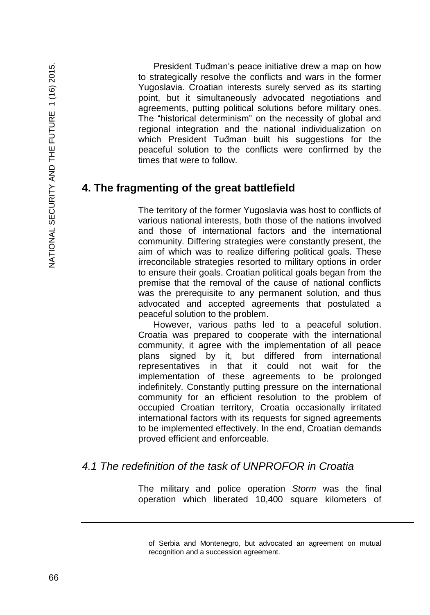President Tuđman's peace initiative drew a map on how to strategically resolve the conflicts and wars in the former Yugoslavia. Croatian interests surely served as its starting point, but it simultaneously advocated negotiations and agreements, putting political solutions before military ones. The "historical determinism" on the necessity of global and regional integration and the national individualization on which President Tuđman built his suggestions for the peaceful solution to the conflicts were confirmed by the times that were to follow.

# **4. The fragmenting of the great battlefield**

The territory of the former Yugoslavia was host to conflicts of various national interests, both those of the nations involved and those of international factors and the international community. Differing strategies were constantly present, the aim of which was to realize differing political goals. These irreconcilable strategies resorted to military options in order to ensure their goals. Croatian political goals began from the premise that the removal of the cause of national conflicts was the prerequisite to any permanent solution, and thus advocated and accepted agreements that postulated a peaceful solution to the problem.

However, various paths led to a peaceful solution. Croatia was prepared to cooperate with the international community, it agree with the implementation of all peace plans signed by it, but differed from international representatives in that it could not wait for the implementation of these agreements to be prolonged indefinitely. Constantly putting pressure on the international community for an efficient resolution to the problem of occupied Croatian territory, Croatia occasionally irritated international factors with its requests for signed agreements to be implemented effectively. In the end, Croatian demands proved efficient and enforceable.

# *4.1 The redefinition of the task of UNPROFOR in Croatia*

The military and police operation *Storm* was the final operation which liberated 10,400 square kilometers of

of Serbia and Montenegro, but advocated an agreement on mutual recognition and a succession agreement.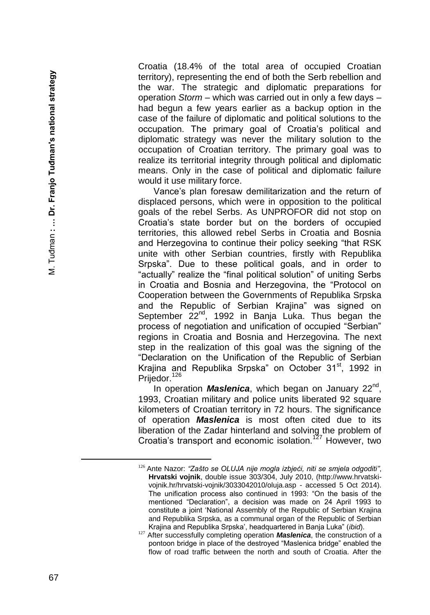Croatia (18.4% of the total area of occupied Croatian territory), representing the end of both the Serb rebellion and the war. The strategic and diplomatic preparations for operation *Storm* – which was carried out in only a few days – had begun a few years earlier as a backup option in the case of the failure of diplomatic and political solutions to the occupation. The primary goal of Croatia's political and diplomatic strategy was never the military solution to the occupation of Croatian territory. The primary goal was to realize its territorial integrity through political and diplomatic means. Only in the case of political and diplomatic failure would it use military force.

Vance's plan foresaw demilitarization and the return of displaced persons, which were in opposition to the political goals of the rebel Serbs. As UNPROFOR did not stop on Croatia's state border but on the borders of occupied territories, this allowed rebel Serbs in Croatia and Bosnia and Herzegovina to continue their policy seeking "that RSK unite with other Serbian countries, firstly with Republika Srpska". Due to these political goals, and in order to "actually" realize the "final political solution" of uniting Serbs in Croatia and Bosnia and Herzegovina, the "Protocol on Cooperation between the Governments of Republika Srpska and the Republic of Serbian Krajina" was signed on September 22<sup>nd</sup>, 1992 in Banja Luka. Thus began the process of negotiation and unification of occupied "Serbian" regions in Croatia and Bosnia and Herzegovina. The next step in the realization of this goal was the signing of the "Declaration on the Unification of the Republic of Serbian Krajina and Republika Srpska" on October 31<sup>st</sup>, 1992 in Prijedor.<sup>126</sup>

In operation *Maslenica*, which began on January 22<sup>nd</sup>, 1993, Croatian military and police units liberated 92 square kilometers of Croatian territory in 72 hours. The significance of operation *Maslenica* is most often cited due to its liberation of the Zadar hinterland and solving the problem of Croatia's transport and economic isolation.<sup>127</sup> However, two

<sup>126</sup> Ante Nazor: *"Zašto se OLUJA nije mogla izbjeći, niti se smjela odgoditi "*, **Hrvatski vojnik**, double issue 303/304, July 2010, (http://www.hrvatski vojnik.hr/hrvatski-vojnik/3033042010/oluja.asp - accessed 5 Oct 2014). The unification process also continued in 1993: "On the basis of the mentioned "Declaration", a decision was made on 24 April 1993 to constitute a joint 'National Assembly of the Republic of Serbian Krajina and Republika Srpska, as a communal organ of the Republic of Serbian Krajina and Republika Srpska', headquartered in Banja Luka" (*ibid*).

<sup>&</sup>lt;sup>127</sup> After successfully completing operation **Maslenica**, the construction of a pontoon bridge in place of the destroyed "Maslenica bridge" enabled the flow of road traffic between the north and south of Croatia. After the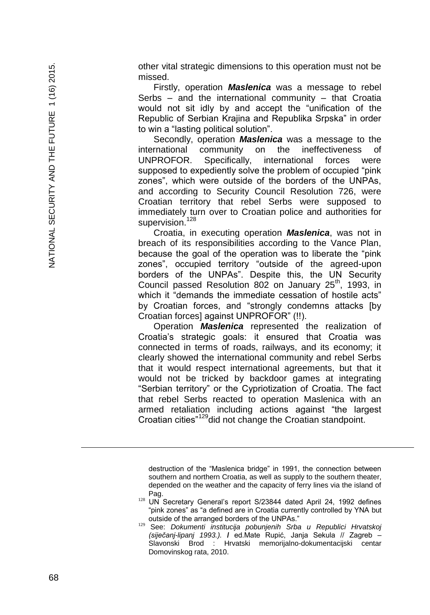other vital strategic dimensions to this operation must not be missed.

Firstly, operation *Maslenica* was a message to rebel Serbs – and the international community – that Croatia would not sit idly by and accept the "unification of the Republic of Serbian Krajina and Republika Srpska" in order to win a "lasting political solution".

Secondly, operation *Maslenica* was a message to the international community on the ineffectiveness of UNPROFOR. Specifically, international forces were supposed to expediently solve the problem of occupied "pink zones", which were outside of the borders of the UNPAs, and according to Security Council Resolution 726, were Croatian territory that rebel Serbs were supposed to immediately turn over to Croatian police and authorities for supervision.<sup>128</sup>

Croatia, in executing operation *Maslenica*, was not in breach of its responsibilities according to the Vance Plan, because the goal of the operation was to liberate the "pink zones", occupied territory "outside of the agreed -upon borders of the UNPAs". Despite this, the UN Security Council passed Resolution 802 on January 25<sup>th</sup>, 1993, in which it "demands the immediate cessation of hostile acts" by Croatian forces, and "strongly condemns attacks [by Croatian forces] against UNPROFOR" (!!).

Operation *Maslenica* represented the realization of Croatia's strategic goals: it ensured that Croatia was connected in terms of roads, railways, and its economy; it clearly showed the international community and rebel Serbs that it would respect international agreements, but that it would not be tricked by backdoor games at integrating "Serbian territory" or the Cypriotization of Croatia. The fact that rebel Serbs reacted to operation Maslenica with an armed retaliation including actions against "the largest Croatian cities"<sup>129</sup>did not change the Croatian standpoint.

destruction of the "Maslenica bridge" in 1991, the connection between southern and northern Croatia, as well as supply to the southern theater, depended on the weather and the capacity of ferry lines via the island of Pag.

<sup>&</sup>lt;sup>128</sup> UN Secretary General's report S/23844 dated April 24, 1992 defines "pink zones" as "a defined are in Croatia currently controlled by YNA but outside of the arranged borders of the UNPAs."

<sup>129</sup> See: *Dokumenti institucija pobunjenih Srba u Republici Hrvatskoj (siječanj -lipanj 1993.).* **/** ed.Mate Rupić, Janja Sekula // Zagreb – Slavonski Brod : Hrvatski memorijalno -dokumentacijski centar Domovinskog rata, 2010.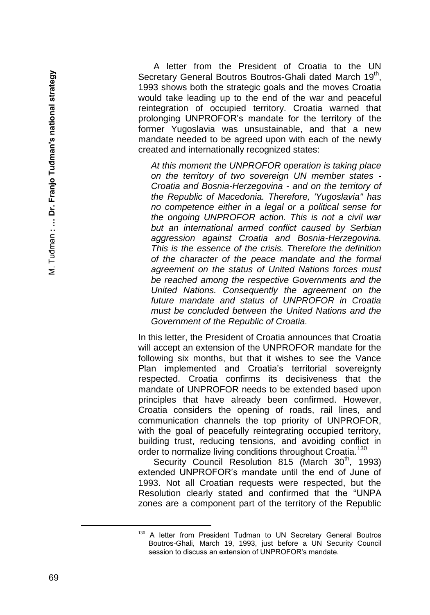A letter from the President of Croatia to the UN Secretary General Boutros Boutros-Ghali dated March 19<sup>th</sup>, 1993 shows both the strategic goals and the moves Croatia would take leading up to the end of the war and peaceful reintegration of occupied territory. Croatia warned that prolonging UNPROFOR's mandate for the territory of the former Yugoslavia was unsustainable, and that a new mandate needed to be agreed upon with each of the newly created and internationally recognized states:

*At this moment the UNPROFOR operation is taking place on the territory of two sovereign UN member states -* **Croatia and Bosnia-Herzegovina - and on the territory of** *the Republic of Macedonia. Therefore, 'Yugoslavia" has no competence either in a legal or a political sense for the ongoing UNPROFOR action. This is not a civil war but an international armed conflict caused by Serbian aggression against Croatia and Bosnia -Herzegovina. This is the essence of the crisis. Therefore the definition of the character of the peace mandate and the formal agreement on the status of United Nations forces must be reached among the respective Governments and the United Nations. Consequently the agreement on the future mandate and status of UNPROFOR in Croatia must be concluded between the United Nations and the Government of the Republic of Croatia .*

In this letter, the President of Croatia announces that Croatia will accept an extension of the UNPROFOR mandate for the following six months, but that it wishes to see the Vance Plan implemented and Croatia's territorial sovereignty respected. Croatia confirms its decisiveness that the mandate of UNPROFOR needs to be extended based upon principles that have already been confirmed. However, Croatia considers the opening of roads, rail lines, and communication channels the top priority of UNPROFOR, with the goal of peacefully reintegrating occupied territory, building trust, reducing tensions, and avoiding conflict in order to normalize living conditions throughout Croatia.<sup>130</sup>

Security Council Resolution 815 (March  $30<sup>th</sup>$ , 1993) extended UNPROFOR's mandate until the end of June of 1993. Not all Croatian requests were respected, but the Resolution clearly stated and confirmed that the "UNPA zones are a component part of the territory of the Republic

<sup>&</sup>lt;sup>130</sup> A letter from President Tuđman to UN Secretary General Boutros Boutros -Ghali, March 1 9, 1993, just before a UN Security Council session to discuss an extension of UNPROFOR's mandate.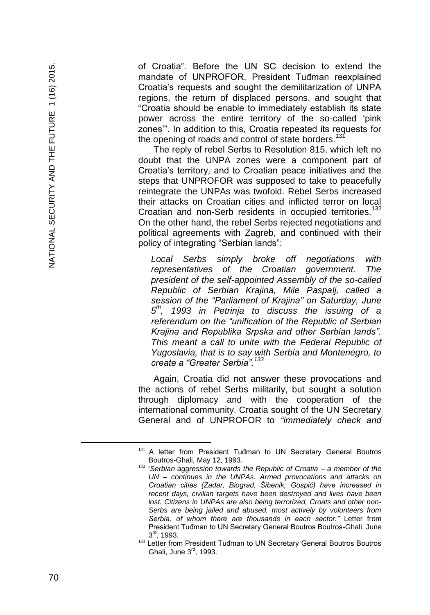of Croatia". Before the UN SC decision to extend the mandate of UNPROFOR, President Tuđman reexplained Croatia's requests and sought the demilitarization of UNPA regions, the return of displaced persons, and sought that "Croatia should be enable to immediately establish its state power across the entire territory of the so -called 'pink zones'". In addition to this, Croatia repeated its requests for the opening of roads and control of state borders.<sup>131</sup>

The reply of rebel Serbs to Resolution 815, which left no doubt that the UNPA zones were a component part of Croatia's territory, and to Croatian peace initiatives and the steps that UNPROFOR was supposed to take to peacefully reintegrate the UNPAs was twofold. Rebel Serbs increased their attacks on Croatian cities and inflicted terror on local Croatian and non-Serb residents in occupied territories.<sup>132</sup> On the other hand, the rebel Serbs rejected negotiations and political agreements with Zagreb, and continued with their policy of integrating "Serbian lands":

*Local Serbs simply broke off negotiations with representatives of the Croatian government. The president of the self-appointed Assembly of the so -called Republic of Serbian Krajina, Mile Paspalj, called a session of the "Parliament of Krajina" on Saturday, June 5 th, 1993 in Petrinja to discuss the issuing of a referendum on the "unification of the Republic of Serbian Krajina and Republika Srpska and other Serbian lands". This meant a call to unite with the Federal Republic of Yugoslavia, that is to say with Serbia and Montenegro, to create a "Greater Serbia".<sup>133</sup>*

Again, Croatia did not answer these provocations and the actions of rebel Serbs militarily, but sought a solution through diplomacy and with the cooperation of the international community. Croatia sought of the UN Secretary General and of UNPROFOR to *"immediately check and* 

<sup>131</sup> A letter from President Tuđman to UN Secretary General Boutros Boutros -Ghali, May 12, 1993.

<sup>&</sup>lt;sup>132</sup> "Serbian aggression towards the Republic of Croatia – a member of the *UN – continues in the UNPAs. Armed provocations and attacks on Croatian cities (Zadar, Biograd, Šibenik, Gospić) have increased in recent days, civilian targets have been destroyed and lives have been lost. Citizens in UNPAs are also being terrorized, Croats and other non - Serbs are being jailed and abused, most actively by volunteers from Serbia, of whom there are thousands in each sector."* Letter from President Tuđman to UN Secretary General Boutros Boutros -Ghali, June 3 rd, 1993.

<sup>133</sup> Letter from President Tuđman to UN Secretary General Boutros Boutros Ghali, June 3rd, 1993.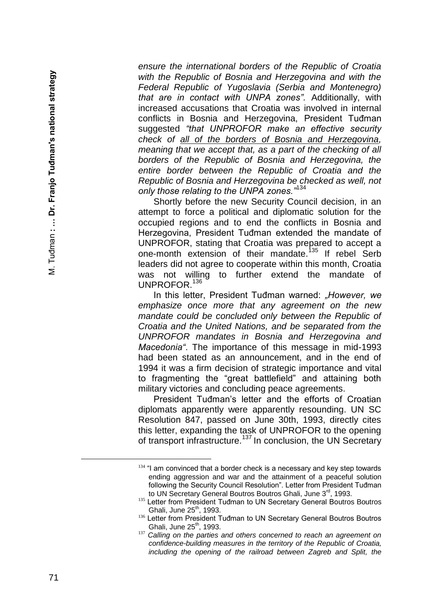*ensure the international borders of the Republic of Croatia with the Republic of Bosnia and Herzegovina and with the Federal Republic of Yugoslavia (Serbia and Montenegro) that are in contact with UNPA zones".* Additionally, with increased accusations that Croatia was involved in internal conflicts in Bosnia and Herzegovina, President Tuđman suggested *"that UNPROFOR make an effective security check of all of the borders of Bosnia and Herzegovina, meaning that we accept that, as a part of the checking of all borders of the Republic of Bosnia and Herzegovina, the entire border between the Republic of Croatia and the Republic of Bosnia and Herzegovina be checked as well, not only those relating to the UNPA zones."*<sup>134</sup>

Shortly before the new Security Council decision, in an attempt to force a political and diplomatic solution for the occupied regions and to end the conflicts in Bosnia and Herzegovina, President Tuđman extended the mandate of UNPROFOR, stating that Croatia was prepared to accept a one-month extension of their mandate.<sup>135</sup> If rebel Serb leaders did not agree to cooperate within this month, Croatia was not willing to further extend the mandate of UNPROFOR.<sup>136</sup>

In this letter, President Tuđman warned: *"However, we emphasize once more that any agreement on the new mandate could be concluded only between the Republic of Croatia and the United Nations, and be separated from the UNPROFOR mandates in Bosnia and Herzegovina and Macedonia"*. The importance of this message in mid -1993 had been stated as an announcement, and in the end of 1994 it was a firm decision of strategic importance and vital to fragmenting the "great battlefield" and attaining both military victories and concluding peace agreements.

President Tuđman's letter and the efforts of Croatian diplomats apparently were apparently resounding. UN SC Resolution 847, passed on June 30th, 1993, directly cites this letter, expanding the task of UNPROFOR to the opening of transport infrastructure.<sup>137</sup> In conclusion, the UN Secretary

 $134$  "I am convinced that a border check is a necessary and key step towards ending aggression and war and the attainment of a peaceful solution following the Security Council Resolution". Letter from President Tuđman to UN Secretary General Boutros Boutros Ghali, June 3<sup>rd</sup>, 1993.

<sup>135</sup> Letter from President Tuđman to UN Secretary General Boutros Boutros Ghali, June 25<sup>th</sup>, 1993.

<sup>136</sup> Letter from President Tuđman to UN Secretary General Boutros Boutros Ghali, June  $25<sup>th</sup>$ , 1993.

<sup>&</sup>lt;sup>137</sup> Calling on the parties and others concerned to reach an agreement on *confidence -building measures in the territory of the Republic of Croatia, including the opening of the railroad between Zagreb and Split, the*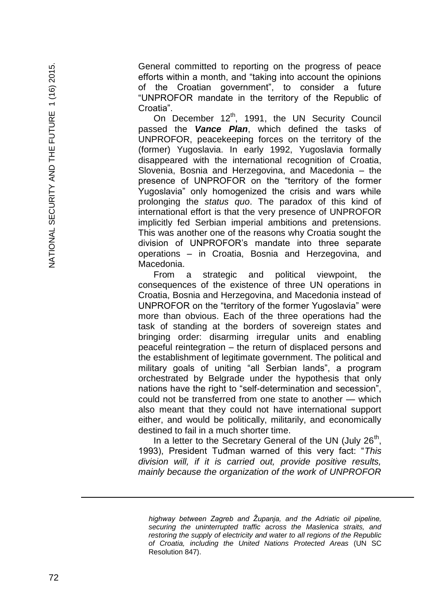General committed to reporting on the progress of peace efforts within a month, and "taking into account the opinions of the Croatian government", to consider a future "UNPROFOR mandate in the territory of the Republic of Croatia".

On December  $12<sup>th</sup>$ , 1991, the UN Security Council passed the *Vance Plan*, which defined the tasks of UNPROFOR, peacekeeping forces on the territory of the (former) Yugoslavia. In early 1992, Yugoslavia formally disappeared with the international recognition of Croatia, Slovenia, Bosnia and Herzegovina, and Macedonia – the presence of UNPROFOR on the "territory of the former Yugoslavia" only homogenized the crisis and wars while prolonging the *status quo*. The paradox of this kind of international effort is that the very presence of UNPROFOR implicitly fed Serbian imperial ambitions and pretensions. This was another one of the reasons why Croatia sought the division of UNPROFOR's mandate into three separate operations – in Croatia, Bosnia and Herzegovina, and Macedonia.

From a strategic and political viewpoint, the consequences of the existence of three UN operations in Croatia, Bosnia and Herzegovina, and Macedonia instead of UNPROFOR on the "territory of the former Yugoslavia" were more than obvious. Each of the three operations had the task of standing at the borders of sovereign states and bringing order: disarming irregular units and enabling peaceful reintegration – the return of displaced persons and the establishment of legitimate government. The political and military goals of uniting "all Serbian lands", a program orchestrated by Belgrade under the hypothesis that only nations have the right to "self -determination and secession", could not be transferred from one state to another — which also meant that they could not have international support either, and would be politically, militarily, and economically destined to fail in a much shorter time.

In a letter to the Secretary General of the UN (July  $26<sup>th</sup>$ , 1993), President Tuđman warned of this very fact: "*This division will, if it is carried out, provide positive results, mainly because the organization of the work of UNPROFOR* 

a<br>B

*highway between Zagreb and Županja, and the Adriatic oil pipeline, securing the uninterrupted traffic across the Maslenica straits, and restoring the supply of electricity and water to all regions of the Republic of Croatia, including the United Nations Protected Areas* (UN SC Resolution 847).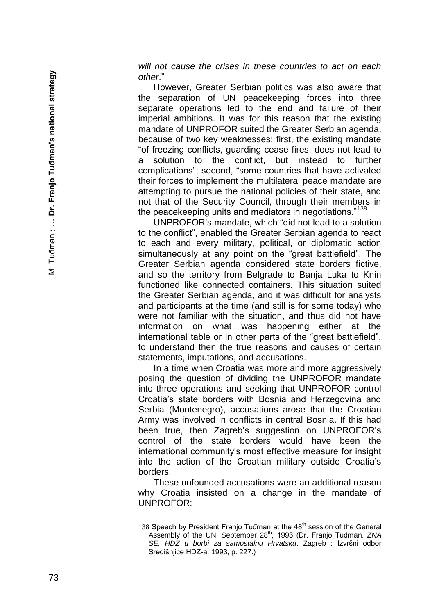*will not cause the crises in these countries to act on each other*."

However, Greater Serbian politics was also aware that the separation of UN peacekeeping forces into three separate operations led to the end and failure of their imperial ambitions. It was for this reason that the existing mandate of UNPROFOR suited the Greater Serbian agenda, because of two key weaknesses: first, the existing mandate "of freezing conflicts, guarding cease -fires, does not lead to a solution to the conflict, but instead to further complications"; second, "some countries that have activated their forces to implement the multilateral peace mandate are attempting to pursue the national policies of their state, and not that of the Security Council, through their members in the peacekeeping units and mediators in negotiations."<sup>138</sup>

UNPROFOR's mandate, which "did not lead to a solution to the conflict", enabled the Greater Serbian agenda to react to each and every military, political, or diplomatic action simultaneously at any point on the "great battlefield". The Greater Serbian agenda considered state borders fictive, and so the territory from Belgrade to Banja Luka to Knin functioned like connected containers. This situation suited the Greater Serbian agenda, and it was difficult for analysts and participants at the time (and still is for some today) who were not familiar with the situation, and thus did not have information on what was happening either at the international table or in other parts of the "great battlefield", to understand then the true reasons and causes of certain statements, imputations, and accusations.

In a time when Croatia was more and more aggressively posing the question of dividing the UNPROFOR mandate into three operations and seeking that UNPROFOR control Croatia's state borders with Bosnia and Herzegovina and Serbia (Montenegro), accusations arose that the Croatian Army was involved in conflicts in central Bosnia. If this had been true, then Zagreb's suggestion on UNPROFOR's control of the state borders would have been the international community's most effective measure for insight into the action of the Croatian military outside Croatia's borders.

These unfounded accusations were an additional reason why Croatia insisted on a change in the mandate of UNPROFOR:

<sup>138</sup> Speech by President Franjo Tuđman at the  $48<sup>th</sup>$  session of the General Assembly of the UN, September 28<sup>th</sup>, 1993 (Dr. Franjo Tuđman. ZNA *SE. HDZ u borbi za samostalnu Hrvatsku*. Zagreb : Izvršni odbor Središnjice HDZ -a, 1993, p. 227.)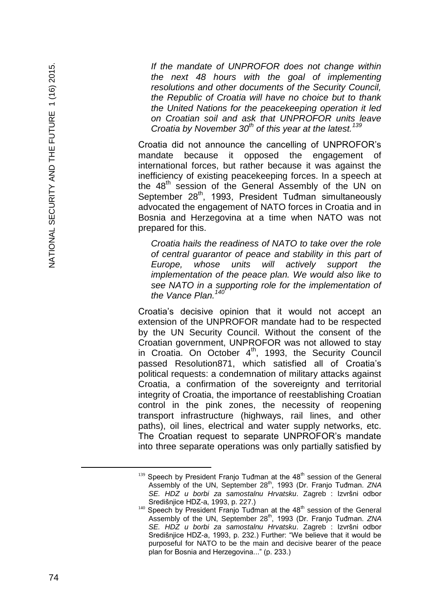*If the mandate of UNPROFOR does not change within the next 48 hours with the goal of implementing resolutions and other documents of the Security Council, the Republic of Croatia will have no choice but to thank the United Nations for the peacekeeping operation it led on Croatian soil and ask that UNPROFOR units leave Croatia by November 30th of this year at the latest.<sup>139</sup>*

Croatia did not announce the cancelling of UNPROFOR's mandate because it opposed the engagement of international forces, but rather because it was against the inefficiency of existing peacekeeping forces. In a speech at the 48<sup>th</sup> session of the General Assembly of the UN on September 28<sup>th</sup>, 1993, President Tuđman simultaneously advocated the engagement of NATO forces in Croatia and in Bosnia and Herzegovina at a time when NATO was not prepared for this.

*Croatia hails the readiness of NATO to take over the role of central guarantor of peace and stability in this part of Europe, whose units will actively support the implementation of the peace plan. We would also like to see NATO in a supporting role for the implementation of the Vance Plan.<sup>140</sup>*

Croatia's decisive opinion that it would not accept an extension of the UNPROFOR mandate had to be respected by the UN Security Council. Without the consent of the Croatian government, UNPROFOR was not allowed to stay in Croatia. On October  $4<sup>th</sup>$ , 1993, the Security Council passed Resolution871, which satisfied all of Croatia's political requests: a condemnation of military attacks against Croatia, a confirmation of the sovereignty and territorial integrity of Croatia, the importance of reestablishing Croatian control in the pink zones, the necessity of reopening transport infrastructure (highways, rail lines, and other paths), oil lines, electrical and water supply networks, etc. The Croatian request to separate UNPROFOR's mandate into three separate operations was only partially satisfied by

È,

 $139$  Speech by President Franjo Tuđman at the  $48<sup>th</sup>$  session of the General Assembly of the UN, September 28<sup>th</sup>, 1993 (Dr. Franjo Tuđman. *ZNA SE. HDZ u borbi za samostalnu Hrvatsku*. Zagreb : Izvršni odbor Središnjice HDZ -a, 1993, p. 227.)

<sup>140</sup> Speech by President Franjo Tuđman at the 48<sup>th</sup> session of the General Assembly of the UN, September 28<sup>th</sup>, 1993 (Dr. Franjo Tuđman. *ZNA SE. HDZ u borbi za samostalnu Hrvatsku*. Zagreb : Izvršni odbor Središnjice HDZ -a, 1993, p. 232.) Further: "We believe that it would be purposeful for NATO to be the main and decisive bearer of the peace plan for Bosnia and Herzegovina..." (p. 233.)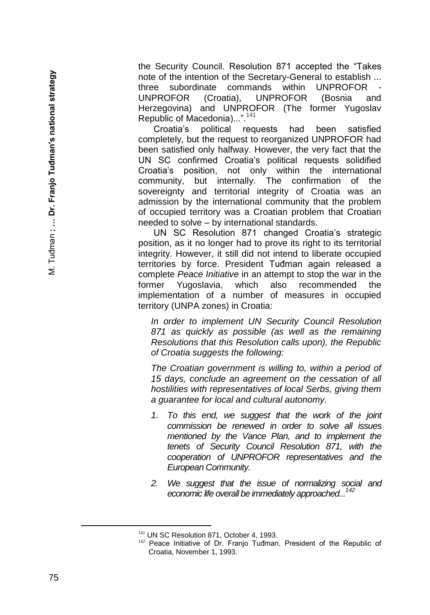the Security Council. Resolution 871 accepted the "Takes note of the intention of the Secretary -General to establish ... three subordinate commands within UNPROFOR - UNPROFOR (Croatia), UNPROFOR (Bosnia and Herzegovina) and UNPROFOR (The former Yugoslav Republic of Macedonia)...".<sup>141</sup>

Croatia's political requests had been satisfied completely, but the request to reorganized UNPROFOR had been satisfied only halfway. However, the very fact that the UN SC confirmed Croatia's political requests solidified Croatia's position, not only within the international community, but internally. The confirmation of the sovereignty and territorial integrity of Croatia was an admission by the international community that the problem of occupied territory was a Croatian problem that Croatian needed to solve – by international standards.

UN SC Resolution 871 changed Croatia's strategic position, as it no longer had to prove its right to its territorial integrity. However, it still did not intend to liberate occupied territories by force. President Tuđman again released a complete *Peace Initiative* in an attempt to stop the war in the former Yugoslavia, which also recommended the implementation of a number of measures in occupied territory (UNPA zones) in Croatia:

*In order to implement UN Security Council Resolution 871 as quickly as possible (as well as the remaining Resolutions that this Resolution calls upon), the Republic of Croatia suggests the following:*

*The Croatian government is willing to, within a period of 15 days, conclude an agreement on the cessation of all hostilities with representatives of local Serbs, giving them a guarantee for local and cultural autonomy.*

- *1. To this end, we suggest that the work of the joint commission be renewed in order to solve all issues mentioned by the Vance Plan, and to implement the tenets of Security Council Resolution 871, with the cooperation of UNPROFOR representatives and the European Community.*
- *2. We suggest that the issue of normalizing social and economic life overall be immediately approached...<sup>142</sup>*

<sup>&</sup>lt;sup>141</sup> UN SC Resolution 871, October 4, 1993.

<sup>&</sup>lt;sup>142</sup> Peace Initiative of Dr. Franjo Tuđman, President of the Republic of Croatia, November 1, 1993.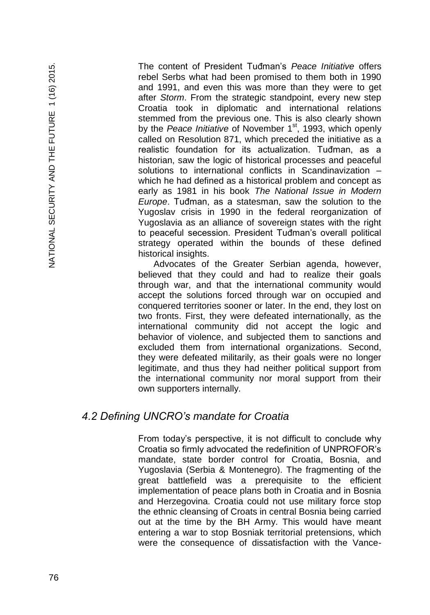The content of President Tuđman's *Peace Initiative* offers rebel Serbs what had been promised to them both in 1990 and 1991, and even this was more than they were to get after *Storm*. From the strategic standpoint, every new step Croatia took in diplomatic and international relations stemmed from the previous one. This is also clearly shown by the Peace Initiative of November 1<sup>st</sup>, 1993, which openly called on Resolution 871, which preceded the initiative as a realistic foundation for its actualization. Tuđman, as a historian, saw the logic of historical processes and peaceful solutions to international conflicts in Scandinavization – which he had defined as a historical problem and concept as early as 1981 in his book *The National Issue in Modern Europe*. Tuđman, as a statesman, saw the solution to the Yugoslav crisis in 1990 in the federal reorganization of Yugoslavia as an alliance of sovereign states with the right to peaceful secession. President Tuđman's overall political strategy operated within the bounds of these defined historical insights.

Advocates of the Greater Serbian agenda, however, believed that they could and had to realize their goals through war, and that the international community would accept the solutions forced through war on occupied and conquered territories sooner or later. In the end, they lost on two fronts. First, they were defeated internationally, as the international community did not accept the logic and behavior of violence, and subjected them to sanctions and excluded them from international organizations. Second, they were defeated militarily, as their goals were no longer legitimate, and thus they had neither political support from the international community nor moral support from their own supporters internally.

#### *4.2 Defining UNCRO's mandate for Croatia*

From today's perspective, it is not difficult to conclude why Croatia so firmly advocated the redefinition of UNPROFOR's mandate, state border control for Croatia, Bosnia, and Yugoslavia (Serbia & Montenegro). The fragmenting of the great battlefield was a prerequisite to the efficient implementation of peace plans both in Croatia and in Bosnia and Herzegovina. Croatia could not use military force stop the ethnic cleansing of Croats in central Bosnia being carried out at the time by the BH Army. This would have meant entering a war to stop Bosniak territorial pretensions, which were the consequence of dissatisfaction with the Vance-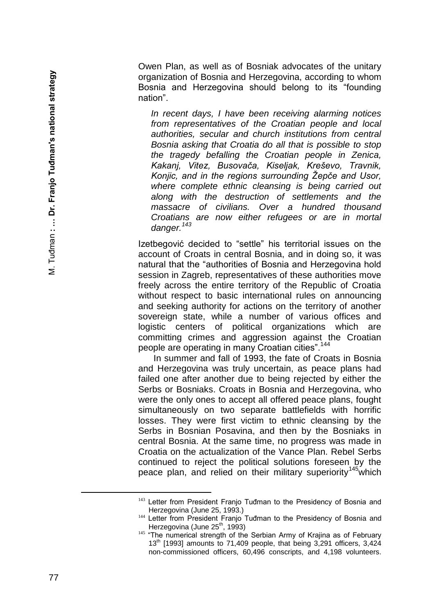Owen Plan, as well as of Bosniak advocates of the unitary organization of Bosnia and Herzegovina, according to whom Bosnia and Herzegovina should belong to its "founding nation".

*In recent days, I have been receiving alarming notices from representatives of the Croatian people and local authorities, secular and church institutions from central Bosnia asking that Croatia do all that is possible to stop the tragedy befalling the Croatian people in Zenica, Kakanj, Vitez, Busovača, Kiseljak, Kreševo, Travnik, Konjic, and in the regions surrounding Žepče and Usor, where complete ethnic cleansing is being carried out along with the destruction of settlements and the massacre of civilians. Over a hundred thousand Croatians are now either refugees or are in mortal danger.<sup>143</sup>*

Izetbegović decided to "settle" his territorial issues on the account of Croats in central Bosnia, and in doing so, it was natural that the "authorities of Bosnia and Herzegovina hold session in Zagreb, representatives of these authorities move freely across the entire territory of the Republic of Croatia without respect to basic international rules on announcing and seeking authority for actions on the territory of another sovereign state, while a number of various offices and logistic centers of political organizations which are committing crimes and aggression against the Croatian people are operating in many Croatian cities".<sup>144</sup>

In summer and fall of 1993, the fate of Croats in Bosnia and Herzegovina was truly uncertain, as peace plans had failed one after another due to being rejected by either the Serbs or Bosniaks. Croats in Bosnia and Herzegovina, who were the only ones to accept all offered peace plans, fought simultaneously on two separate battlefields with horrific losses. They were first victim to ethnic cleansing by the Serbs in Bosnian Posavina, and then by the Bosniaks in central Bosnia. At the same time, no progress was made in Croatia on the actualization of the Vance Plan. Rebel Serbs continued to reject the political solutions foreseen by the peace plan, and relied on their military superiority<sup>145</sup>which

<sup>&</sup>lt;sup>143</sup> Letter from President Franjo Tuđman to the Presidency of Bosnia and Herzegovina (June 25, 1993.)

<sup>&</sup>lt;sup>144</sup> Letter from President Franjo Tuđman to the Presidency of Bosnia and Herzegovina (June  $25<sup>th</sup>$ , 1993)

<sup>&</sup>lt;sup>145</sup> "The numerical strength of the Serbian Army of Krajina as of February  $13<sup>th</sup>$  [1993] amounts to 71,409 people, that being 3,291 officers, 3,424 non -commissioned officers, 60,496 conscripts, and 4,198 volunteers.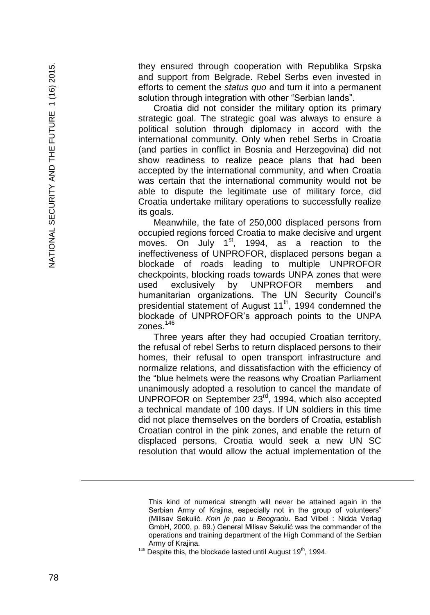they ensured through cooperation with Republika Srpska and support from Belgrade. Rebel Serbs even invested in efforts to cement the *status quo* and turn it into a permanent solution through integration with other "Serbian lands".

Croatia did not consider the military option its primary strategic goal. The strategic goal was always to ensure a political solution through diplomacy in accord with the international community. Only when rebel Serbs in Croatia (and parties in conflict in Bosnia and Herzegovina) did not show readiness to realize peace plans that had been accepted by the international community, and when Croatia was certain that the international community would not be able to dispute the legitimate use of military force, did Croatia undertake military operations to successfully realize its goals.

Meanwhile, the fate of 250,000 displaced persons from occupied regions forced Croatia to make decisive and urgent moves. On July 1<sup>st</sup>, 1994, as a reaction to the ineffectiveness of UNPROFOR, displaced persons began a blockade of roads leading to multiple UNPROFOR checkpoints, blocking roads towards UNPA zones that were used exclusively by UNPROFOR members and humanitarian organizations. The UN Security Council's presidential statement of August 11<sup>th</sup>, 1994 condemned the blockade of UNPROFOR's approach points to the UNPA zones.<sup>146</sup>

Three years after they had occupied Croatian territory, the refusal of rebel Serbs to return displaced persons to their homes, their refusal to open transport infrastructure and normalize relations, and dissatisfaction with the efficiency of the "blue helmets were the reasons why Croatian Parliament unanimously adopted a resolution to cancel the mandate of UNPROFOR on September 23rd, 1994, which also accepted a technical mandate of 100 days. If UN soldiers in this time did not place themselves on the borders of Croatia, establish Croatian control in the pink zones, and enable the return of displaced persons, Croatia would seek a new UN SC resolution that would allow the actual implementation of the

 $146$  Despite this, the blockade lasted until August 19<sup>th</sup>, 1994.

a<br>B

This kind of numerical strength will never be attained again in the Serbian Army of Krajina, especially not in the group of volunteers" (Milisav Sekulić. Knin je pao u Beogradu. Bad Vilbel : Nidda Verlag GmbH, 2000, p. 69.) General Milisav Sekulić was the commander of the operations and training department of the High Command of the Serbian Army of Krajina.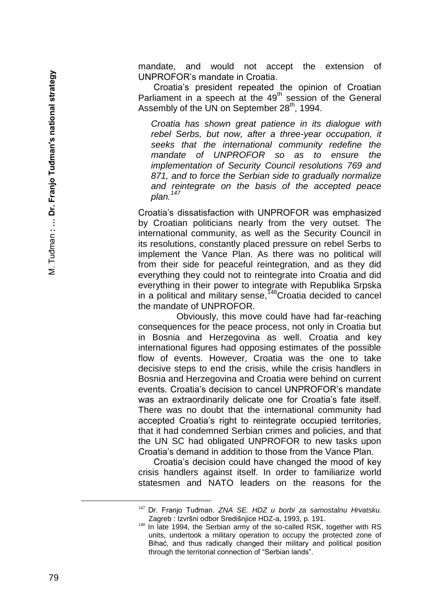mandate, and would not accept the extension of UNPROFOR's mandate in Croatia.

Croatia's president repeated the opinion of Croatian Parliament in a speech at the  $49<sup>th</sup>$  session of the General Assembly of the UN on September 28<sup>th</sup>, 1994.

*Croatia has shown great patience in its dialogue with rebel Serbs, but now, after a three -year occupation, it seeks that the international community redefine the mandate of UNPROFOR so as to ensure the implementation of Security Council resolutions 769 and 871, and to force the Serbian side to gradually normalize and reintegrate on the basis of the accepted peace plan.<sup>147</sup>*

Croatia's dissatisfaction with UNPROFOR was emphasized by Croatian politicians nearly from the very outset. The international community, as well as the Security Council in its resolutions, constantly placed pressure on rebel Serbs to implement the Vance Plan. As there was no political will from their side for peaceful reintegration, and as they did everything they could not to reintegrate into Croatia and did everything in their power to integrate with Republika Srpska in a political and military sense,<sup> $148$ </sup>Croatia decided to cancel the mandate of UNPROFOR.

Obviously, this move could have had far -reaching consequences for the peace process, not only in Croatia but in Bosnia and Herzegovina as well. Croatia and key international figures had opposing estimates of the possible flow of events. However, Croatia was the one to take decisive steps to end the crisis, while the crisis handlers in Bosnia and Herzegovina and Croatia were behind on current events. Croatia's decision to cancel UNPROFOR's mandate was an extraordinarily delicate one for Croatia's fate itself. There was no doubt that the international community had accepted Croatia's right to reintegrate occupied territories, that it had condemned Serbian crimes and policies, and that the UN SC had obligated UNPROFOR to new tasks upon Croatia's demand in addition to those from the Vance Plan.

Croatia's decision could have changed the mood of key crisis handlers against itself. In order to familiarize world statesmen and NATO leaders on the reasons for the

<sup>147</sup> Dr. Franjo Tuđman. *ZNA SE. HDZ u borbi za samostalnu Hrvatsku*. Zagreb : Izvršni odbor Središnjice HDZ -a, 1993, p. 191.

<sup>&</sup>lt;sup>148</sup> In late 1994, the Serbian army of the so-called RSK, together with RS units, undertook a military operation to occupy the protected zone of Bihać, and thus radically changed their military and political position through the territorial connection of "Serbian lands".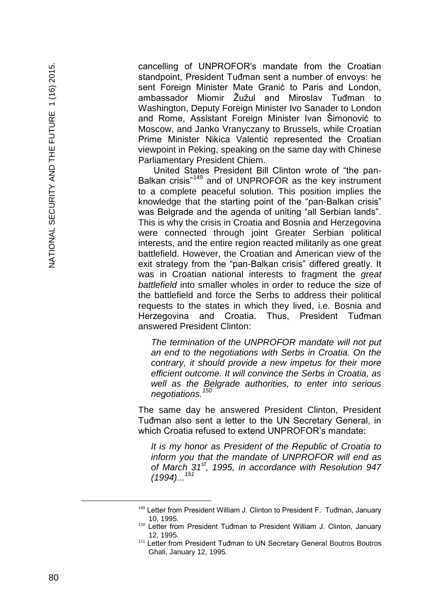cancelling of UNPROFOR's mandate from the Croatian standpoint, President Tuđman sent a number of envoys: he sent Foreign Minister Mate Granić to Paris and London. ambassador Miomir Žužul and Miroslav Tuđman to Washington, Deputy Foreign Minister Ivo Sanader to London and Rome, Assistant Foreign Minister Ivan Šimonović to Moscow, and Janko Vranyczany to Brussels, while Croatian Prime Minister Nikica Valentić represented the Croatian viewpoint in Peking, speaking on the same day with Chinese Parliamentary President Chiem.

United States President Bill Clinton wrote of "the pan - Balkan crisis"<sup>149</sup> and of UNPROFOR as the key instrument to a complete peaceful solution. This position implies the knowledge that the starting point of the "pan -Balkan crisis" was Belgrade and the agenda of uniting "all Serbian lands". This is why the crisis in Croatia and Bosnia and Herzegovina were connected through joint Greater Serbian political interests, and the entire region reacted militarily as one great battlefield. However, the Croatian and American view of the exit strategy from the "pan -Balkan crisis" differed greatly. It was in Croatian national interests to fragment the *great battlefield* into smaller wholes in order to reduce the size of the battlefield and force the Serbs to address their political requests to the states in which they lived, i.e. Bosnia and Herzegovina and Croatia. Thus, President Tuđman answered President Clinton:

*The termination of the UNPROFOR mandate will not put an end to the negotiations with Serbs in Croatia. On the contrary, it should provide a new impetus for their more efficient outcome. It will convince the Serbs in Croatia, as well as the Belgrade authorities, to enter into serious negotiations.<sup>150</sup>*

The same day he answered President Clinton, President Tuđman also sent a letter to the UN Secretary General, in which Croatia refused to extend UNPROFOR's mandate:

*It is my honor as President of the Republic of Croatia to inform you that the mandate of UNPROFOR will end as of March 31st, 1995, in accordance with Resolution 947 (1994)...<sup>151</sup>*

<sup>&</sup>lt;sup>149</sup> Letter from President William J. Clinton to President F. Tuđman, January 10, 1995.

<sup>&</sup>lt;sup>150</sup> Letter from President Tuđman to President William J. Clinton, January 12, 1995.

<sup>&</sup>lt;sup>151</sup> Letter from President Tuđman to UN Secretary General Boutros Boutros Ghali, January 12, 1995.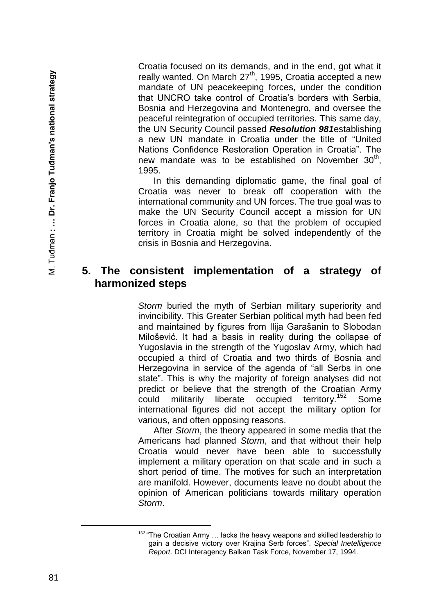Croatia focused on its demands, and in the end, got what it really wanted. On March 27<sup>th</sup>, 1995, Croatia accepted a new mandate of UN peacekeeping forces, under the condition that UNCRO take control of Croatia's borders with Serbia, Bosnia and Herzegovina and Montenegro, and oversee the peaceful reintegration of occupied territories. This same day, the UN Security Council passed *Resolution 981*establishing a new UN mandate in Croatia under the title of "United Nations Confidence Restoration Operation in Croatia". The new mandate was to be established on November  $30<sup>th</sup>$ , 1995.

In this demanding diplomatic game, the final goal of Croatia was never to break off cooperation with the international community and UN forces. The true goal was to make the UN Security Council accept a mission for UN forces in Croatia alone, so that the problem of occupied territory in Croatia might be solved independently of the crisis in Bosnia and Herzegovina.

## **5. The consistent implementation of a strategy of harmonized steps**

*Storm* buried the myth of Serbian military superiority and invincibility. This Greater Serbian political myth had been fed and maintained by figures from Ilija Garašanin to Slobodan Milošević. It had a basis in reality during the collapse of Yugoslavia in the strength of the Yugoslav Army, which had occupied a third of Croatia and two thirds of Bosnia and Herzegovina in service of the agenda of "all Serbs in one state". This is why the majority of foreign analyses did not predict or believe that the strength of the Croatian Army could militarily liberate occupied territory.<sup>152</sup> Some international figures did not accept the military option for various, and often opposing reasons.

After *Storm*, the theory appeared in some media that the Americans had planned *Storm*, and that without their help Croatia would never have been able to successfully implement a military operation on that scale and in such a short period of time. The motives for such an interpretation are manifold. However, documents leave no doubt about the opinion of American politicians towards military operation *Storm*.

<sup>152 &</sup>quot;The Croatian Army ... lacks the heavy weapons and skilled leadership to gain a decisive victory over Krajina Serb forces". *Special Inetelligence Report*. DCI Interagency Balkan Task Force, November 17, 1994.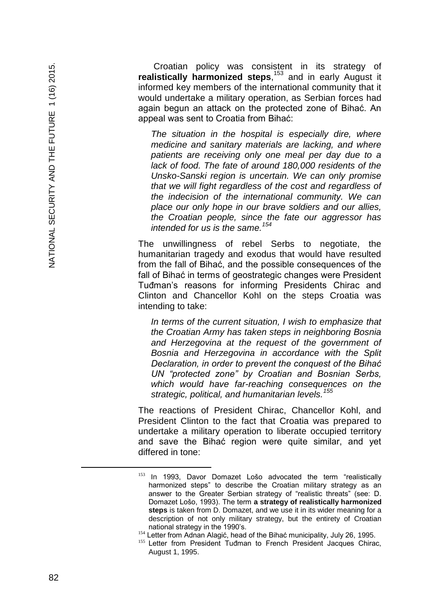Croatian policy was consistent in its strategy of realistically harmonized steps,<sup>153</sup> and in early August it informed key members of the international community that it would undertake a military operation, as Serbian forces had again begun an attack on the protected zone of Bihać. An appeal was sent to Croatia from Bihać:

*The situation in the hospital is especially dire, where medicine and sanitary materials are lacking, and where patients are receiving only one meal per day due to a lack of food. The fate of around 180,000 residents of the Unsko -Sanski region is uncertain. We can only promise that we will fight regardless of the cost and regardless of the indecision of the international community. We can place our only hope in our brave soldiers and our allies, the Croatian people, since the fate our aggressor has intended for us is the same.<sup>154</sup>*

The unwillingness of rebel Serbs to negotiate, the humanitarian tragedy and exodus that would have resulted from the fall of Bihać, and the possible consequences of the fall of Bihać in terms of geostrategic changes were President Tuđman's reasons for informing Presidents Chirac and Clinton and Chancellor Kohl on the steps Croatia was intending to take:

*In terms of the current situation, I wish to emphasize that the Croatian Army has taken steps in neighboring Bosnia and Herzegovina at the request of the government of Bosnia and Herzegovina in accordance with the Split Declaration, in order to prevent the conquest of the Bihać UN "protected zone" by Croatian and Bosnian Serbs, which would have far-reaching consequences on the strategic, political, and humanitarian levels.<sup>155</sup>*

The reactions of President Chirac, Chancellor Kohl, and President Clinton to the fact that Croatia was prepared to undertake a military operation to liberate occupied territory and save the Bihać region were quite similar, and yet differed in tone:

È,

<sup>153</sup> In 1993, Davor Domazet Lošo advocated the term "realistically harmonized steps" to describe the Croatian military strategy as an answer to the Greater Serbian strategy of "realistic threats" (see: D. Domazet Lošo, 1993). The term **a strategy of realistically harmonized steps** is taken from D. Domazet, and we use it in its wider meaning for a description of not only military strategy, but the entirety of Croatian national strategy in the 1990's.

<sup>&</sup>lt;sup>154</sup> Letter from Adnan Alagić, head of the Bihać municipality, July 26, 1995.

<sup>155</sup> Letter from President Tuđman to French President Jacques Chirac, August 1, 1995.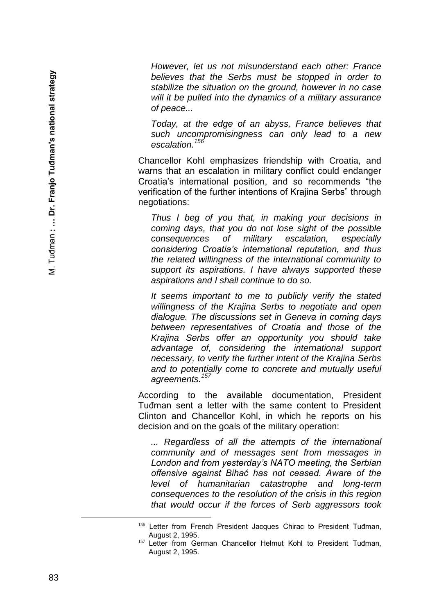*However, let us not misunderstand each other: France believes that the Serbs must be stopped in order to stabilize the situation on the ground, however in no case will it be pulled into the dynamics of a military assurance of peace...*

*Today, at the edge of an abyss, France believes that such uncompromisingness can only lead to a new escalation.<sup>156</sup>*

Chancellor Kohl emphasizes friendship with Croatia, and warns that an escalation in military conflict could endanger Croatia's international position, and so recommends "the verification of the further intentions of Krajina Serbs" through negotiations:

*Thus I beg of you that, in making your decisions in coming days, that you do not lose sight of the possible consequences of military escalation, especially considering Croatia's international reputation, and thus the related willingness of the international community to support its aspirations. I have always supported these aspirations and I shall continue to do so.*

*It seems important to me to publicly verify the stated willingness of the Krajina Serbs to negotiate and open dialogue. The discussions set in Geneva in coming days between representatives of Croatia and those of the Krajina Serbs offer an opportunity you should take advantage of, considering the international support necessary, to verify the further intent of the Krajina Serbs and to potentially come to concrete and mutually useful agreements.<sup>157</sup>*

According to the available documentation, President Tuđman sent a letter with the same content to President Clinton and Chancellor Kohl, in which he reports on his decision and on the goals of the military operation:

*... Regardless of all the attempts of the international community and of messages sent from messages in London and from yesterday's NATO meeting, the Serbian offensive against Bihać has not ceased. Aware of the level of humanitarian catastrophe and long -term consequences to the resolution of the crisis in this region that would occur if the forces of Serb aggressors took* 

<sup>&</sup>lt;sup>156</sup> Letter from French President Jacques Chirac to President Tuđman, August 2, 1995.

<sup>157</sup> Letter from German Chancellor Helmut Kohl to President Tuđman, August 2, 1995.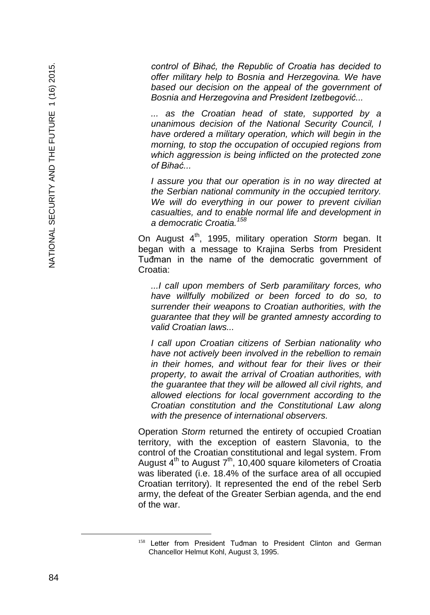*control of Bihać, the Republic of Croatia has decided to offer military help to Bosnia and Herzegovina. We have based our decision on the appeal of the government of Bosnia and Herzegovina and President Izetbegović...*

*... as the Croatian head of state, supported by a unanimous decision of the National Security Council, I have ordered a military operation, which will begin in the morning, to stop the occupation of occupied regions from which aggression is being inflicted on the protected zone of Bihać...*

*I assure you that our operation is in no way directed at the Serbian national community in the occupied territory. We will do everything in our power to prevent civilian casualties, and to enable normal life and development in a democratic Croatia.<sup>158</sup>*

On August 4<sup>th</sup>, 1995, military operation *Storm* began. It began with a message to Krajina Serbs from President Tuđman in the name of the democratic government of Croatia:

*...I call upon members of Serb paramilitary forces, who have willfully mobilized or been forced to do so, to surrender their weapons to Croatian authorities, with the guarantee that they will be granted amnesty according to valid Croatian laws...*

*I call upon Croatian citizens of Serbian nationality who have not actively been involved in the rebellion to remain in their homes, and without fear for their lives or their property, to await the arrival of Croatian authorities, with the guarantee that they will be allowed all civil rights, and allowed elections for local government according to the Croatian constitution and the Constitutional Law along with the presence of international observers.*

Operation *Storm* returned the entirety of occupied Croatian territory, with the exception of eastern Slavonia, to the control of the Croatian constitutional and legal system. From August  $4^{th}$  to August  $7^{th}$ , 10,400 square kilometers of Croatia was liberated (i.e. 18.4% of the surface area of all occupied Croatian territory). It represented the end of the rebel Serb army, the defeat of the Greater Serbian agenda, and the end of the war.

<sup>&</sup>lt;sup>158</sup> Letter from President Tuđman to President Clinton and German Chancellor Helmut Kohl, August 3, 1995.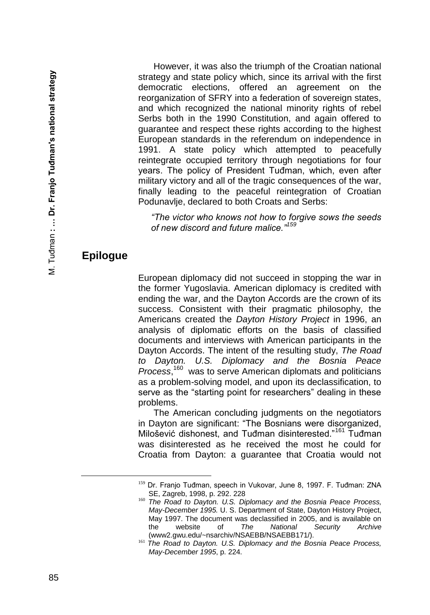However, it was also the triumph of the Croatian national strategy and state policy which, since its arrival with the first democratic elections, offered an agreement on the reorganization of SFRY into a federation of sovereign states, and which recognized the national minority rights of rebel Serbs both in the 1990 Constitution, and again offered to guarantee and respect these rights according to the highest European standards in the referendum on independence in 1991. A state policy which attempted to peacefully reintegrate occupied territory through negotiations for four years. The policy of President Tuđman, which, even after military victory and all of the tragic consequences of the war, finally leading to the peaceful reintegration of Croatian Podunavlje, declared to both Croats and Serbs:

*"The victor who knows not how to forgive sows the seeds of new discord and future malice."<sup>159</sup>*

## **Epilogue**

European diplomacy did not succeed in stopping the war in the former Yugoslavia. American diplomacy is credited with ending the war, and the Dayton Accords are the crown of its success. Consistent with their pragmatic philosophy, the Americans created the *Dayton History Project* in 1996, an analysis of diplomatic efforts on the basis of classified documents and interviews with American participants in the Dayton Accords. The intent of the resulting study, *The Road to Dayton. U.S. Diplomacy and the Bosnia Peace*  Process,<sup>160</sup> was to serve American diplomats and politicians as a problem-solving model, and upon its declassification, to serve as the "starting point for researchers" dealing in these problems.

The American concluding judgments on the negotiators in Dayton are significant: "The Bosnians were disorganized, Milošević dishonest, and Tuđman disinterested."<sup>161</sup> Tuđman was disinterested as he received the most he could for Croatia from Dayton: a guarantee that Croatia would not

<sup>159</sup> Dr. Franjo Tuđman, speech in Vukovar, June 8, 1997. F. Tuđman: ZNA SE, Zagreb, 1998, p. 292. 228

<sup>160</sup> *The Road to Dayton. U.S. Diplomacy and the Bosnia Peace Process, May-December 1995.* U. S. Department of State, Dayton History Project, May 1997. The document was declassified in 2005, and is available on the website of *The National Security Archive* (www2.gwu.edu/~nsarchiv/NSAEBB/NSAEBB171/).

<sup>161</sup> *The Road to Dayton. U.S. Diplomacy and the Bosnia Peace Process, May-December 1995*, p. 224.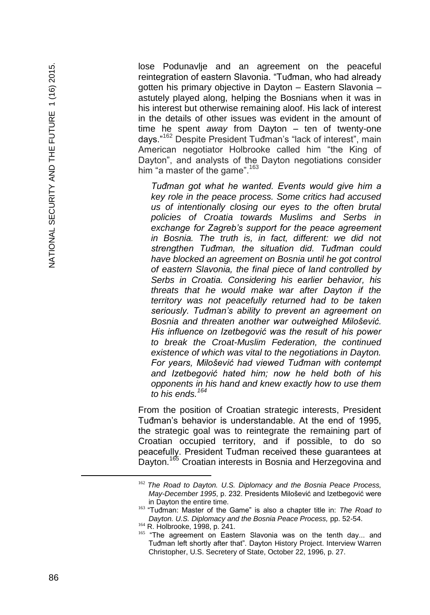lose Podunavlje and an agreement on the peaceful reintegration of eastern Slavonia. "Tuđman, who had already gotten his primary objective in Dayton – Eastern Slavonia – astutely played along, helping the Bosnians when it was in his interest but otherwise remaining aloof. His lack of interest in the details of other issues was evident in the amount of time he spent away from Dayton – ten of twenty-one days."<sup>162</sup> Despite President Tuđman's "lack of interest", main American negotiator Holbrooke called him "the King of Dayton", and analysts of the Dayton negotiations consider him "a master of the game".  $163$ 

*Tuđman got what he wanted. Events would give him a key role in the peace process. Some critics had accused us of intentionally closing our eyes to the often brutal policies of Croatia towards Muslims and Serbs in exchange for Zagreb's support for the peace agreement in Bosnia. The truth is, in fact, different: we did not strengthen Tuđman, the situation did. Tuđman could have blocked an agreement on Bosnia until he got control of eastern Slavonia, the final piece of land controlled by Serbs in Croatia. Considering his earlier behavior, his threats that he would make war after Dayton if the territory was not peacefully returned had to be taken seriously. Tuđman's ability to prevent an agreement on Bosnia and threaten another war outweighed Milošević. His influence on Izetbegović was the result of his power to break the Croat -Muslim Federation, the continued existence of which was vital to the negotiations in Dayton. For years, Milošević had viewed Tuđman with contempt and Izetbegović hated him; now he held both of his opponents in his hand and knew exactly how to use them to his ends.<sup>164</sup>*

From the position of Croatian strategic interests, President Tuđman's behavior is understandable. At the end of 1995, the strategic goal was to reintegrate the remaining part of Croatian occupied territory, and if possible, to do so peacefully. President Tuđman received these guarantees at Dayton.<sup>165</sup> Croatian interests in Bosnia and Herzegovina and

<sup>164</sup> R. Holbrooke, 1998, p. 241.

<sup>162</sup> *The Road to Dayton. U.S. Diplomacy and the Bosnia Peace Process, May-December 1995*, p. 232. Presidents Milošević and Izetbegović were in Dayton the entire time.

<sup>163</sup> "Tuđman: Master of the Game" is also a chapter title in: *The Road to*  Dayton. U.S. Diplomacy and the Bosnia Peace Process, pp. 52-54.

<sup>&</sup>lt;sup>165</sup> "The agreement on Eastern Slavonia was on the tenth day... and Tuđman left shortly after that". Dayton History Project. Interview Warren Christopher, U.S. Secretery of State, October 22, 1996, p. 27.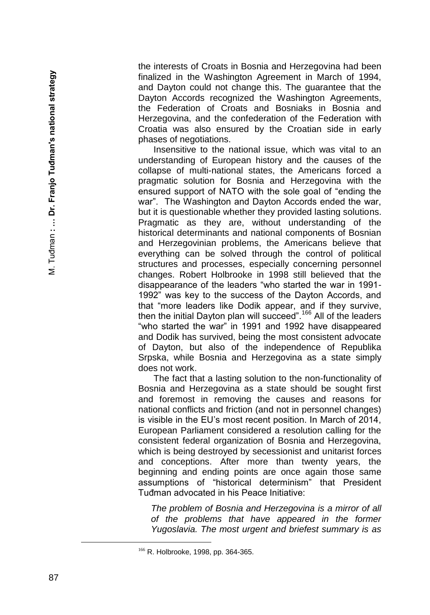the interests of Croats in Bosnia and Herzegovina had been finalized in the Washington Agreement in March of 1994, and Dayton could not change this. The guarantee that the Dayton Accords recognized the Washington Agreements, the Federation of Croats and Bosniaks in Bosnia and Herzegovina, and the confederation of the Federation with Croatia was also ensured by the Croatian side in early phases of negotiations.

Insensitive to the national issue, which was vital to an understanding of European history and the causes of the collapse of multi -national states, the Americans forced a pragmatic solution for Bosnia and Herzegovina with the ensured support of NATO with the sole goal of "ending the war". The Washington and Dayton Accords ended the war, but it is questionable whether they provided lasting solutions. Pragmatic as they are, without understanding of the historical determinants and national components of Bosnian and Herzegovinian problems, the Americans believe that everything can be solved through the control of political structures and processes, especially concerning personnel changes. Robert Holbrooke in 1998 still believed that the disappearance of the leaders "who started the war in 1991 - 1992" was key to the success of the Dayton Accords, and that "more leaders like Dodik appear, and if they survive, then the initial Dayton plan will succeed".<sup>166</sup> All of the leaders "who started the war" in 1991 and 1992 have disappeared and Dodik has survived, being the most consistent advocate of Dayton, but also of the independence of Republika Srpska, while Bosnia and Herzegovina as a state simply does not work.

The fact that a lasting solution to the non -functionality of Bosnia and Herzegovina as a state should be sought first and foremost in removing the causes and reasons for national conflicts and friction (and not in personnel changes) is visible in the EU's most recent position. In March of 2014, European Parliament considered a resolution calling for the consistent federal organization of Bosnia and Herzegovina, which is being destroyed by secessionist and unitarist forces and conceptions. After more than twenty years, the beginning and ending points are once again those same assumptions of "historical determinism" that President Tuđman advocated in his Peace Initiative:

*The problem of Bosnia and Herzegovina is a mirror of all of the problems that have appeared in the former Yugoslavia. The most urgent and briefest summary is as* 

<sup>&</sup>lt;sup>166</sup> R. Holbrooke, 1998, pp. 364-365.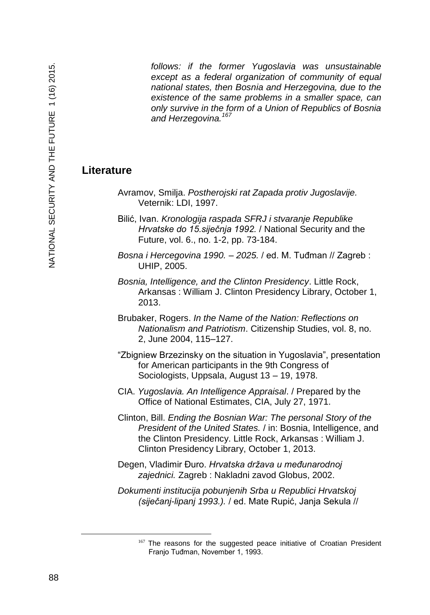*follows: if the former Yugoslavia was unsustainable except as a federal organization of community of equal national states, then Bosnia and Herzegovina, due to the existence of the same problems in a smaller space, can only survive in the form of a Union of Republics of Bosnia and Herzegovina.<sup>167</sup>*

## **Literature**

- Avramov, Smilja. *Postherojski rat Zapada protiv Jugoslavije.* Veternik: LDI, 1997.
- Bilić, Ivan. *Kronologija raspada SFRJ i stvaranje Republike Hrvatske do 15.siječnja 1992.* / National Security and the Future, vol. 6., no. 1-2, pp. 73-184.
- *Bosna i Hercegovina 1990. – 2025.* / ed. M. Tuđman // Zagreb : UHIP, 2005.
- *Bosnia, Intelligence, and the Clinton Presidency*. Little Rock, Arkansas : William J. Clinton Presidency Library, October 1, 2013.
- Brubaker, Rogers. *In the Name of the Nation: Reflections on Nationalism and Patriotism*. Citizenship Studies, vol. 8, no. 2, June 2004, 115–127.
- "Zbigniew Brzezinsky on the situation in Yugoslavia", presentation for American participants in the 9th Congress of Sociologists, Uppsala, August 13 – 19, 1978.
- CIA. *Yugoslavia. An Intelligence Appraisal*. / Prepared by the Office of National Estimates, CIA, July 27, 1971.
- Clinton, Bill. *Ending the Bosnian War: The personal Story of the President of the United States.* / in: Bosnia, Intelligence, and the Clinton Presidency. Little Rock, Arkansas : William J. Clinton Presidency Library, October 1, 2013.
- Degen, Vladimir Đuro. *Hrvatska država u međunarodnoj zajednici.* Zagreb : Nakladni zavod Globus, 2002.
- *Dokumenti institucija pobunjenih Srba u Republici Hrvatskoj (siječanj-lipanj 1993.).* / ed. Mate Rupić, Janja Sekula //

<sup>167</sup> The reasons for the suggested peace initiative of Croatian President Franjo Tuđman, November 1, 1993.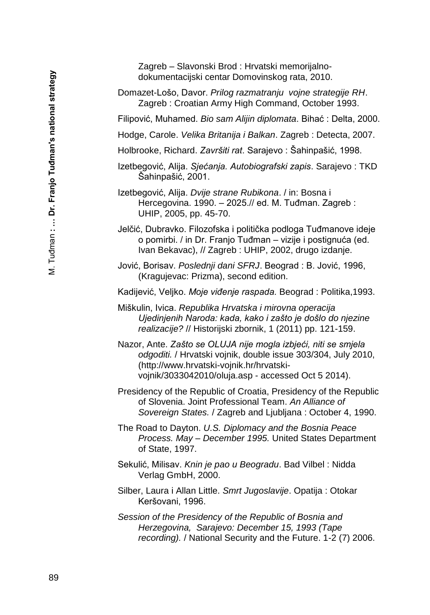Zagreb – Slavonski Brod : Hrvatski memorijalnodokumentacijski centar Domovinskog rata, 2010.

Domazet-Lošo, Davor. *Prilog razmatranju vojne strategije RH*. Zagreb : Croatian Army High Command, October 1993.

Filipović, Muhamed. *Bio sam Alijin diplomata*. Bihać : Delta, 2000.

- Hodge, Carole. *Velika Britanija i Balkan*. Zagreb : Detecta, 2007.
- Holbrooke, Richard. *Završiti rat*. Sarajevo : Šahinpašić, 1998.
- Izetbegović, Alija. *Sjećanja. Autobiografski zapis*. Sarajevo : TKD Šahinpašić, 2001.

Izetbegović, Alija. *Dvije strane Rubikona*. / in: Bosna i Hercegovina. 1990. – 2025.// ed. M. Tuđman. Zagreb : UHIP, 2005, pp. 45-70.

Jelčić, Dubravko. Filozofska i politička podloga Tuđmanove ideje o pomirbi. / in Dr. Franjo Tuđman – vizije i postignuća (ed. Ivan Bekavac), // Zagreb : UHIP, 2002, drugo izdanje.

- Jović, Borisav. *Poslednji dani SFRJ*. Beograd : B. Jović, 1996, (Kragujevac: Prizma), second edition.
- Kadijević, Veljko. *Moje viđenje raspada.* Beograd : Politika,1993.
- Miškulin, Ivica. *Republika Hrvatska i mirovna operacija Ujedinjenih Naroda: kada, kako i zašto je došlo do njezine realizacije?* // Historijski zbornik, 1 (2011) pp. 121-159.
- Nazor, Ante. *Zašto se OLUJA nije mogla izbjeći, niti se smjela odgoditi.* / Hrvatski vojnik, double issue 303/304, July 2010, (http://www.hrvatski-vojnik.hr/hrvatskivojnik/3033042010/oluja.asp - accessed Oct 5 2014).
- Presidency of the Republic of Croatia, Presidency of the Republic of Slovenia. Joint Professional Team. *An Alliance of Sovereign States.* / Zagreb and Ljubljana : October 4, 1990.
- The Road to Dayton. *U.S. Diplomacy and the Bosnia Peace Process. May – December 1995.* United States Department of State, 1997.
- Sekulić, Milisav. *Knin je pao u Beogradu*. Bad Vilbel : Nidda Verlag GmbH, 2000.
- Silber, Laura i Allan Little. *Smrt Jugoslavije*. Opatija : Otokar Keršovani, 1996.
- *Session of the Presidency of the Republic of Bosnia and Herzegovina, Sarajevo: December 15, 1993 (Tape recording).* / National Security and the Future. 1-2 (7) 2006.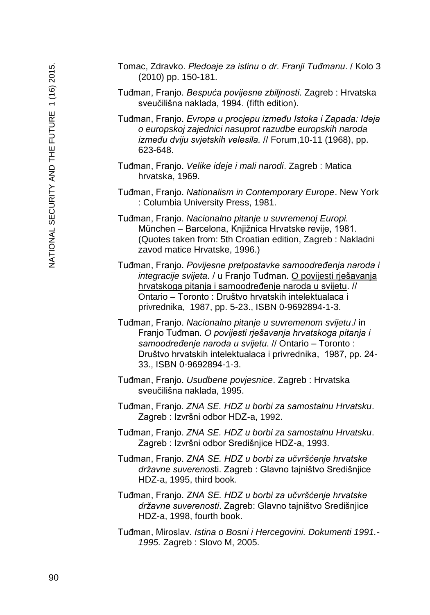- Tomac, Zdravko. *Pledoaje za istinu o dr. Franji Tuđmanu*. / Kolo 3 (2010) pp. 150-181.
- Tuđman, Franjo. *Bespuća povijesne zbiljnosti*. Zagreb : Hrvatska sveučilišna naklada, 1994. (fifth edition).
- Tuđman, Franjo. *Evropa u procjepu između Istoka i Zapada: Ideja o europskoj zajednici nasuprot razudbe europskih naroda između dviju svjetskih velesila.* // Forum,10-11 (1968), pp. 623-648.
- Tuđman, Franjo. *Velike ideje i mali narodi*. Zagreb : Matica hrvatska, 1969.
- Tuđman, Franjo. *Nationalism in Contemporary Europe*. New York : Columbia University Press, 1981.
- Tuđman, Franjo. *Nacionalno pitanje u suvremenoj Europi.* München – Barcelona, Knjižnica Hrvatske revije, 1981. (Quotes taken from: 5th Croatian edition, Zagreb : Nakladni zavod matice Hrvatske, 1996.)
- Tuđman, Franjo. *Povijesne pretpostavke samoodređenja naroda i integracije svijeta*. / u Franjo Tuđman. O povijesti rješavanja hrvatskoga pitanja i samoodređenje naroda u svijetu. // Ontario – Toronto : Društvo hrvatskih intelektualaca i privrednika, 1987, pp. 5-23., ISBN 0-9692894-1-3.
- Tuđman, Franjo. *Nacionalno pitanje u suvremenom svijetu*./ in Franjo Tuđman. *O povijesti rješavanja hrvatskoga pitanja i samoodređenje naroda u svijetu*. // Ontario – Toronto : Društvo hrvatskih intelektualaca i privrednika, 1987, pp. 24- 33., ISBN 0-9692894-1-3.
- Tuđman, Franjo. *Usudbene povjesnice*. Zagreb : Hrvatska sveučilišna naklada, 1995.
- Tuđman, Franjo*. ZNA SE. HDZ u borbi za samostalnu Hrvatsku*. Zagreb : Izvršni odbor HDZ-a, 1992.
- Tuđman, Franjo. *ZNA SE. HDZ u borbi za samostalnu Hrvatsku*. Zagreb : Izvršni odbor Središnjice HDZ-a, 1993.
- Tuđman, Franjo. *ZNA SE. HDZ u borbi za učvršćenje hrvatske državne suverenos*ti. Zagreb : Glavno tajništvo Središnjice HDZ-a, 1995, third book.
- Tuđman, Franjo. *ZNA SE. HDZ u borbi za učvršćenje hrvatske državne suverenosti*. Zagreb: Glavno tajništvo Središnjice HDZ-a, 1998, fourth book.
- Tuđman, Miroslav. *Istina o Bosni i Hercegovini. Dokumenti 1991.- 1995.* Zagreb : Slovo M, 2005.